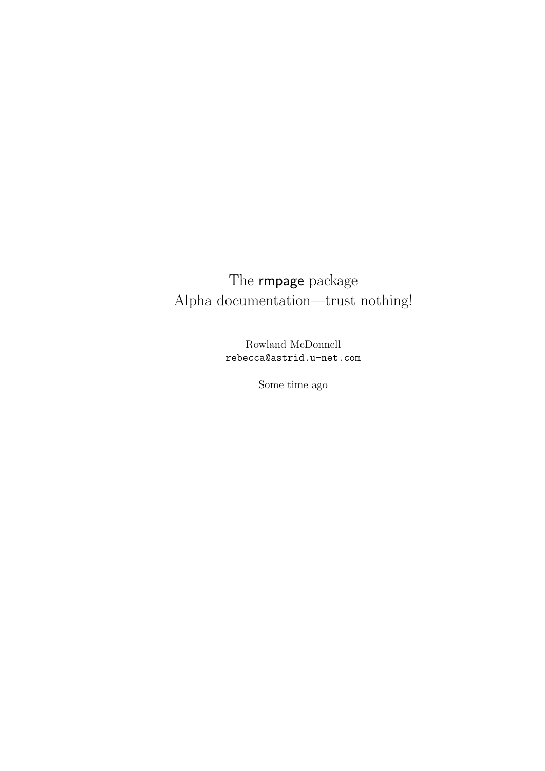# The rmpage package Alpha documentation—trust nothing!

Rowland McDonnell rebecca@astrid.u-net.com

Some time ago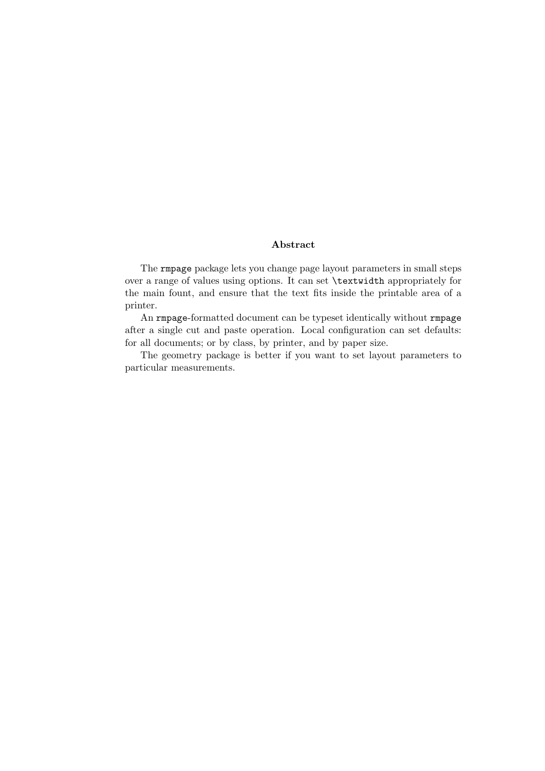#### Abstract

The rmpage package lets you change page layout parameters in small steps over a range of values using options. It can set \textwidth appropriately for the main fount, and ensure that the text fits inside the printable area of a printer.

An rmpage-formatted document can be typeset identically without rmpage after a single cut and paste operation. Local configuration can set defaults: for all documents; or by class, by printer, and by paper size.

The geometry package is better if you want to set layout parameters to particular measurements.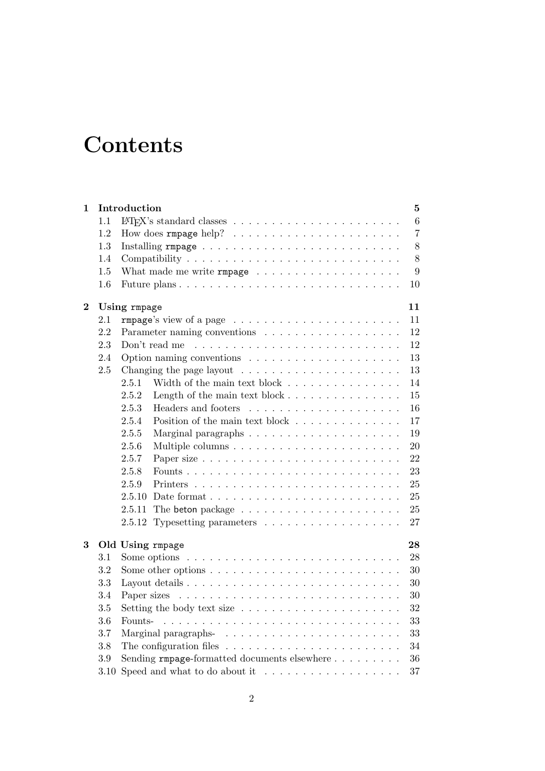# **Contents**

| $\mathbf 1$    |         | Introduction<br>$\bf{5}$                                                                   |  |  |  |  |  |
|----------------|---------|--------------------------------------------------------------------------------------------|--|--|--|--|--|
|                | 1.1     | $\boldsymbol{6}$                                                                           |  |  |  |  |  |
|                | 1.2     | $\overline{7}$                                                                             |  |  |  |  |  |
|                | 1.3     | 8                                                                                          |  |  |  |  |  |
|                | 1.4     | $8\,$                                                                                      |  |  |  |  |  |
|                | 1.5     | 9                                                                                          |  |  |  |  |  |
|                | 1.6     | 10                                                                                         |  |  |  |  |  |
| $\overline{2}$ |         | 11<br>Using rmpage                                                                         |  |  |  |  |  |
|                | 2.1     | 11<br>$rmpage's view of a page        $                                                    |  |  |  |  |  |
|                | 2.2     | 12                                                                                         |  |  |  |  |  |
|                | 2.3     | 12<br>Don't read me<br><u>. Kanadana ana kanadana ana kanadana ana kan</u>                 |  |  |  |  |  |
|                | 2.4     | 13                                                                                         |  |  |  |  |  |
|                | 2.5     | $13\,$                                                                                     |  |  |  |  |  |
|                |         | Width of the main text block $\ldots \ldots \ldots \ldots \ldots$<br>2.5.1<br>14           |  |  |  |  |  |
|                |         | 15<br>Length of the main text block $\dots \dots \dots \dots \dots$<br>2.5.2               |  |  |  |  |  |
|                |         | Headers and footers<br>16<br>2.5.3                                                         |  |  |  |  |  |
|                |         | Position of the main text block $\ldots \ldots \ldots \ldots \ldots$<br>2.5.4<br>17        |  |  |  |  |  |
|                |         | 19<br>2.5.5                                                                                |  |  |  |  |  |
|                |         | 2.5.6<br>20                                                                                |  |  |  |  |  |
|                |         | 2.5.7<br>22                                                                                |  |  |  |  |  |
|                |         | 2.5.8<br>23                                                                                |  |  |  |  |  |
|                |         | 25<br>2.5.9                                                                                |  |  |  |  |  |
|                |         | 25<br>2.5.10<br>Date format $\ldots \ldots \ldots \ldots \ldots \ldots \ldots \ldots$      |  |  |  |  |  |
|                |         | 25<br>2.5.11                                                                               |  |  |  |  |  |
|                |         | 27<br>2.5.12                                                                               |  |  |  |  |  |
| 3              |         | 28<br>Old Using rmpage                                                                     |  |  |  |  |  |
|                | 3.1     | 28<br>Some options $\ldots \ldots \ldots \ldots \ldots \ldots \ldots \ldots \ldots \ldots$ |  |  |  |  |  |
|                | 3.2     | 30                                                                                         |  |  |  |  |  |
|                | 3.3     | 30                                                                                         |  |  |  |  |  |
|                | 3.4     | 30                                                                                         |  |  |  |  |  |
|                | $3.5\,$ | Setting the body text size $\ldots \ldots \ldots \ldots \ldots \ldots$<br>32               |  |  |  |  |  |
|                | 3.6     | 33<br>Founts-                                                                              |  |  |  |  |  |
|                | 3.7     | 33                                                                                         |  |  |  |  |  |
|                | 3.8     | The configuration files $\ldots \ldots \ldots \ldots \ldots \ldots \ldots \ldots$<br>34    |  |  |  |  |  |
|                | 3.9     | Sending rmpage-formatted documents elsewhere<br>36                                         |  |  |  |  |  |
|                | 3.10    | Speed and what to do about it $\ldots \ldots \ldots \ldots \ldots$<br>37                   |  |  |  |  |  |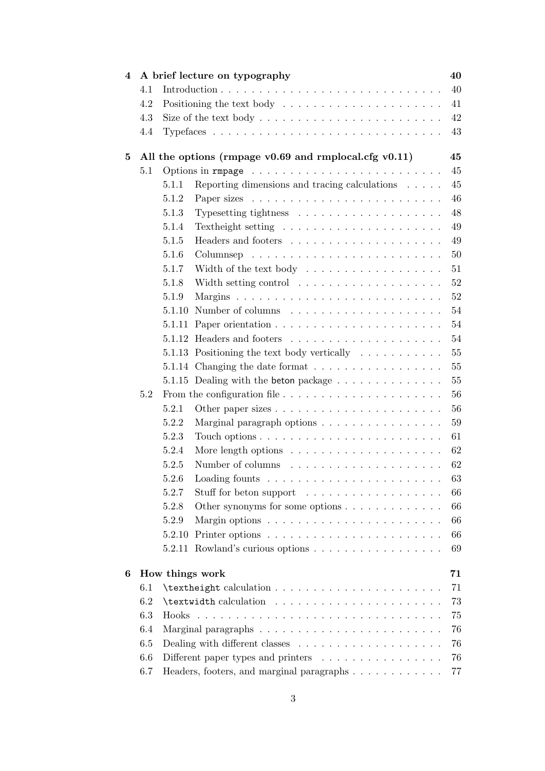| 4                    |     | 40<br>A brief lecture on typography                                         |                                                                               |        |
|----------------------|-----|-----------------------------------------------------------------------------|-------------------------------------------------------------------------------|--------|
|                      | 4.1 |                                                                             |                                                                               | 40     |
|                      | 4.2 | Positioning the text body $\dots \dots \dots \dots \dots \dots \dots \dots$ |                                                                               |        |
|                      | 4.3 |                                                                             | Size of the text body $\dots \dots \dots \dots \dots \dots \dots \dots \dots$ | 42     |
|                      | 4.4 |                                                                             |                                                                               | 43     |
| 5                    |     |                                                                             | All the options (rmpage $v0.69$ and rmplocal.cfg $v0.11$ )                    | 45     |
|                      | 5.1 |                                                                             |                                                                               | 45     |
|                      |     | 5.1.1                                                                       | Reporting dimensions and tracing calculations                                 | 45     |
|                      |     | 5.1.2                                                                       |                                                                               | 46     |
|                      |     | 5.1.3                                                                       | Typesetting tightness $\ldots \ldots \ldots \ldots \ldots \ldots$             | 48     |
|                      |     | 5.1.4                                                                       | Text height setting $\ldots \ldots \ldots \ldots \ldots \ldots \ldots$        | 49     |
|                      |     | 5.1.5                                                                       |                                                                               | 49     |
|                      |     | 5.1.6                                                                       |                                                                               | 50     |
|                      |     | 5.1.7                                                                       | Width of the text body                                                        | 51     |
|                      |     | 5.1.8                                                                       | Width setting control $\dots \dots \dots \dots \dots \dots$                   | 52     |
|                      |     | 5.1.9                                                                       |                                                                               | 52     |
|                      |     | 5.1.10                                                                      |                                                                               | 54     |
|                      |     | 5.1.11                                                                      |                                                                               | 54     |
|                      |     |                                                                             |                                                                               | 54     |
|                      |     |                                                                             | 5.1.13 Positioning the text body vertically $\ldots \ldots \ldots$            | $55\,$ |
|                      |     |                                                                             | 5.1.14 Changing the date format $\ldots \ldots \ldots \ldots \ldots$          | $55\,$ |
|                      |     |                                                                             | 5.1.15 Dealing with the beton package                                         | $55\,$ |
|                      | 5.2 |                                                                             |                                                                               | 56     |
|                      |     | 5.2.1                                                                       |                                                                               | 56     |
|                      |     | 5.2.2                                                                       | Marginal paragraph options $\ldots \ldots \ldots \ldots \ldots$               | 59     |
|                      |     | 5.2.3                                                                       |                                                                               | 61     |
|                      |     | 5.2.4                                                                       | More length options $\ldots \ldots \ldots \ldots \ldots \ldots$               | 62     |
|                      |     | 5.2.5                                                                       |                                                                               | 62     |
|                      |     | 5.2.6                                                                       | Loading founts $\ldots \ldots \ldots \ldots \ldots \ldots \ldots$             | 63     |
|                      |     | 5.2.7                                                                       | Stuff for beton support                                                       | 66     |
|                      |     | 5.2.8                                                                       | Other synonyms for some options $\dots \dots \dots \dots$                     | 66     |
|                      |     | 5.2.9                                                                       | Margin options $\ldots \ldots \ldots \ldots \ldots \ldots \ldots \ldots$      | 66     |
|                      |     | 5.2.10                                                                      |                                                                               | 66     |
|                      |     | 5.2.11                                                                      | Rowland's curious options                                                     | 69     |
| How things work<br>6 |     |                                                                             | 71                                                                            |        |
|                      | 6.1 |                                                                             |                                                                               | 71     |
|                      | 6.2 |                                                                             |                                                                               | 73     |
|                      | 6.3 |                                                                             |                                                                               | 75     |
|                      | 6.4 |                                                                             |                                                                               | 76     |
|                      | 6.5 |                                                                             |                                                                               | 76     |
|                      | 6.6 |                                                                             | Different paper types and printers $\dots \dots \dots \dots \dots$            | 76     |
|                      | 6.7 |                                                                             | Headers, footers, and marginal paragraphs                                     | 77     |
|                      |     |                                                                             |                                                                               |        |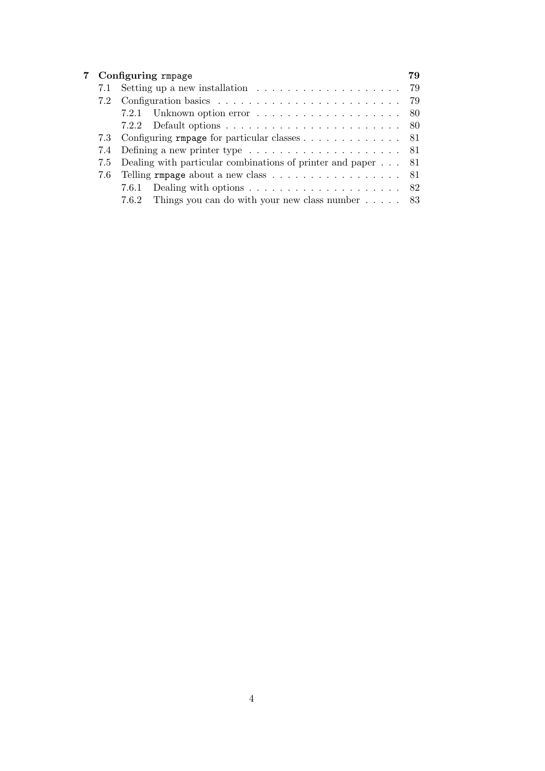| $7^{\circ}$ |     | Configuring rmpage                                                                  | 79 |
|-------------|-----|-------------------------------------------------------------------------------------|----|
|             | 7.1 | Setting up a new installation $\ldots \ldots \ldots \ldots \ldots \ldots$ 79        |    |
|             | 7.2 |                                                                                     |    |
|             |     | 7.2.1 Unknown option error $\ldots \ldots \ldots \ldots \ldots \ldots \ldots 80$    |    |
|             |     |                                                                                     |    |
|             |     | 7.3 Configuring rmpage for particular classes 81                                    |    |
|             |     |                                                                                     |    |
|             |     | 7.5 Dealing with particular combinations of printer and paper 81                    |    |
|             |     | 7.6 Telling rmpage about a new class 81                                             |    |
|             |     | Dealing with options $\ldots \ldots \ldots \ldots \ldots \ldots \ldots$ 82<br>7.6.1 |    |
|             |     | 7.6.2 Things you can do with your new class number $\ldots$ . 83                    |    |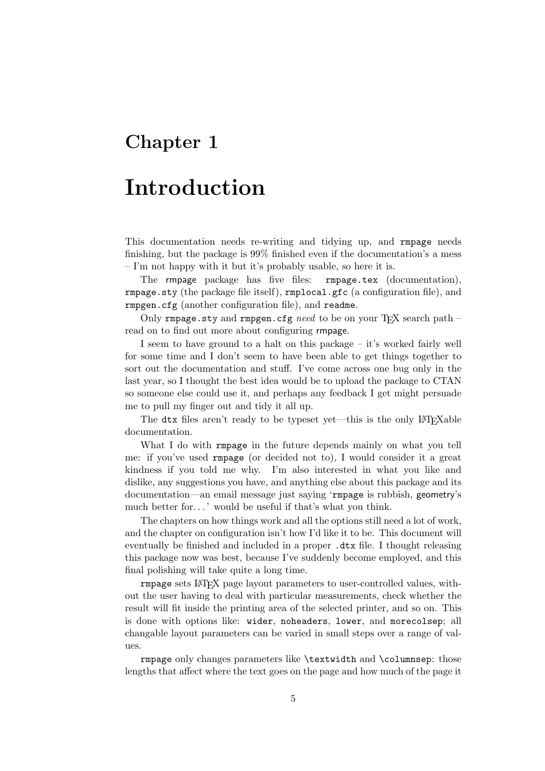## Chapter 1

## Introduction

This documentation needs re-writing and tidying up, and rmpage needs finishing, but the package is 99% finished even if the documentation's a mess – I'm not happy with it but it's probably usable, so here it is.

The rmpage package has five files: rmpage.tex (documentation), rmpage.sty (the package file itself), rmplocal.gfc (a configuration file), and rmpgen.cfg (another configuration file), and readme.

Only rmpage.sty and rmpgen.cfg need to be on your TFX search path – read on to find out more about configuring rmpage.

I seem to have ground to a halt on this package – it's worked fairly well for some time and I don't seem to have been able to get things together to sort out the documentation and stuff. I've come across one bug only in the last year, so I thought the best idea would be to upload the package to CTAN so someone else could use it, and perhaps any feedback I get might persuade me to pull my finger out and tidy it all up.

The dtx files aren't ready to be typeset yet—this is the only LATEXable documentation.

What I do with rmpage in the future depends mainly on what you tell me: if you've used rmpage (or decided not to), I would consider it a great kindness if you told me why. I'm also interested in what you like and dislike, any suggestions you have, and anything else about this package and its documentation—an email message just saying 'rmpage is rubbish, geometry's much better for...' would be useful if that's what you think.

The chapters on how things work and all the options still need a lot of work, and the chapter on configuration isn't how I'd like it to be. This document will eventually be finished and included in a proper .dtx file. I thought releasing this package now was best, because I've suddenly become employed, and this final polishing will take quite a long time.

rmpage sets LATEX page layout parameters to user-controlled values, without the user having to deal with particular measurements, check whether the result will fit inside the printing area of the selected printer, and so on. This is done with options like: wider, noheaders, lower, and morecolsep; all changable layout parameters can be varied in small steps over a range of values.

rmpage only changes parameters like \textwidth and \columnsep: those lengths that affect where the text goes on the page and how much of the page it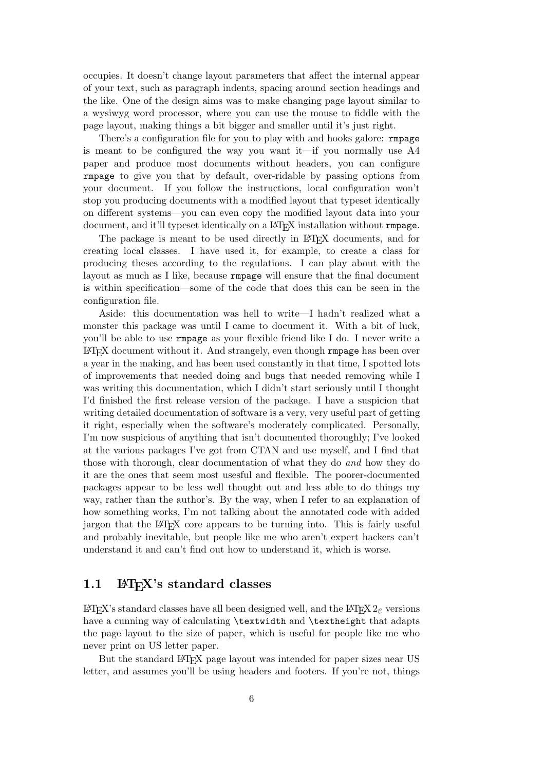occupies. It doesn't change layout parameters that affect the internal appear of your text, such as paragraph indents, spacing around section headings and the like. One of the design aims was to make changing page layout similar to a wysiwyg word processor, where you can use the mouse to fiddle with the page layout, making things a bit bigger and smaller until it's just right.

There's a configuration file for you to play with and hooks galore: rmpage is meant to be configured the way you want it—if you normally use  $A4$ paper and produce most documents without headers, you can configure rmpage to give you that by default, over-ridable by passing options from your document. If you follow the instructions, local configuration won't stop you producing documents with a modified layout that typeset identically on different systems—you can even copy the modified layout data into your document, and it'll typeset identically on a L<sup>A</sup>T<sub>E</sub>X installation without rmpage.

The package is meant to be used directly in LATEX documents, and for creating local classes. I have used it, for example, to create a class for producing theses according to the regulations. I can play about with the layout as much as I like, because rmpage will ensure that the final document is within specification—some of the code that does this can be seen in the configuration file.

Aside: this documentation was hell to write—I hadn't realized what a monster this package was until I came to document it. With a bit of luck, you'll be able to use rmpage as your flexible friend like I do. I never write a LATEX document without it. And strangely, even though rmpage has been over a year in the making, and has been used constantly in that time, I spotted lots of improvements that needed doing and bugs that needed removing while I was writing this documentation, which I didn't start seriously until I thought I'd finished the first release version of the package. I have a suspicion that writing detailed documentation of software is a very, very useful part of getting it right, especially when the software's moderately complicated. Personally, I'm now suspicious of anything that isn't documented thoroughly; I've looked at the various packages I've got from CTAN and use myself, and I find that those with thorough, clear documentation of what they do and how they do it are the ones that seem most usesful and flexible. The poorer-documented packages appear to be less well thought out and less able to do things my way, rather than the author's. By the way, when I refer to an explanation of how something works, I'm not talking about the annotated code with added jargon that the LAT<sub>EX</sub> core appears to be turning into. This is fairly useful and probably inevitable, but people like me who aren't expert hackers can't understand it and can't find out how to understand it, which is worse.

## 1.1  $\text{LFT}_F X$ 's standard classes

LATEX's standard classes have all been designed well, and the LATEX 2ε versions have a cunning way of calculating \textwidth and \textheight that adapts the page layout to the size of paper, which is useful for people like me who never print on US letter paper.

But the standard LATEX page layout was intended for paper sizes near US letter, and assumes you'll be using headers and footers. If you're not, things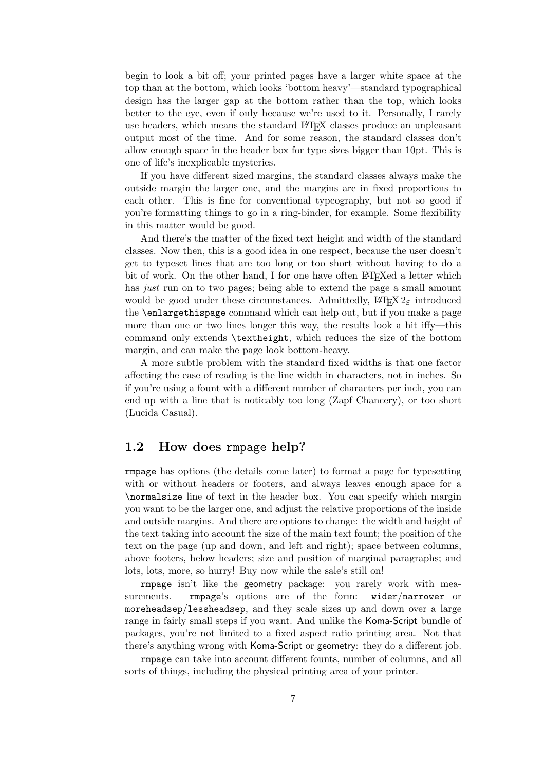begin to look a bit off; your printed pages have a larger white space at the top than at the bottom, which looks 'bottom heavy'—standard typographical design has the larger gap at the bottom rather than the top, which looks better to the eye, even if only because we're used to it. Personally, I rarely use headers, which means the standard LATEX classes produce an unpleasant output most of the time. And for some reason, the standard classes don't allow enough space in the header box for type sizes bigger than 10pt. This is one of life's inexplicable mysteries.

If you have different sized margins, the standard classes always make the outside margin the larger one, and the margins are in fixed proportions to each other. This is fine for conventional typeography, but not so good if you're formatting things to go in a ring-binder, for example. Some flexibility in this matter would be good.

And there's the matter of the fixed text height and width of the standard classes. Now then, this is a good idea in one respect, because the user doesn't get to typeset lines that are too long or too short without having to do a bit of work. On the other hand, I for one have often LAT<sub>EX</sub>ed a letter which has *just* run on to two pages; being able to extend the page a small amount would be good under these circumstances. Admittedly,  $\angle$  ET<sub>E</sub>X 2<sub> $\epsilon$ </sub> introduced the \enlargethispage command which can help out, but if you make a page more than one or two lines longer this way, the results look a bit iffy—this command only extends \textheight, which reduces the size of the bottom margin, and can make the page look bottom-heavy.

A more subtle problem with the standard fixed widths is that one factor affecting the ease of reading is the line width in characters, not in inches. So if you're using a fount with a different number of characters per inch, you can end up with a line that is noticably too long (Zapf Chancery), or too short (Lucida Casual).

## 1.2 How does rmpage help?

rmpage has options (the details come later) to format a page for typesetting with or without headers or footers, and always leaves enough space for a \normalsize line of text in the header box. You can specify which margin you want to be the larger one, and adjust the relative proportions of the inside and outside margins. And there are options to change: the width and height of the text taking into account the size of the main text fount; the position of the text on the page (up and down, and left and right); space between columns, above footers, below headers; size and position of marginal paragraphs; and lots, lots, more, so hurry! Buy now while the sale's still on!

rmpage isn't like the geometry package: you rarely work with measurements. **rmpage's** options are of the form: wider/narrower or moreheadsep/lessheadsep, and they scale sizes up and down over a large range in fairly small steps if you want. And unlike the Koma-Script bundle of packages, you're not limited to a fixed aspect ratio printing area. Not that there's anything wrong with Koma-Script or geometry: they do a different job.

rmpage can take into account different founts, number of columns, and all sorts of things, including the physical printing area of your printer.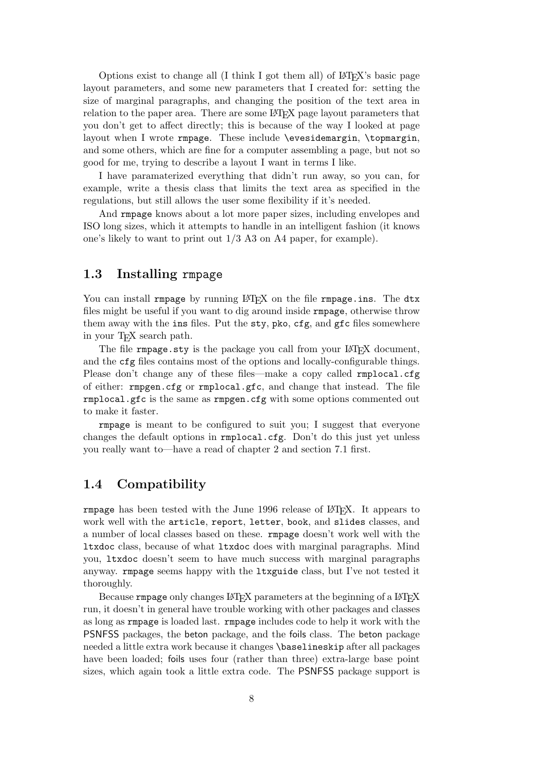Options exist to change all (I think I got them all) of LAT<sub>EX</sub>'s basic page layout parameters, and some new parameters that I created for: setting the size of marginal paragraphs, and changing the position of the text area in relation to the paper area. There are some L<sup>AT</sup>EX page layout parameters that you don't get to affect directly; this is because of the way I looked at page layout when I wrote rmpage. These include \evesidemargin, \topmargin, and some others, which are fine for a computer assembling a page, but not so good for me, trying to describe a layout I want in terms I like.

I have paramaterized everything that didn't run away, so you can, for example, write a thesis class that limits the text area as specified in the regulations, but still allows the user some flexibility if it's needed.

And rmpage knows about a lot more paper sizes, including envelopes and ISO long sizes, which it attempts to handle in an intelligent fashion (it knows one's likely to want to print out 1/3 A3 on A4 paper, for example).

## 1.3 Installing rmpage

You can install rmpage by running LAT<sub>EX</sub> on the file rmpage.ins. The dtx files might be useful if you want to dig around inside rmpage, otherwise throw them away with the ins files. Put the sty, pko, cfg, and gfc files somewhere in your T<sub>EX</sub> search path.

The file rmpage.sty is the package you call from your L<sup>A</sup>T<sub>EX</sub> document, and the cfg files contains most of the options and locally-configurable things. Please don't change any of these files—make a copy called **rmplocal.cfg** of either: rmpgen.cfg or rmplocal.gfc, and change that instead. The file rmplocal.gfc is the same as rmpgen.cfg with some options commented out to make it faster.

rmpage is meant to be configured to suit you; I suggest that everyone changes the default options in rmplocal.cfg. Don't do this just yet unless you really want to—have a read of chapter 2 and section 7.1 first.

## 1.4 Compatibility

rmpage has been tested with the June 1996 release of LAT<sub>EX</sub>. It appears to work well with the article, report, letter, book, and slides classes, and a number of local classes based on these. rmpage doesn't work well with the ltxdoc class, because of what ltxdoc does with marginal paragraphs. Mind you, ltxdoc doesn't seem to have much success with marginal paragraphs anyway. rmpage seems happy with the ltxguide class, but I've not tested it thoroughly.

Because rmpage only changes LAT<sub>EX</sub> parameters at the beginning of a LAT<sub>EX</sub> run, it doesn't in general have trouble working with other packages and classes as long as rmpage is loaded last. rmpage includes code to help it work with the PSNFSS packages, the beton package, and the foils class. The beton package needed a little extra work because it changes \baselineskip after all packages have been loaded; foils uses four (rather than three) extra-large base point sizes, which again took a little extra code. The PSNFSS package support is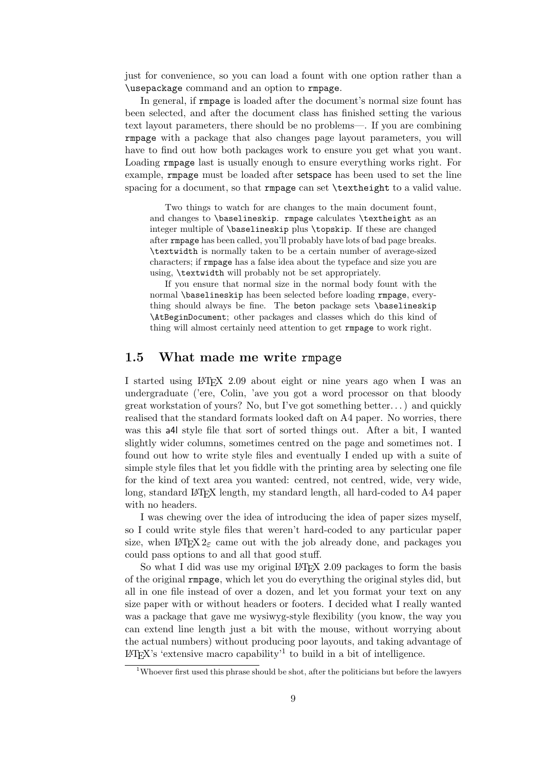just for convenience, so you can load a fount with one option rather than a \usepackage command and an option to rmpage.

In general, if rmpage is loaded after the document's normal size fount has been selected, and after the document class has finished setting the various text layout parameters, there should be no problems—. If you are combining rmpage with a package that also changes page layout parameters, you will have to find out how both packages work to ensure you get what you want. Loading rmpage last is usually enough to ensure everything works right. For example, rmpage must be loaded after setspace has been used to set the line spacing for a document, so that rmpage can set **\textheight** to a valid value.

Two things to watch for are changes to the main document fount, and changes to \baselineskip. rmpage calculates \textheight as an integer multiple of \baselineskip plus \topskip. If these are changed after rmpage has been called, you'll probably have lots of bad page breaks. \textwidth is normally taken to be a certain number of average-sized characters; if rmpage has a false idea about the typeface and size you are using, \textwidth will probably not be set appropriately.

If you ensure that normal size in the normal body fount with the normal \baselineskip has been selected before loading rmpage, everything should always be fine. The beton package sets \baselineskip \AtBeginDocument; other packages and classes which do this kind of thing will almost certainly need attention to get rmpage to work right.

## 1.5 What made me write rmpage

I started using LAT<sub>EX</sub> 2.09 about eight or nine years ago when I was an undergraduate ('ere, Colin, 'ave you got a word processor on that bloody great workstation of yours? No, but I've got something better. . . ) and quickly realised that the standard formats looked daft on A4 paper. No worries, there was this a4l style file that sort of sorted things out. After a bit, I wanted slightly wider columns, sometimes centred on the page and sometimes not. I found out how to write style files and eventually I ended up with a suite of simple style files that let you fiddle with the printing area by selecting one file for the kind of text area you wanted: centred, not centred, wide, very wide, long, standard LAT<sub>EX</sub> length, my standard length, all hard-coded to A4 paper with no headers.

I was chewing over the idea of introducing the idea of paper sizes myself, so I could write style files that weren't hard-coded to any particular paper size, when  $\angle M$ <sub>E</sub>X 2<sub> $\epsilon$ </sub> came out with the job already done, and packages you could pass options to and all that good stuff.

So what I did was use my original LAT<sub>EX</sub> 2.09 packages to form the basis of the original rmpage, which let you do everything the original styles did, but all in one file instead of over a dozen, and let you format your text on any size paper with or without headers or footers. I decided what I really wanted was a package that gave me wysiwyg-style flexibility (you know, the way you can extend line length just a bit with the mouse, without worrying about the actual numbers) without producing poor layouts, and taking advantage of  $\text{LATEX's 'extensive macro capability'}^1$  to build in a bit of intelligence.

<sup>1</sup>Whoever first used this phrase should be shot, after the politicians but before the lawyers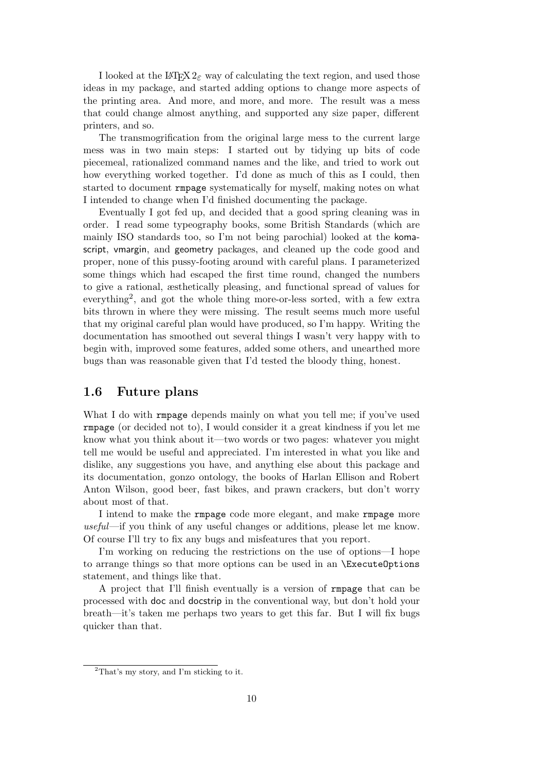I looked at the LATEX  $2\varepsilon$  way of calculating the text region, and used those ideas in my package, and started adding options to change more aspects of the printing area. And more, and more, and more. The result was a mess that could change almost anything, and supported any size paper, different printers, and so.

The transmogrification from the original large mess to the current large mess was in two main steps: I started out by tidying up bits of code piecemeal, rationalized command names and the like, and tried to work out how everything worked together. I'd done as much of this as I could, then started to document rmpage systematically for myself, making notes on what I intended to change when I'd finished documenting the package.

Eventually I got fed up, and decided that a good spring cleaning was in order. I read some typeography books, some British Standards (which are mainly ISO standards too, so I'm not being parochial) looked at the komascript, vmargin, and geometry packages, and cleaned up the code good and proper, none of this pussy-footing around with careful plans. I parameterized some things which had escaped the first time round, changed the numbers to give a rational, æsthetically pleasing, and functional spread of values for everything<sup>2</sup>, and got the whole thing more-or-less sorted, with a few extra bits thrown in where they were missing. The result seems much more useful that my original careful plan would have produced, so I'm happy. Writing the documentation has smoothed out several things I wasn't very happy with to begin with, improved some features, added some others, and unearthed more bugs than was reasonable given that I'd tested the bloody thing, honest.

## 1.6 Future plans

What I do with rmpage depends mainly on what you tell me; if you've used rmpage (or decided not to), I would consider it a great kindness if you let me know what you think about it—two words or two pages: whatever you might tell me would be useful and appreciated. I'm interested in what you like and dislike, any suggestions you have, and anything else about this package and its documentation, gonzo ontology, the books of Harlan Ellison and Robert Anton Wilson, good beer, fast bikes, and prawn crackers, but don't worry about most of that.

I intend to make the rmpage code more elegant, and make rmpage more useful—if you think of any useful changes or additions, please let me know. Of course I'll try to fix any bugs and misfeatures that you report.

I'm working on reducing the restrictions on the use of options—I hope to arrange things so that more options can be used in an \ExecuteOptions statement, and things like that.

A project that I'll finish eventually is a version of rmpage that can be processed with doc and docstrip in the conventional way, but don't hold your breath—it's taken me perhaps two years to get this far. But I will fix bugs quicker than that.

<sup>2</sup>That's my story, and I'm sticking to it.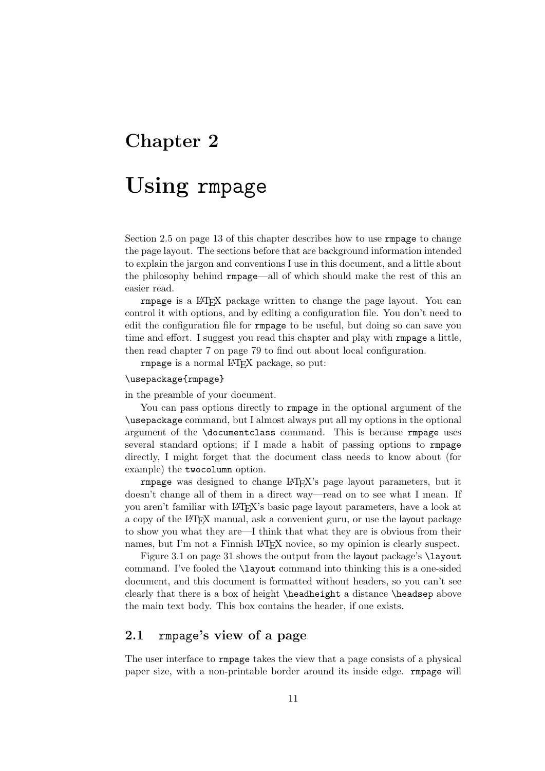## Chapter 2

# Using rmpage

Section 2.5 on page 13 of this chapter describes how to use rmpage to change the page layout. The sections before that are background information intended to explain the jargon and conventions I use in this document, and a little about the philosophy behind rmpage—all of which should make the rest of this an easier read.

rmpage is a LAT<sub>EX</sub> package written to change the page layout. You can control it with options, and by editing a configuration file. You don't need to edit the configuration file for rmpage to be useful, but doing so can save you time and effort. I suggest you read this chapter and play with rmpage a little, then read chapter 7 on page 79 to find out about local configuration.

rmpage is a normal LATEX package, so put:

#### \usepackage{rmpage}

in the preamble of your document.

You can pass options directly to rmpage in the optional argument of the \usepackage command, but I almost always put all my options in the optional argument of the \documentclass command. This is because rmpage uses several standard options; if I made a habit of passing options to rmpage directly, I might forget that the document class needs to know about (for example) the twocolumn option.

rmpage was designed to change LATEX's page layout parameters, but it doesn't change all of them in a direct way—read on to see what I mean. If you aren't familiar with LAT<sub>EX</sub>'s basic page layout parameters, have a look at a copy of the LATEX manual, ask a convenient guru, or use the layout package to show you what they are—I think that what they are is obvious from their names, but I'm not a Finnish LAT<sub>EX</sub> novice, so my opinion is clearly suspect.

Figure 3.1 on page 31 shows the output from the layout package's \layout command. I've fooled the \layout command into thinking this is a one-sided document, and this document is formatted without headers, so you can't see clearly that there is a box of height **\headheight** a distance **\headsep** above the main text body. This box contains the header, if one exists.

## 2.1 rmpage's view of a page

The user interface to rmpage takes the view that a page consists of a physical paper size, with a non-printable border around its inside edge. rmpage will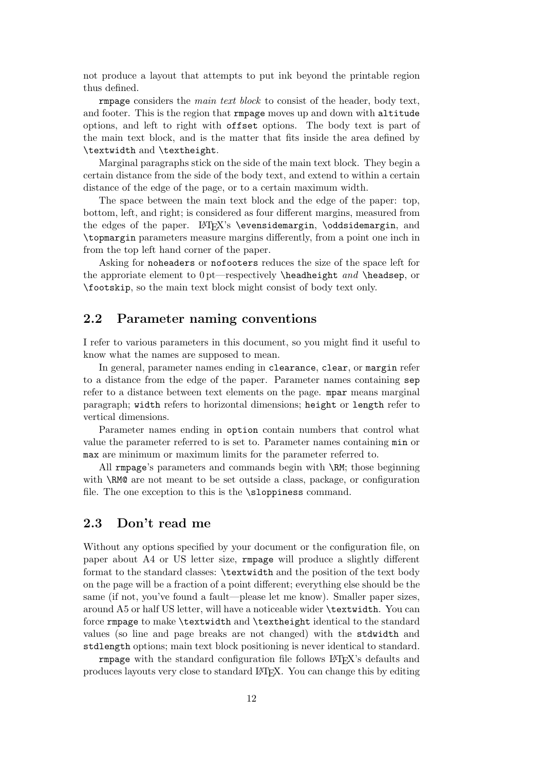not produce a layout that attempts to put ink beyond the printable region thus defined.

rmpage considers the main text block to consist of the header, body text, and footer. This is the region that rmpage moves up and down with altitude options, and left to right with offset options. The body text is part of the main text block, and is the matter that fits inside the area defined by \textwidth and \textheight.

Marginal paragraphs stick on the side of the main text block. They begin a certain distance from the side of the body text, and extend to within a certain distance of the edge of the page, or to a certain maximum width.

The space between the main text block and the edge of the paper: top, bottom, left, and right; is considered as four different margins, measured from the edges of the paper. LATFX's \evensidemargin, \oddsidemargin, and \topmargin parameters measure margins differently, from a point one inch in from the top left hand corner of the paper.

Asking for noheaders or nofooters reduces the size of the space left for the approriate element to  $0$  pt—respectively  $\headarrow$  and  $\headarrow$   $and \headarrow$   $the$  adsep, or \footskip, so the main text block might consist of body text only.

## 2.2 Parameter naming conventions

I refer to various parameters in this document, so you might find it useful to know what the names are supposed to mean.

In general, parameter names ending in clearance, clear, or margin refer to a distance from the edge of the paper. Parameter names containing sep refer to a distance between text elements on the page. mpar means marginal paragraph; width refers to horizontal dimensions; height or length refer to vertical dimensions.

Parameter names ending in option contain numbers that control what value the parameter referred to is set to. Parameter names containing min or max are minimum or maximum limits for the parameter referred to.

All rmpage's parameters and commands begin with \RM; those beginning with \RM@ are not meant to be set outside a class, package, or configuration file. The one exception to this is the \sloppiness command.

## 2.3 Don't read me

Without any options specified by your document or the configuration file, on paper about A4 or US letter size, rmpage will produce a slightly different format to the standard classes: \textwidth and the position of the text body on the page will be a fraction of a point different; everything else should be the same (if not, you've found a fault—please let me know). Smaller paper sizes, around A5 or half US letter, will have a noticeable wider \textwidth. You can force rmpage to make \textwidth and \textheight identical to the standard values (so line and page breaks are not changed) with the stdwidth and stdlength options; main text block positioning is never identical to standard.

rmpage with the standard configuration file follows LATEX's defaults and produces layouts very close to standard LATEX. You can change this by editing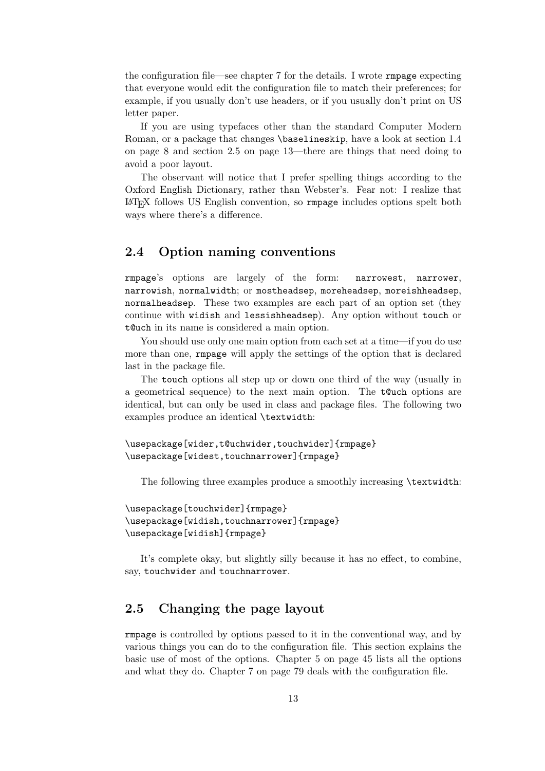the configuration file—see chapter 7 for the details. I wrote rmpage expecting that everyone would edit the configuration file to match their preferences; for example, if you usually don't use headers, or if you usually don't print on US letter paper.

If you are using typefaces other than the standard Computer Modern Roman, or a package that changes \baselineskip, have a look at section 1.4 on page 8 and section 2.5 on page 13—there are things that need doing to avoid a poor layout.

The observant will notice that I prefer spelling things according to the Oxford English Dictionary, rather than Webster's. Fear not: I realize that LATEX follows US English convention, so rmpage includes options spelt both ways where there's a difference.

## 2.4 Option naming conventions

rmpage's options are largely of the form: narrowest, narrower, narrowish, normalwidth; or mostheadsep, moreheadsep, moreishheadsep, normalheadsep. These two examples are each part of an option set (they continue with widish and lessishheadsep). Any option without touch or t@uch in its name is considered a main option.

You should use only one main option from each set at a time—if you do use more than one, rmpage will apply the settings of the option that is declared last in the package file.

The touch options all step up or down one third of the way (usually in a geometrical sequence) to the next main option. The t@uch options are identical, but can only be used in class and package files. The following two examples produce an identical \textwidth:

```
\usepackage[wider,t@uchwider,touchwider]{rmpage}
\usepackage[widest,touchnarrower]{rmpage}
```
The following three examples produce a smoothly increasing \textwidth:

```
\usepackage[touchwider]{rmpage}
\usepackage[widish,touchnarrower]{rmpage}
\usepackage[widish]{rmpage}
```
It's complete okay, but slightly silly because it has no effect, to combine, say, touchwider and touchnarrower.

## 2.5 Changing the page layout

rmpage is controlled by options passed to it in the conventional way, and by various things you can do to the configuration file. This section explains the basic use of most of the options. Chapter 5 on page 45 lists all the options and what they do. Chapter 7 on page 79 deals with the configuration file.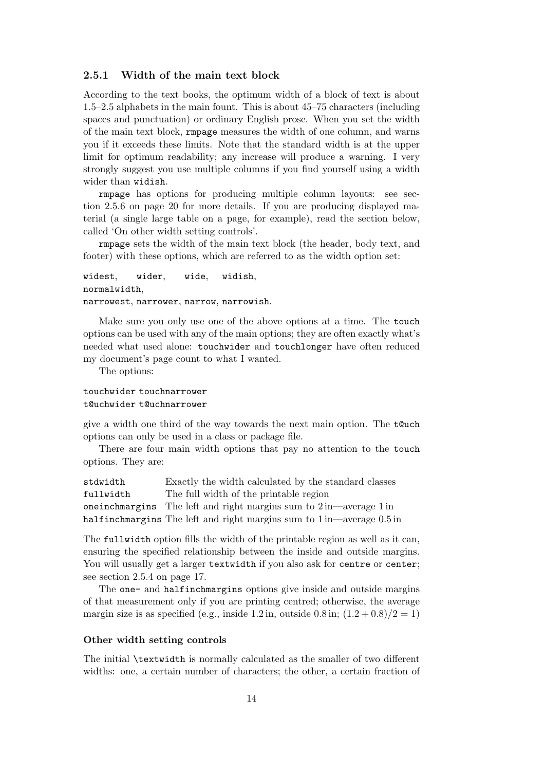#### 2.5.1 Width of the main text block

According to the text books, the optimum width of a block of text is about 1.5–2.5 alphabets in the main fount. This is about 45–75 characters (including spaces and punctuation) or ordinary English prose. When you set the width of the main text block, rmpage measures the width of one column, and warns you if it exceeds these limits. Note that the standard width is at the upper limit for optimum readability; any increase will produce a warning. I very strongly suggest you use multiple columns if you find yourself using a width wider than widish.

rmpage has options for producing multiple column layouts: see section 2.5.6 on page 20 for more details. If you are producing displayed material (a single large table on a page, for example), read the section below, called 'On other width setting controls'.

rmpage sets the width of the main text block (the header, body text, and footer) with these options, which are referred to as the width option set:

```
widest, wider, wide, widish,
normalwidth,
narrowest, narrower, narrow, narrowish.
```
Make sure you only use one of the above options at a time. The touch options can be used with any of the main options; they are often exactly what's needed what used alone: touchwider and touchlonger have often reduced my document's page count to what I wanted.

The options:

#### touchwider touchnarrower t@uchwider t@uchnarrower

give a width one third of the way towards the next main option. The t@uch options can only be used in a class or package file.

There are four main width options that pay no attention to the touch options. They are:

stdwidth Exactly the width calculated by the standard classes fullwidth The full width of the printable region oneinchmargins The left and right margins sum to 2 in—average 1 in halfinchmargins The left and right margins sum to  $1$  in—average 0.5 in

The fullwidth option fills the width of the printable region as well as it can, ensuring the specified relationship between the inside and outside margins. You will usually get a larger textwidth if you also ask for centre or center; see section 2.5.4 on page 17.

The one- and halfinchmargins options give inside and outside margins of that measurement only if you are printing centred; otherwise, the average margin size is as specified (e.g., inside 1.2 in, outside 0.8 in;  $(1.2 + 0.8)/2 = 1$ )

#### Other width setting controls

The initial \textwidth is normally calculated as the smaller of two different widths: one, a certain number of characters; the other, a certain fraction of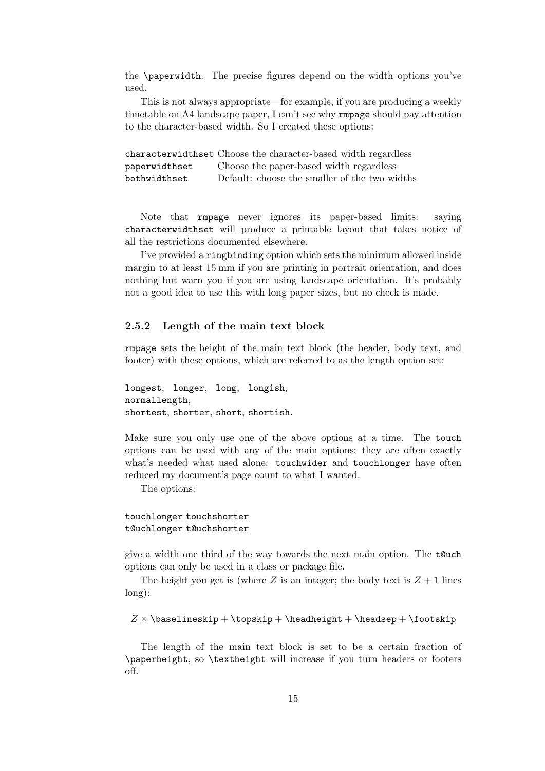the \paperwidth. The precise figures depend on the width options you've used.

This is not always appropriate—for example, if you are producing a weekly timetable on A4 landscape paper, I can't see why rmpage should pay attention to the character-based width. So I created these options:

characterwidthset Choose the character-based width regardless paperwidthset Choose the paper-based width regardless bothwidthset Default: choose the smaller of the two widths

Note that rmpage never ignores its paper-based limits: saying characterwidthset will produce a printable layout that takes notice of all the restrictions documented elsewhere.

I've provided a ringbinding option which sets the minimum allowed inside margin to at least 15 mm if you are printing in portrait orientation, and does nothing but warn you if you are using landscape orientation. It's probably not a good idea to use this with long paper sizes, but no check is made.

#### 2.5.2 Length of the main text block

rmpage sets the height of the main text block (the header, body text, and footer) with these options, which are referred to as the length option set:

```
longest, longer, long, longish,
normallength,
shortest, shorter, short, shortish.
```
Make sure you only use one of the above options at a time. The touch options can be used with any of the main options; they are often exactly what's needed what used alone: touchwider and touchlonger have often reduced my document's page count to what I wanted.

The options:

#### touchlonger touchshorter t@uchlonger t@uchshorter

give a width one third of the way towards the next main option. The  $t$  Cuch options can only be used in a class or package file.

The height you get is (where Z is an integer; the body text is  $Z + 1$  lines long):

```
Z \times \baselineskip + \top \the adheight + \headsep + \footnotesize \to \cosh \phi
```
The length of the main text block is set to be a certain fraction of \paperheight, so \textheight will increase if you turn headers or footers off.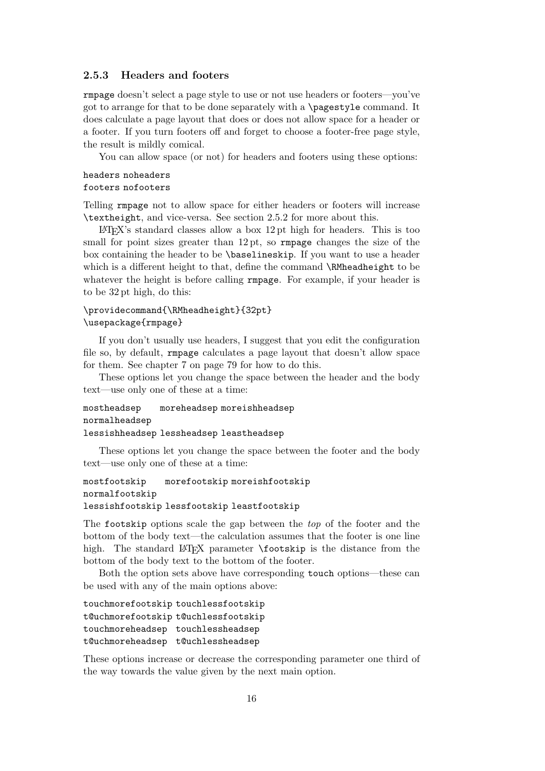#### 2.5.3 Headers and footers

rmpage doesn't select a page style to use or not use headers or footers—you've got to arrange for that to be done separately with a \pagestyle command. It does calculate a page layout that does or does not allow space for a header or a footer. If you turn footers off and forget to choose a footer-free page style, the result is mildly comical.

You can allow space (or not) for headers and footers using these options:

#### headers noheaders footers nofooters

Telling rmpage not to allow space for either headers or footers will increase \textheight, and vice-versa. See section 2.5.2 for more about this.

LATEX's standard classes allow a box 12 pt high for headers. This is too small for point sizes greater than  $12 \text{ pt}$ , so rmpage changes the size of the box containing the header to be \baselineskip. If you want to use a header which is a different height to that, define the command **\RMheadheight** to be whatever the height is before calling **rmpage**. For example, if your header is to be 32 pt high, do this:

## \providecommand{\RMheadheight}{32pt} \usepackage{rmpage}

If you don't usually use headers, I suggest that you edit the configuration file so, by default, rmpage calculates a page layout that doesn't allow space for them. See chapter 7 on page 79 for how to do this.

These options let you change the space between the header and the body text—use only one of these at a time:

mostheadsep moreheadsep moreishheadsep normalheadsep lessishheadsep lessheadsep leastheadsep

These options let you change the space between the footer and the body text—use only one of these at a time:

```
mostfootskip morefootskip moreishfootskip
normalfootskip
lessishfootskip lessfootskip leastfootskip
```
The footskip options scale the gap between the top of the footer and the bottom of the body text—the calculation assumes that the footer is one line high. The standard LAT<sub>EX</sub> parameter **\footskip** is the distance from the bottom of the body text to the bottom of the footer.

Both the option sets above have corresponding touch options—these can be used with any of the main options above:

```
touchmorefootskip touchlessfootskip
t@uchmorefootskip t@uchlessfootskip
touchmoreheadsep touchlessheadsep
t@uchmoreheadsep t@uchlessheadsep
```
These options increase or decrease the corresponding parameter one third of the way towards the value given by the next main option.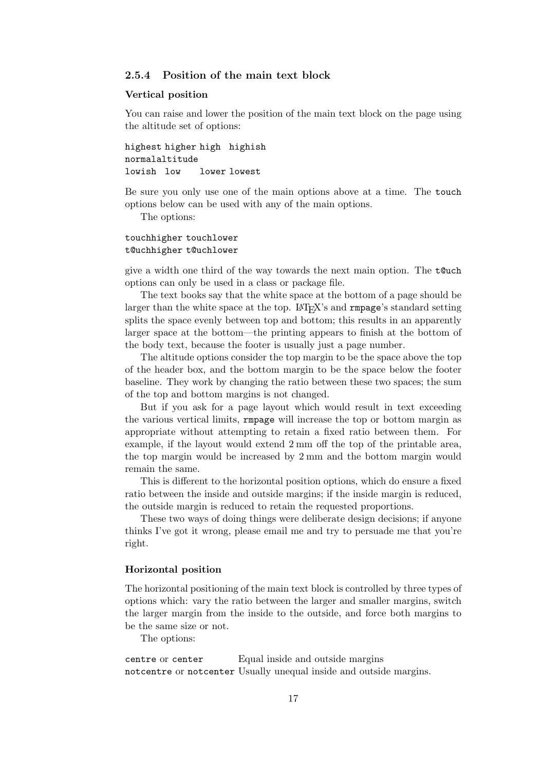### 2.5.4 Position of the main text block

#### Vertical position

You can raise and lower the position of the main text block on the page using the altitude set of options:

highest higher high highish normalaltitude lowish low lower lowest

Be sure you only use one of the main options above at a time. The touch options below can be used with any of the main options.

The options:

#### touchhigher touchlower t@uchhigher t@uchlower

give a width one third of the way towards the next main option. The  $t$  Cuch options can only be used in a class or package file.

The text books say that the white space at the bottom of a page should be larger than the white space at the top. LAT<sub>EX</sub>'s and **rmpage**'s standard setting splits the space evenly between top and bottom; this results in an apparently larger space at the bottom—the printing appears to finish at the bottom of the body text, because the footer is usually just a page number.

The altitude options consider the top margin to be the space above the top of the header box, and the bottom margin to be the space below the footer baseline. They work by changing the ratio between these two spaces; the sum of the top and bottom margins is not changed.

But if you ask for a page layout which would result in text exceeding the various vertical limits, rmpage will increase the top or bottom margin as appropriate without attempting to retain a fixed ratio between them. For example, if the layout would extend 2 mm off the top of the printable area, the top margin would be increased by 2 mm and the bottom margin would remain the same.

This is different to the horizontal position options, which do ensure a fixed ratio between the inside and outside margins; if the inside margin is reduced, the outside margin is reduced to retain the requested proportions.

These two ways of doing things were deliberate design decisions; if anyone thinks I've got it wrong, please email me and try to persuade me that you're right.

#### Horizontal position

The horizontal positioning of the main text block is controlled by three types of options which: vary the ratio between the larger and smaller margins, switch the larger margin from the inside to the outside, and force both margins to be the same size or not.

The options:

centre or center Equal inside and outside margins notcentre or notcenter Usually unequal inside and outside margins.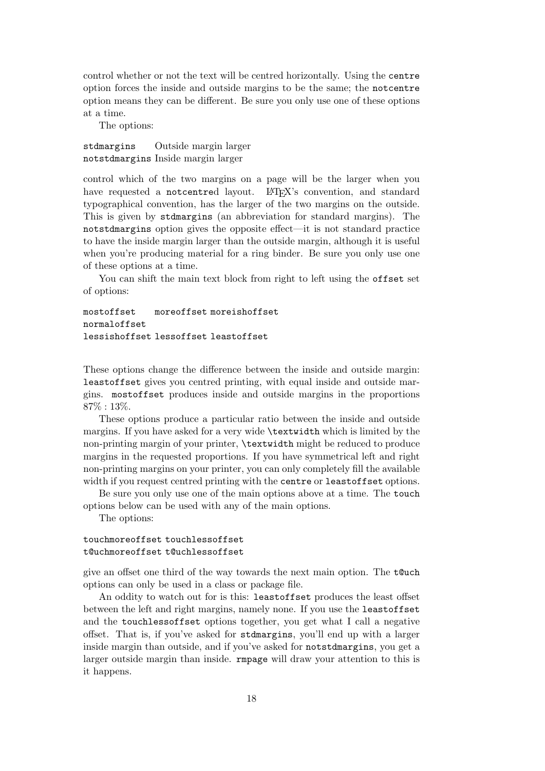control whether or not the text will be centred horizontally. Using the centre option forces the inside and outside margins to be the same; the notcentre option means they can be different. Be sure you only use one of these options at a time.

The options:

stdmargins Outside margin larger notstdmargins Inside margin larger

control which of the two margins on a page will be the larger when you have requested a notcentred layout. LATEX's convention, and standard typographical convention, has the larger of the two margins on the outside. This is given by stdmargins (an abbreviation for standard margins). The notstdmargins option gives the opposite effect—it is not standard practice to have the inside margin larger than the outside margin, although it is useful when you're producing material for a ring binder. Be sure you only use one of these options at a time.

You can shift the main text block from right to left using the offset set of options:

mostoffset moreoffset moreishoffset normaloffset lessishoffset lessoffset leastoffset

These options change the difference between the inside and outside margin: leastoffset gives you centred printing, with equal inside and outside margins. mostoffset produces inside and outside margins in the proportions 87% : 13%.

These options produce a particular ratio between the inside and outside margins. If you have asked for a very wide \textwidth which is limited by the non-printing margin of your printer, \textwidth might be reduced to produce margins in the requested proportions. If you have symmetrical left and right non-printing margins on your printer, you can only completely fill the available width if you request centred printing with the centre or leastoffset options.

Be sure you only use one of the main options above at a time. The touch options below can be used with any of the main options.

The options:

#### touchmoreoffset touchlessoffset t@uchmoreoffset t@uchlessoffset

give an offset one third of the way towards the next main option. The t@uch options can only be used in a class or package file.

An oddity to watch out for is this: leastoffset produces the least offset between the left and right margins, namely none. If you use the leastoffset and the touchlessoffset options together, you get what I call a negative offset. That is, if you've asked for stdmargins, you'll end up with a larger inside margin than outside, and if you've asked for notstdmargins, you get a larger outside margin than inside. rmpage will draw your attention to this is it happens.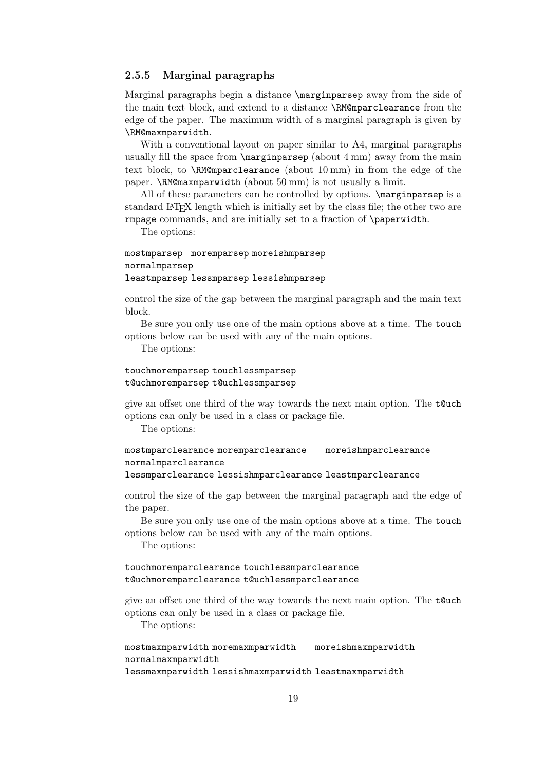### 2.5.5 Marginal paragraphs

Marginal paragraphs begin a distance \marginparsep away from the side of the main text block, and extend to a distance \RM@mparclearance from the edge of the paper. The maximum width of a marginal paragraph is given by \RM@maxmparwidth.

With a conventional layout on paper similar to A4, marginal paragraphs usually fill the space from  $\langle \text{maxp}(\text{about } 4 \text{ mm}) \rangle$  away from the main text block, to \RM@mparclearance (about 10 mm) in from the edge of the paper. \RM@maxmparwidth (about 50 mm) is not usually a limit.

All of these parameters can be controlled by options. \marginparsep is a standard LATEX length which is initially set by the class file; the other two are rmpage commands, and are initially set to a fraction of \paperwidth.

The options:

#### mostmparsep moremparsep moreishmparsep normalmparsep leastmparsep lessmparsep lessishmparsep

control the size of the gap between the marginal paragraph and the main text block.

Be sure you only use one of the main options above at a time. The touch options below can be used with any of the main options.

The options:

#### touchmoremparsep touchlessmparsep t@uchmoremparsep t@uchlessmparsep

give an offset one third of the way towards the next main option. The t@uch options can only be used in a class or package file.

The options:

```
mostmparclearance moremparclearance moreishmparclearance
normalmparclearance
```

```
lessmparclearance lessishmparclearance leastmparclearance
```
control the size of the gap between the marginal paragraph and the edge of the paper.

Be sure you only use one of the main options above at a time. The touch options below can be used with any of the main options.

The options:

#### touchmoremparclearance touchlessmparclearance t@uchmoremparclearance t@uchlessmparclearance

give an offset one third of the way towards the next main option. The t@uch options can only be used in a class or package file.

The options:

#### mostmaxmparwidth moremaxmparwidth moreishmaxmparwidth normalmaxmparwidth lessmaxmparwidth lessishmaxmparwidth leastmaxmparwidth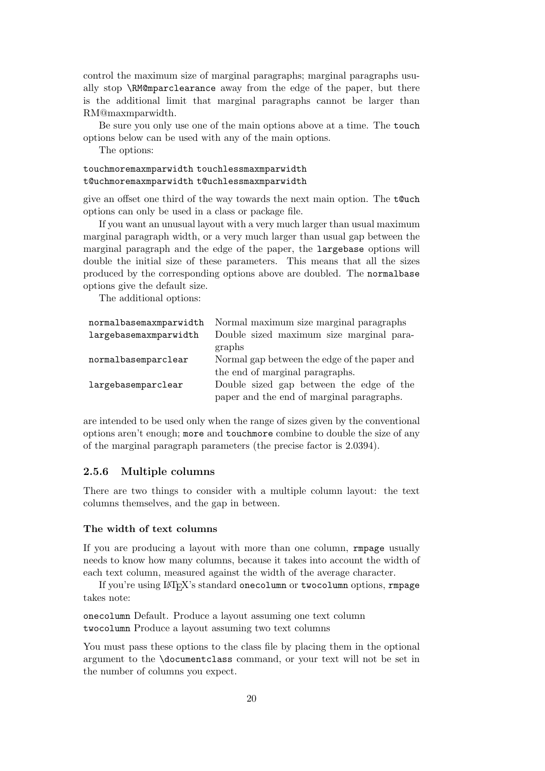control the maximum size of marginal paragraphs; marginal paragraphs usually stop \RM@mparclearance away from the edge of the paper, but there is the additional limit that marginal paragraphs cannot be larger than RM@maxmparwidth.

Be sure you only use one of the main options above at a time. The touch options below can be used with any of the main options.

The options:

#### touchmoremaxmparwidth touchlessmaxmparwidth t@uchmoremaxmparwidth t@uchlessmaxmparwidth

give an offset one third of the way towards the next main option. The t@uch options can only be used in a class or package file.

If you want an unusual layout with a very much larger than usual maximum marginal paragraph width, or a very much larger than usual gap between the marginal paragraph and the edge of the paper, the largebase options will double the initial size of these parameters. This means that all the sizes produced by the corresponding options above are doubled. The normalbase options give the default size.

The additional options:

| normalbasemaxmparwidth | Normal maximum size marginal paragraphs      |
|------------------------|----------------------------------------------|
| largebasemaxmparwidth  | Double sized maximum size marginal para-     |
|                        | graphs                                       |
| normalbasemparclear    | Normal gap between the edge of the paper and |
|                        | the end of marginal paragraphs.              |
| largebasemparclear     | Double sized gap between the edge of the     |
|                        | paper and the end of marginal paragraphs.    |

are intended to be used only when the range of sizes given by the conventional options aren't enough; more and touchmore combine to double the size of any of the marginal paragraph parameters (the precise factor is 2.0394).

#### 2.5.6 Multiple columns

There are two things to consider with a multiple column layout: the text columns themselves, and the gap in between.

#### The width of text columns

If you are producing a layout with more than one column, rmpage usually needs to know how many columns, because it takes into account the width of each text column, measured against the width of the average character.

If you're using LATEX's standard onecolumn or twocolumn options, rmpage takes note:

onecolumn Default. Produce a layout assuming one text column twocolumn Produce a layout assuming two text columns

You must pass these options to the class file by placing them in the optional argument to the \documentclass command, or your text will not be set in the number of columns you expect.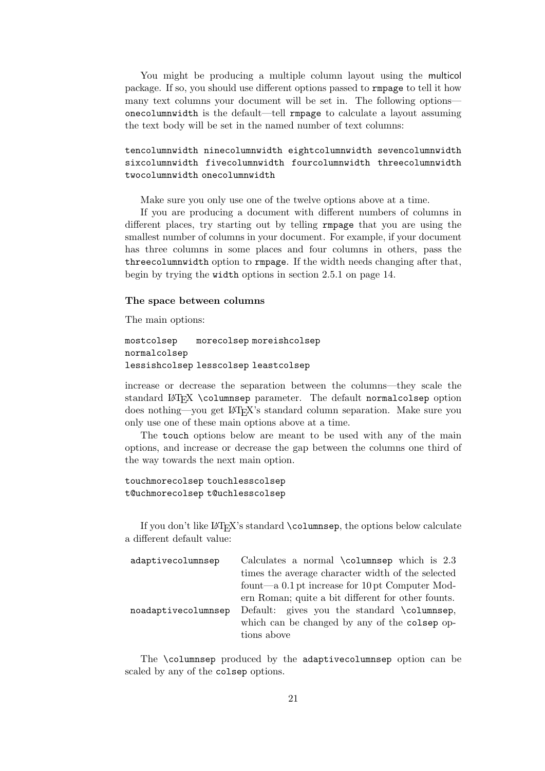You might be producing a multiple column layout using the multicol package. If so, you should use different options passed to rmpage to tell it how many text columns your document will be set in. The following options onecolumnwidth is the default—tell rmpage to calculate a layout assuming the text body will be set in the named number of text columns:

tencolumnwidth ninecolumnwidth eightcolumnwidth sevencolumnwidth sixcolumnwidth fivecolumnwidth fourcolumnwidth threecolumnwidth twocolumnwidth onecolumnwidth

Make sure you only use one of the twelve options above at a time.

If you are producing a document with different numbers of columns in different places, try starting out by telling rmpage that you are using the smallest number of columns in your document. For example, if your document has three columns in some places and four columns in others, pass the threecolumnwidth option to rmpage. If the width needs changing after that, begin by trying the width options in section 2.5.1 on page 14.

#### The space between columns

The main options:

```
mostcolsep morecolsep moreishcolsep
normalcolsep
lessishcolsep lesscolsep leastcolsep
```
increase or decrease the separation between the columns—they scale the standard LATEX \columnsep parameter. The default normalcolsep option does nothing—you get LATEX's standard column separation. Make sure you only use one of these main options above at a time.

The touch options below are meant to be used with any of the main options, and increase or decrease the gap between the columns one third of the way towards the next main option.

```
touchmorecolsep touchlesscolsep
t@uchmorecolsep t@uchlesscolsep
```
If you don't like LATEX's standard \columnsep, the options below calculate a different default value:

| adaptivecolumnsep   | Calculates a normal $\column sep$ which is 2.3      |
|---------------------|-----------------------------------------------------|
|                     | times the average character width of the selected   |
|                     | fount—a $0.1$ pt increase for $10$ pt Computer Mod- |
|                     | ern Roman; quite a bit different for other founts.  |
| noadaptivecolumnsep | Default: gives you the standard \columnsep,         |
|                     | which can be changed by any of the colsep op-       |
|                     | tions above                                         |

The \columnsep produced by the adaptivecolumnsep option can be scaled by any of the colsep options.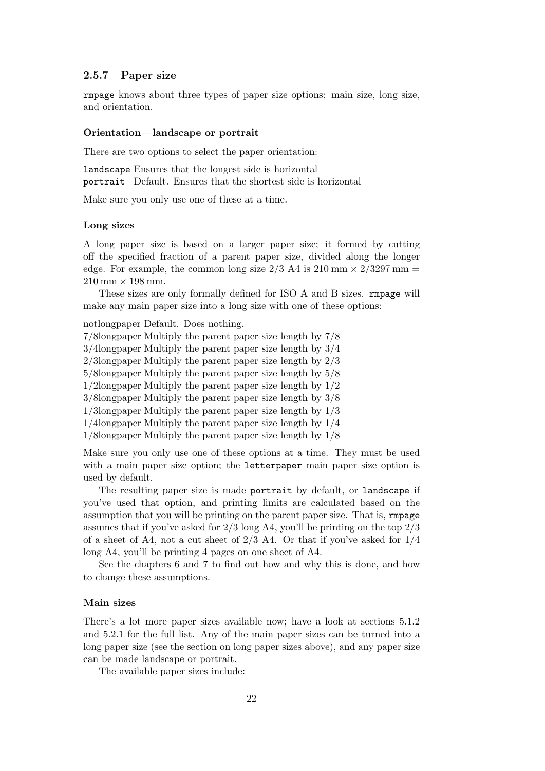#### 2.5.7 Paper size

rmpage knows about three types of paper size options: main size, long size, and orientation.

#### Orientation—landscape or portrait

There are two options to select the paper orientation:

landscape Ensures that the longest side is horizontal portrait Default. Ensures that the shortest side is horizontal

Make sure you only use one of these at a time.

#### Long sizes

A long paper size is based on a larger paper size; it formed by cutting off the specified fraction of a parent paper size, divided along the longer edge. For example, the common long size  $2/3$  A4 is  $210 \text{ mm} \times 2/3297 \text{ mm} =$  $210 \text{ mm} \times 198 \text{ mm}.$ 

These sizes are only formally defined for ISO A and B sizes. rmpage will make any main paper size into a long size with one of these options:

notlongpaper Default. Does nothing.

- 7/8longpaper Multiply the parent paper size length by 7/8
- 3/4longpaper Multiply the parent paper size length by 3/4

2/3longpaper Multiply the parent paper size length by 2/3

5/8longpaper Multiply the parent paper size length by 5/8

1/2longpaper Multiply the parent paper size length by 1/2

3/8longpaper Multiply the parent paper size length by 3/8

1/3longpaper Multiply the parent paper size length by 1/3

1/4longpaper Multiply the parent paper size length by 1/4

1/8longpaper Multiply the parent paper size length by 1/8

Make sure you only use one of these options at a time. They must be used with a main paper size option; the letterpaper main paper size option is used by default.

The resulting paper size is made portrait by default, or landscape if you've used that option, and printing limits are calculated based on the assumption that you will be printing on the parent paper size. That is, rmpage assumes that if you've asked for  $2/3$  long A4, you'll be printing on the top  $2/3$ of a sheet of A4, not a cut sheet of  $2/3$  A4. Or that if you've asked for  $1/4$ long A4, you'll be printing 4 pages on one sheet of A4.

See the chapters 6 and 7 to find out how and why this is done, and how to change these assumptions.

#### Main sizes

There's a lot more paper sizes available now; have a look at sections 5.1.2 and 5.2.1 for the full list. Any of the main paper sizes can be turned into a long paper size (see the section on long paper sizes above), and any paper size can be made landscape or portrait.

The available paper sizes include: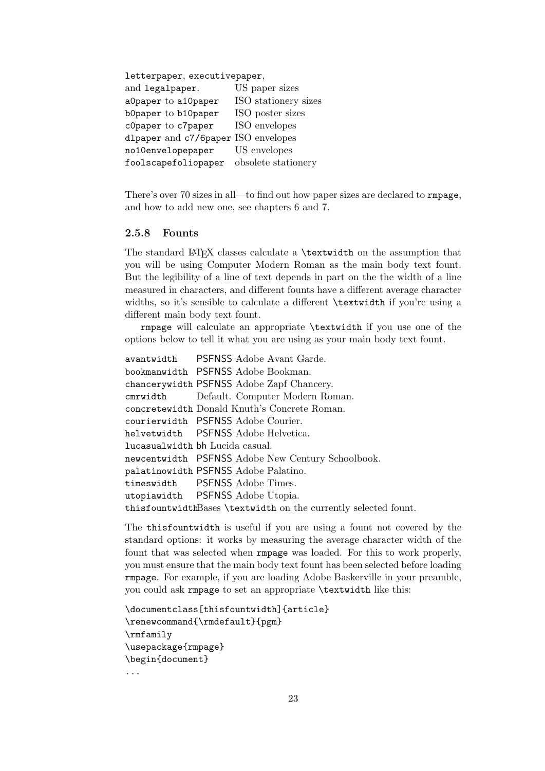letterpaper, executivepaper,

| and legalpaper.                     | US paper sizes       |
|-------------------------------------|----------------------|
| a0paper to a10paper                 | ISO stationery sizes |
| b0paper to b10paper                 | ISO poster sizes     |
| c0paper to c7paper                  | ISO envelopes        |
| dlpaper and c7/6paper ISO envelopes |                      |
| no10envelopepaper                   | US envelopes         |
| foolscapefoliopaper                 | obsolete stationery  |

There's over 70 sizes in all—to find out how paper sizes are declared to rmpage, and how to add new one, see chapters 6 and 7.

#### 2.5.8 Founts

The standard LATEX classes calculate a **\textwidth** on the assumption that you will be using Computer Modern Roman as the main body text fount. But the legibility of a line of text depends in part on the the width of a line measured in characters, and different founts have a different average character widths, so it's sensible to calculate a different \textwidth if you're using a different main body text fount.

rmpage will calculate an appropriate \textwidth if you use one of the options below to tell it what you are using as your main body text fount.

avantwidth PSFNSS Adobe Avant Garde. bookmanwidth PSFNSS Adobe Bookman. chancerywidth PSFNSS Adobe Zapf Chancery. cmrwidth Default. Computer Modern Roman. concretewidth Donald Knuth's Concrete Roman. courierwidth PSFNSS Adobe Courier. helvetwidth PSFNSS Adobe Helvetica. lucasualwidth bh Lucida casual. newcentwidth PSFNSS Adobe New Century Schoolbook. palatinowidth PSFNSS Adobe Palatino. timeswidth PSFNSS Adobe Times. utopiawidth PSFNSS Adobe Utopia. thisfountwidthBases \textwidth on the currently selected fount.

The thisfountwidth is useful if you are using a fount not covered by the standard options: it works by measuring the average character width of the fount that was selected when rmpage was loaded. For this to work properly, you must ensure that the main body text fount has been selected before loading rmpage. For example, if you are loading Adobe Baskerville in your preamble, you could ask rmpage to set an appropriate \textwidth like this:

```
\documentclass[thisfountwidth]{article}
\renewcommand{\rmdefault}{pgm}
\rmfamily
\usepackage{rmpage}
\begin{document}
...
```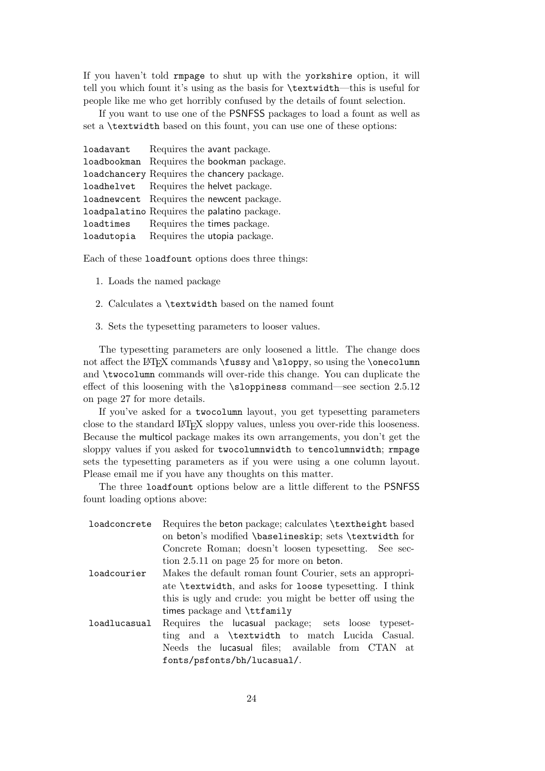If you haven't told rmpage to shut up with the yorkshire option, it will tell you which fount it's using as the basis for \textwidth—this is useful for people like me who get horribly confused by the details of fount selection.

If you want to use one of the PSNFSS packages to load a fount as well as set a \textwidth based on this fount, you can use one of these options:

| loadavant  |  | Requires the avant package.                 |
|------------|--|---------------------------------------------|
|            |  | loadbookman Requires the bookman package.   |
|            |  | loadchancery Requires the chancery package. |
|            |  | loadhelvet Requires the helvet package.     |
|            |  | loadnewcent Requires the newcent package.   |
|            |  | loadpalatino Requires the palatino package. |
| loadtimes  |  | Requires the times package.                 |
| loadutopia |  | Requires the utopia package.                |

Each of these loadfount options does three things:

- 1. Loads the named package
- 2. Calculates a \textwidth based on the named fount
- 3. Sets the typesetting parameters to looser values.

The typesetting parameters are only loosened a little. The change does not affect the LAT<sub>E</sub>X commands **\fussy** and **\sloppy**, so using the **\onecolumn** and \twocolumn commands will over-ride this change. You can duplicate the effect of this loosening with the \sloppiness command—see section 2.5.12 on page 27 for more details.

If you've asked for a twocolumn layout, you get typesetting parameters close to the standard LATEX sloppy values, unless you over-ride this looseness. Because the multicol package makes its own arrangements, you don't get the sloppy values if you asked for twocolumnwidth to tencolumnwidth; rmpage sets the typesetting parameters as if you were using a one column layout. Please email me if you have any thoughts on this matter.

The three loadfount options below are a little different to the PSNFSS fount loading options above:

| loadconcrete | Requires the beton package; calculates \textheight based  |
|--------------|-----------------------------------------------------------|
|              | on beton's modified \baselineskip; sets \textwidth for    |
|              | Concrete Roman; doesn't loosen typesetting. See sec-      |
|              | tion 2.5.11 on page 25 for more on beton.                 |
| loadcourier  | Makes the default roman fount Courier, sets an appropri-  |
|              | ate \textwidth, and asks for loose typesetting. I think   |
|              | this is ugly and crude: you might be better off using the |
|              | times package and \ttfamily                               |
| loadlucasual | Requires the lucasual package; sets loose typeset-        |
|              | ting and a \textwidth to match Lucida Casual.             |
|              | Needs the lucasual files; available from CTAN at          |
|              | fonts/psfonts/bh/lucasual/.                               |
|              |                                                           |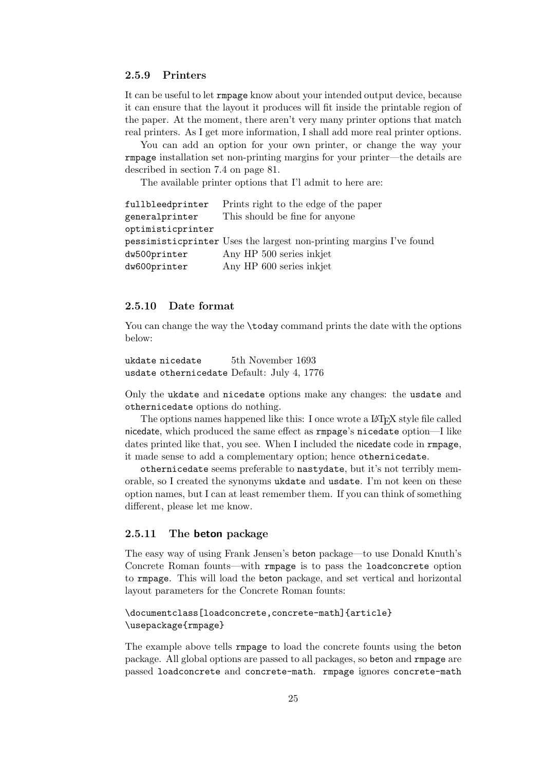#### 2.5.9 Printers

It can be useful to let rmpage know about your intended output device, because it can ensure that the layout it produces will fit inside the printable region of the paper. At the moment, there aren't very many printer options that match real printers. As I get more information, I shall add more real printer options.

You can add an option for your own printer, or change the way your rmpage installation set non-printing margins for your printer—the details are described in section 7.4 on page 81.

The available printer options that I'l admit to here are:

| fullbleedprinter  | Prints right to the edge of the paper                                |
|-------------------|----------------------------------------------------------------------|
| generalprinter    | This should be fine for anyone                                       |
| optimisticprinter |                                                                      |
|                   | pessimistic printer Uses the largest non-printing margins I've found |
| dw500printer      | Any HP 500 series in kjet                                            |
| dw600printer      | Any HP 600 series in kjet                                            |

#### 2.5.10 Date format

You can change the way the **\today** command prints the date with the options below:

```
ukdate nicedate 5th November 1693
usdate othernicedate Default: July 4, 1776
```
Only the ukdate and nicedate options make any changes: the usdate and othernicedate options do nothing.

The options names happened like this: I once wrote a LAT<sub>EX</sub> style file called nicedate, which produced the same effect as rmpage's nicedate option—I like dates printed like that, you see. When I included the nicedate code in rmpage, it made sense to add a complementary option; hence othernicedate.

othernicedate seems preferable to nastydate, but it's not terribly memorable, so I created the synonyms ukdate and usdate. I'm not keen on these option names, but I can at least remember them. If you can think of something different, please let me know.

#### 2.5.11 The beton package

The easy way of using Frank Jensen's beton package—to use Donald Knuth's Concrete Roman founts—with rmpage is to pass the loadconcrete option to rmpage. This will load the beton package, and set vertical and horizontal layout parameters for the Concrete Roman founts:

```
\documentclass[loadconcrete,concrete-math]{article}
\usepackage{rmpage}
```
The example above tells rmpage to load the concrete founts using the beton package. All global options are passed to all packages, so beton and rmpage are passed loadconcrete and concrete-math. rmpage ignores concrete-math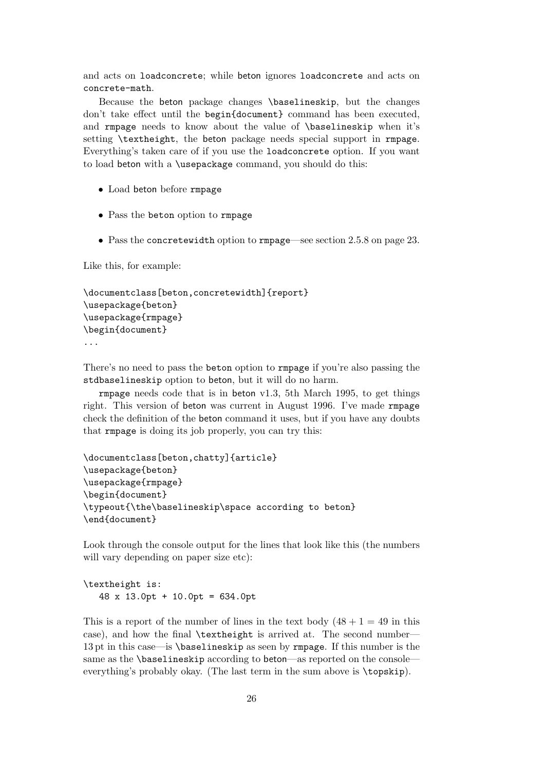and acts on loadconcrete; while beton ignores loadconcrete and acts on concrete-math.

Because the beton package changes \baselineskip, but the changes don't take effect until the begin{document} command has been executed, and rmpage needs to know about the value of \baselineskip when it's setting \textheight, the beton package needs special support in rmpage. Everything's taken care of if you use the loadconcrete option. If you want to load beton with a \usepackage command, you should do this:

- Load beton before rmpage
- Pass the beton option to rmpage
- Pass the concretewidth option to rmpage—see section 2.5.8 on page 23.

Like this, for example:

```
\documentclass[beton,concretewidth]{report}
\usepackage{beton}
\usepackage{rmpage}
\begin{document}
...
```
There's no need to pass the beton option to rmpage if you're also passing the stdbaselineskip option to beton, but it will do no harm.

rmpage needs code that is in beton v1.3, 5th March 1995, to get things right. This version of beton was current in August 1996. I've made rmpage check the definition of the beton command it uses, but if you have any doubts that rmpage is doing its job properly, you can try this:

```
\documentclass[beton,chatty]{article}
\usepackage{beton}
\usepackage{rmpage}
\begin{document}
\typeout{\the\baselineskip\space according to beton}
\end{document}
```
Look through the console output for the lines that look like this (the numbers will vary depending on paper size etc):

```
\textheight is:
  48 x 13.0pt + 10.0pt = 634.0pt
```
This is a report of the number of lines in the text body  $(48 + 1 = 49)$  in this case), and how the final \textheight is arrived at. The second number— 13 pt in this case—is \baselineskip as seen by rmpage. If this number is the same as the **\baselineskip** according to **beton**—as reported on the console everything's probably okay. (The last term in the sum above is \topskip).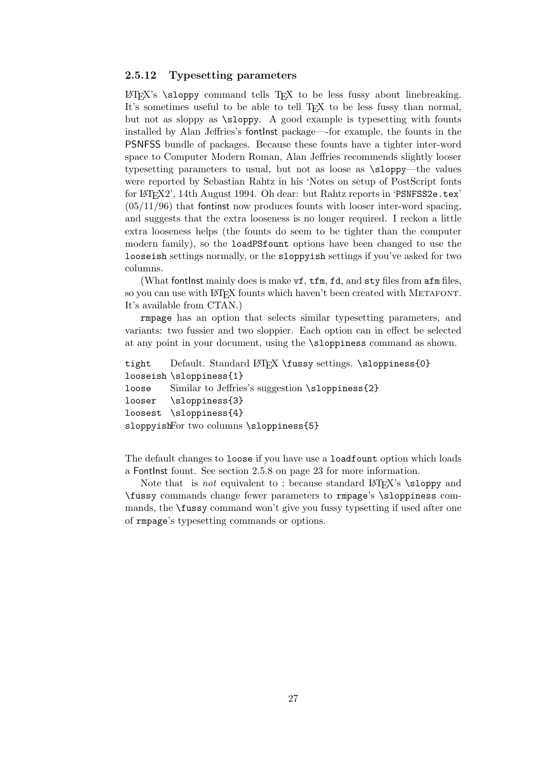#### 2.5.12 Typesetting parameters

LATEX's \sloppy command tells TEX to be less fussy about linebreaking. It's sometimes useful to be able to tell T<sub>EX</sub> to be less fussy than normal, but not as sloppy as \sloppy. A good example is typesetting with founts installed by Alan Jeffries's fontInst package—-for example, the founts in the PSNFSS bundle of packages. Because these founts have a tighter inter-word space to Computer Modern Roman, Alan Jeffries recommends slightly looser typesetting parameters to usual, but not as loose as \sloppy—the values were reported by Sebastian Rahtz in his 'Notes on setup of PostScript fonts for LATEX2', 14th August 1994. Oh dear: but Rahtz reports in 'PSNFSS2e.tex'  $(05/11/96)$  that fontinst now produces founts with looser inter-word spacing, and suggests that the extra looseness is no longer required. I reckon a little extra looseness helps (the founts do seem to be tighter than the computer modern family), so the loadPSfount options have been changed to use the looseish settings normally, or the sloppyish settings if you've asked for two columns.

(What fontlnst mainly does is make vf, tfm, fd, and sty files from afm files, so you can use with LAT<sub>EX</sub> founts which haven't been created with METAFONT. It's available from CTAN.)

rmpage has an option that selects similar typesetting parameters, and variants: two fussier and two sloppier. Each option can in effect be selected at any point in your document, using the \sloppiness command as shown.

```
tight Default. Standard LATEX \fussy settings. \sloppiness{0}
looseish \sloppiness{1}
loose Similar to Jeffries's suggestion \sloppiness{2}
looser \sloppiness{3}
loosest \sloppiness{4}
sloppyishFor two columns \sloppiness{5}
```
The default changes to loose if you have use a loadfount option which loads a FontInst fount. See section 2.5.8 on page 23 for more information.

Note that is *not* equivalent to; because standard  $\text{LATEX's } \slop{y}$  and \fussy commands change fewer parameters to rmpage's \sloppiness commands, the \fussy command won't give you fussy typsetting if used after one of rmpage's typesetting commands or options.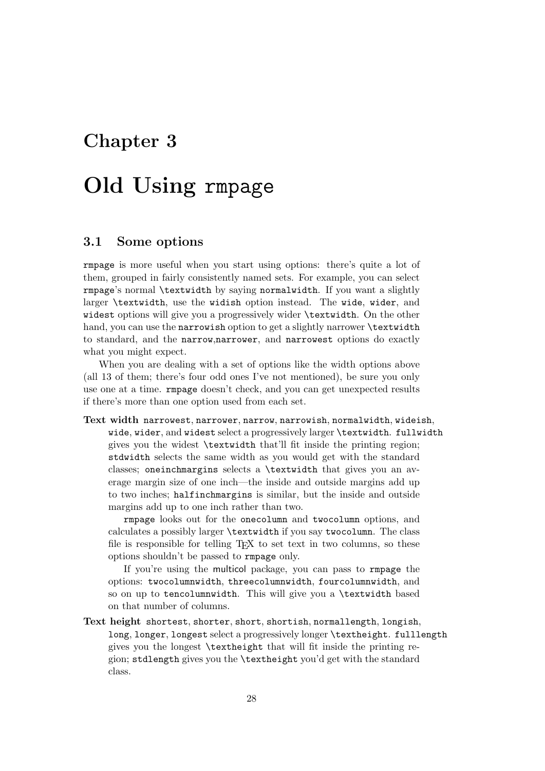## Chapter 3

# Old Using rmpage

## 3.1 Some options

rmpage is more useful when you start using options: there's quite a lot of them, grouped in fairly consistently named sets. For example, you can select rmpage's normal \textwidth by saying normalwidth. If you want a slightly larger \textwidth, use the widish option instead. The wide, wider, and widest options will give you a progressively wider \textwidth. On the other hand, you can use the narrowish option to get a slightly narrower \textwidth to standard, and the narrow,narrower, and narrowest options do exactly what you might expect.

When you are dealing with a set of options like the width options above (all 13 of them; there's four odd ones I've not mentioned), be sure you only use one at a time. rmpage doesn't check, and you can get unexpected results if there's more than one option used from each set.

## Text width narrowest, narrower, narrow, narrowish, normalwidth, wideish, wide, wider, and widest select a progressively larger \textwidth. fullwidth gives you the widest \textwidth that'll fit inside the printing region; stdwidth selects the same width as you would get with the standard classes; oneinchmargins selects a \textwidth that gives you an average margin size of one inch—the inside and outside margins add up to two inches; halfinchmargins is similar, but the inside and outside margins add up to one inch rather than two.

rmpage looks out for the onecolumn and twocolumn options, and calculates a possibly larger \textwidth if you say twocolumn. The class file is responsible for telling  $T_{F}X$  to set text in two columns, so these options shouldn't be passed to rmpage only.

If you're using the multicol package, you can pass to rmpage the options: twocolumnwidth, threecolumnwidth, fourcolumnwidth, and so on up to tencolumnwidth. This will give you a \textwidth based on that number of columns.

Text height shortest, shorter, short, shortish, normallength, longish, long, longer, longest select a progressively longer \textheight. fulllength gives you the longest \textheight that will fit inside the printing region; stdlength gives you the \textheight you'd get with the standard class.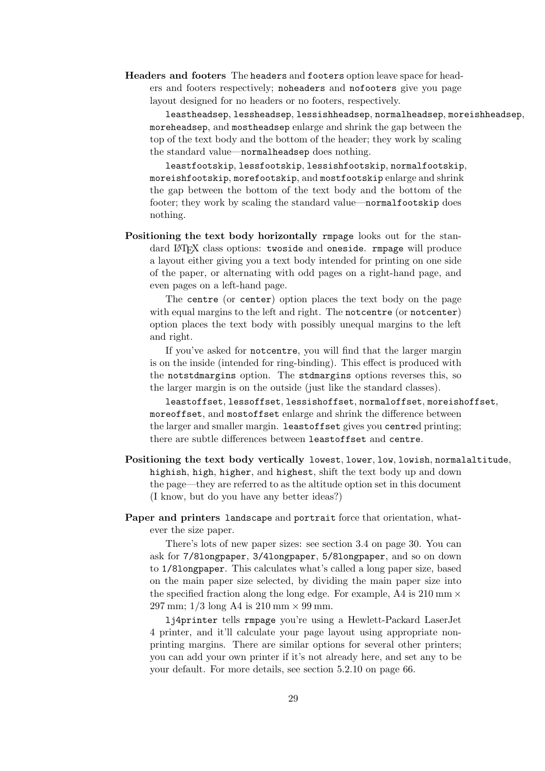Headers and footers The headers and footers option leave space for headers and footers respectively; noheaders and nofooters give you page layout designed for no headers or no footers, respectively.

leastheadsep, lessheadsep, lessishheadsep, normalheadsep, moreishheadsep, moreheadsep, and mostheadsep enlarge and shrink the gap between the top of the text body and the bottom of the header; they work by scaling the standard value—normalheadsep does nothing.

leastfootskip, lessfootskip, lessishfootskip, normalfootskip, moreishfootskip, morefootskip, and mostfootskip enlarge and shrink the gap between the bottom of the text body and the bottom of the footer; they work by scaling the standard value—normalfootskip does nothing.

Positioning the text body horizontally rmpage looks out for the standard LAT<sub>EX</sub> class options: twoside and oneside. rmpage will produce a layout either giving you a text body intended for printing on one side of the paper, or alternating with odd pages on a right-hand page, and even pages on a left-hand page.

The centre (or center) option places the text body on the page with equal margins to the left and right. The notcentre (or notcenter) option places the text body with possibly unequal margins to the left and right.

If you've asked for notcentre, you will find that the larger margin is on the inside (intended for ring-binding). This effect is produced with the notstdmargins option. The stdmargins options reverses this, so the larger margin is on the outside (just like the standard classes).

leastoffset, lessoffset, lessishoffset, normaloffset, moreishoffset, moreoffset, and mostoffset enlarge and shrink the difference between the larger and smaller margin. leastoffset gives you centred printing; there are subtle differences between leastoffset and centre.

Positioning the text body vertically lowest, lower, low, lowish, normalaltitude, highish, high, higher, and highest, shift the text body up and down the page—they are referred to as the altitude option set in this document (I know, but do you have any better ideas?)

Paper and printers landscape and portrait force that orientation, whatever the size paper.

There's lots of new paper sizes: see section 3.4 on page 30. You can ask for 7/8longpaper, 3/4longpaper, 5/8longpaper, and so on down to 1/8longpaper. This calculates what's called a long paper size, based on the main paper size selected, by dividing the main paper size into the specified fraction along the long edge. For example, A4 is  $210 \text{ mm} \times$ 297 mm;  $1/3$  long A4 is  $210 \text{ mm} \times 99 \text{ mm}$ .

lj4printer tells rmpage you're using a Hewlett-Packard LaserJet 4 printer, and it'll calculate your page layout using appropriate nonprinting margins. There are similar options for several other printers; you can add your own printer if it's not already here, and set any to be your default. For more details, see section 5.2.10 on page 66.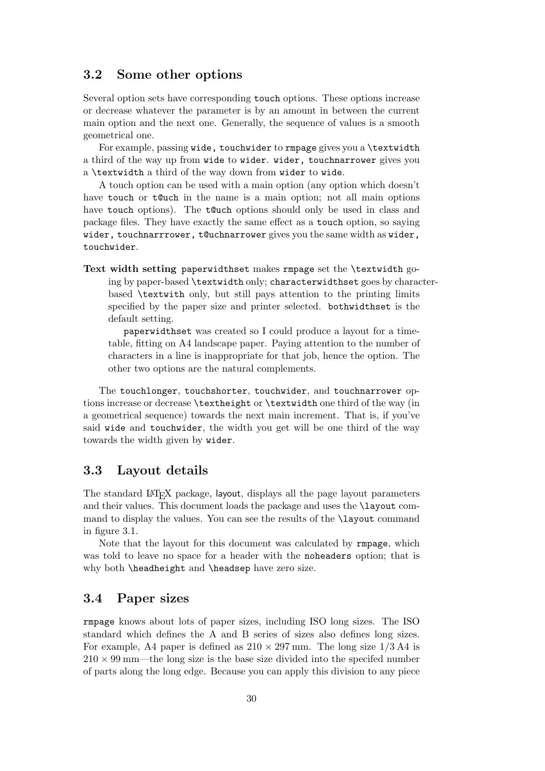## 3.2 Some other options

Several option sets have corresponding touch options. These options increase or decrease whatever the parameter is by an amount in between the current main option and the next one. Generally, the sequence of values is a smooth geometrical one.

For example, passing wide, touchwider to rmpage gives you a \textwidth a third of the way up from wide to wider. wider, touchnarrower gives you a \textwidth a third of the way down from wider to wide.

A touch option can be used with a main option (any option which doesn't have touch or to uch in the name is a main option; not all main options have touch options). The t@uch options should only be used in class and package files. They have exactly the same effect as a touch option, so saying wider, touchnarrrower, t@uchnarrower gives you the same width as wider, touchwider.

Text width setting paperwidthset makes rmpage set the \textwidth going by paper-based \textwidth only; characterwidthset goes by characterbased \textwith only, but still pays attention to the printing limits specified by the paper size and printer selected. bothwidthset is the default setting.

paperwidthset was created so I could produce a layout for a timetable, fitting on A4 landscape paper. Paying attention to the number of characters in a line is inappropriate for that job, hence the option. The other two options are the natural complements.

The touchlonger, touchshorter, touchwider, and touchnarrower options increase or decrease \textheight or \textwidth one third of the way (in a geometrical sequence) towards the next main increment. That is, if you've said wide and touchwider, the width you get will be one third of the way towards the width given by wider.

## 3.3 Layout details

The standard L<sup>AT</sup>EX package, layout, displays all the page layout parameters and their values. This document loads the package and uses the \layout command to display the values. You can see the results of the \layout command in figure 3.1.

Note that the layout for this document was calculated by rmpage, which was told to leave no space for a header with the noheaders option; that is why both \headheight and \headsep have zero size.

## 3.4 Paper sizes

rmpage knows about lots of paper sizes, including ISO long sizes. The ISO standard which defines the A and B series of sizes also defines long sizes. For example, A4 paper is defined as  $210 \times 297$  mm. The long size  $1/3$  A4 is  $210 \times 99$  mm—the long size is the base size divided into the specifed number of parts along the long edge. Because you can apply this division to any piece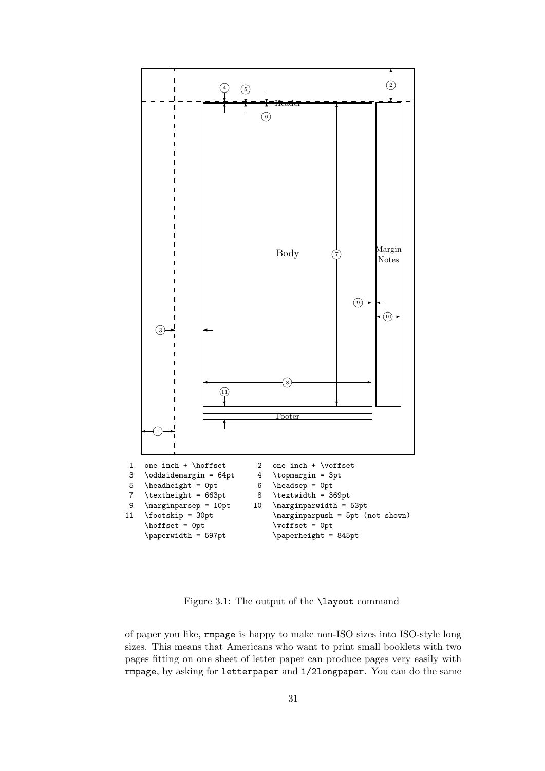

Figure 3.1: The output of the \layout command

of paper you like, rmpage is happy to make non-ISO sizes into ISO-style long sizes. This means that Americans who want to print small booklets with two pages fitting on one sheet of letter paper can produce pages very easily with rmpage, by asking for letterpaper and 1/2longpaper. You can do the same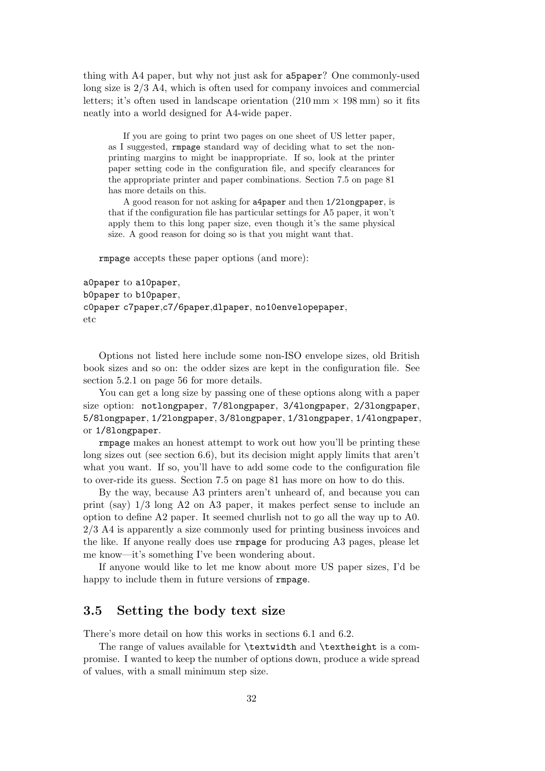thing with A4 paper, but why not just ask for a5paper? One commonly-used long size is 2/3 A4, which is often used for company invoices and commercial letters; it's often used in landscape orientation  $(210 \text{ mm} \times 198 \text{ mm})$  so it fits neatly into a world designed for A4-wide paper.

If you are going to print two pages on one sheet of US letter paper, as I suggested, rmpage standard way of deciding what to set the nonprinting margins to might be inappropriate. If so, look at the printer paper setting code in the configuration file, and specify clearances for the appropriate printer and paper combinations. Section 7.5 on page 81 has more details on this.

A good reason for not asking for a4paper and then 1/2longpaper, is that if the configuration file has particular settings for A5 paper, it won't apply them to this long paper size, even though it's the same physical size. A good reason for doing so is that you might want that.

rmpage accepts these paper options (and more):

```
a0paper to a10paper,
b0paper to b10paper,
c0paper c7paper,c7/6paper,dlpaper, no10envelopepaper,
etc
```
Options not listed here include some non-ISO envelope sizes, old British book sizes and so on: the odder sizes are kept in the configuration file. See section 5.2.1 on page 56 for more details.

You can get a long size by passing one of these options along with a paper size option: notlongpaper, 7/8longpaper, 3/4longpaper, 2/3longpaper, 5/8longpaper, 1/2longpaper, 3/8longpaper, 1/3longpaper, 1/4longpaper, or 1/8longpaper.

rmpage makes an honest attempt to work out how you'll be printing these long sizes out (see section 6.6), but its decision might apply limits that aren't what you want. If so, you'll have to add some code to the configuration file to over-ride its guess. Section 7.5 on page 81 has more on how to do this.

By the way, because A3 printers aren't unheard of, and because you can print (say) 1/3 long A2 on A3 paper, it makes perfect sense to include an option to define A2 paper. It seemed churlish not to go all the way up to A0. 2/3 A4 is apparently a size commonly used for printing business invoices and the like. If anyone really does use rmpage for producing A3 pages, please let me know—it's something I've been wondering about.

If anyone would like to let me know about more US paper sizes, I'd be happy to include them in future versions of rmpage.

### 3.5 Setting the body text size

There's more detail on how this works in sections 6.1 and 6.2.

The range of values available for \textwidth and \textheight is a compromise. I wanted to keep the number of options down, produce a wide spread of values, with a small minimum step size.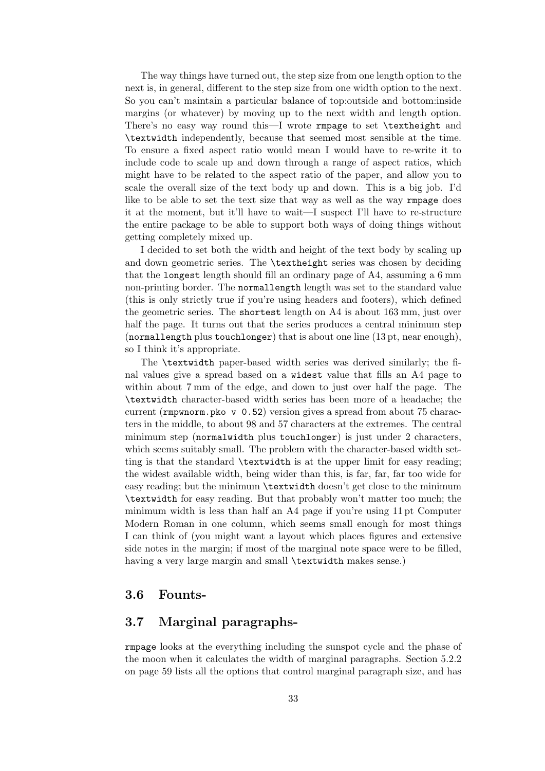The way things have turned out, the step size from one length option to the next is, in general, different to the step size from one width option to the next. So you can't maintain a particular balance of top:outside and bottom:inside margins (or whatever) by moving up to the next width and length option. There's no easy way round this—I wrote rmpage to set \textheight and \textwidth independently, because that seemed most sensible at the time. To ensure a fixed aspect ratio would mean I would have to re-write it to include code to scale up and down through a range of aspect ratios, which might have to be related to the aspect ratio of the paper, and allow you to scale the overall size of the text body up and down. This is a big job. I'd like to be able to set the text size that way as well as the way rmpage does it at the moment, but it'll have to wait—I suspect I'll have to re-structure the entire package to be able to support both ways of doing things without getting completely mixed up.

I decided to set both the width and height of the text body by scaling up and down geometric series. The \textheight series was chosen by deciding that the longest length should fill an ordinary page of A4, assuming a 6 mm non-printing border. The normallength length was set to the standard value (this is only strictly true if you're using headers and footers), which defined the geometric series. The shortest length on A4 is about 163 mm, just over half the page. It turns out that the series produces a central minimum step (normallength plus touchlonger) that is about one line (13 pt, near enough), so I think it's appropriate.

The \textwidth paper-based width series was derived similarly; the final values give a spread based on a widest value that fills an A4 page to within about 7 mm of the edge, and down to just over half the page. The \textwidth character-based width series has been more of a headache; the current (rmpwnorm.pko v 0.52) version gives a spread from about 75 characters in the middle, to about 98 and 57 characters at the extremes. The central minimum step (normalwidth plus touchlonger) is just under 2 characters, which seems suitably small. The problem with the character-based width setting is that the standard \textwidth is at the upper limit for easy reading; the widest available width, being wider than this, is far, far, far too wide for easy reading; but the minimum \textwidth doesn't get close to the minimum \textwidth for easy reading. But that probably won't matter too much; the minimum width is less than half an A4 page if you're using 11 pt Computer Modern Roman in one column, which seems small enough for most things I can think of (you might want a layout which places figures and extensive side notes in the margin; if most of the marginal note space were to be filled, having a very large margin and small **\textwidth** makes sense.)

#### 3.6 Founts-

## 3.7 Marginal paragraphs-

rmpage looks at the everything including the sunspot cycle and the phase of the moon when it calculates the width of marginal paragraphs. Section 5.2.2 on page 59 lists all the options that control marginal paragraph size, and has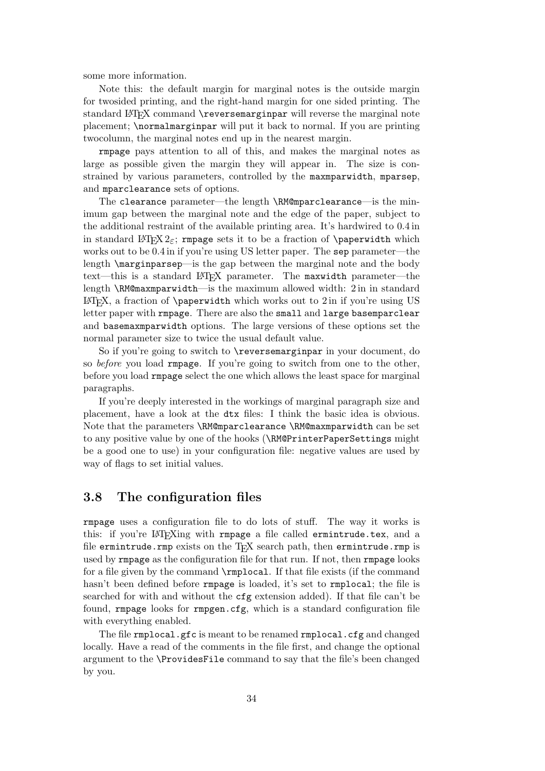some more information.

Note this: the default margin for marginal notes is the outside margin for twosided printing, and the right-hand margin for one sided printing. The standard LATEX command \reversemarginpar will reverse the marginal note placement; \normalmarginpar will put it back to normal. If you are printing twocolumn, the marginal notes end up in the nearest margin.

rmpage pays attention to all of this, and makes the marginal notes as large as possible given the margin they will appear in. The size is constrained by various parameters, controlled by the maxmparwidth, mparsep, and mparclearance sets of options.

The clearance parameter—the length \RM@mparclearance—is the minimum gap between the marginal note and the edge of the paper, subject to the additional restraint of the available printing area. It's hardwired to 0.4 in in standard LATEX  $2\epsilon$ ; rmpage sets it to be a fraction of \paperwidth which works out to be 0.4 in if you're using US letter paper. The sep parameter—the length \marginparsep—is the gap between the marginal note and the body text—this is a standard LATEX parameter. The maxwidth parameter—the length \RM@maxmparwidth—is the maximum allowed width: 2 in in standard  $\Delta$ T<sub>E</sub>X, a fraction of \paperwidth which works out to 2 in if you're using US letter paper with rmpage. There are also the small and large basemparclear and basemaxmparwidth options. The large versions of these options set the normal parameter size to twice the usual default value.

So if you're going to switch to \reversemarginpar in your document, do so before you load rmpage. If you're going to switch from one to the other, before you load rmpage select the one which allows the least space for marginal paragraphs.

If you're deeply interested in the workings of marginal paragraph size and placement, have a look at the dtx files: I think the basic idea is obvious. Note that the parameters \RM@mparclearance \RM@maxmparwidth can be set to any positive value by one of the hooks (\RM@PrinterPaperSettings might be a good one to use) in your configuration file: negative values are used by way of flags to set initial values.

## 3.8 The configuration files

rmpage uses a configuration file to do lots of stuff. The way it works is this: if you're LAT<sub>F</sub>Xing with rmpage a file called ermintrude.tex, and a file ermintrude.rmp exists on the T<sub>EX</sub> search path, then ermintrude.rmp is used by rmpage as the configuration file for that run. If not, then rmpage looks for a file given by the command \rmplocal. If that file exists (if the command hasn't been defined before rmpage is loaded, it's set to rmplocal; the file is searched for with and without the cfg extension added). If that file can't be found, rmpage looks for rmpgen.cfg, which is a standard configuration file with everything enabled.

The file rmplocal.gfc is meant to be renamed rmplocal.cfg and changed locally. Have a read of the comments in the file first, and change the optional argument to the \ProvidesFile command to say that the file's been changed by you.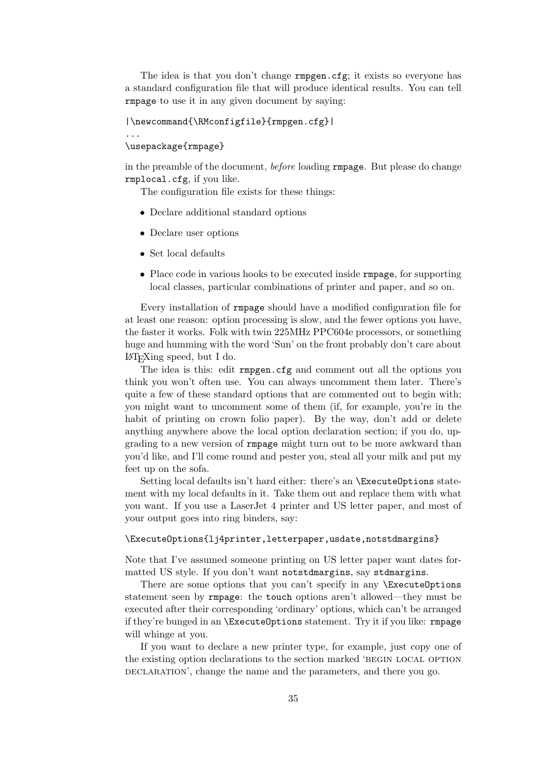The idea is that you don't change rmpgen.cfg; it exists so everyone has a standard configuration file that will produce identical results. You can tell rmpage to use it in any given document by saying:

```
|\newcommand{\RMconfigfile}{rmpgen.cfg}|
```
\usepackage{rmpage}

...

in the preamble of the document, before loading rmpage. But please do change rmplocal.cfg, if you like.

The configuration file exists for these things:

- Declare additional standard options
- Declare user options
- Set local defaults
- Place code in various hooks to be executed inside **rmpage**, for supporting local classes, particular combinations of printer and paper, and so on.

Every installation of rmpage should have a modified configuration file for at least one reason: option processing is slow, and the fewer options you have, the faster it works. Folk with twin 225MHz PPC604e processors, or something huge and humming with the word 'Sun' on the front probably don't care about LATEXing speed, but I do.

The idea is this: edit rmpgen.cfg and comment out all the options you think you won't often use. You can always uncomment them later. There's quite a few of these standard options that are commented out to begin with; you might want to uncomment some of them (if, for example, you're in the habit of printing on crown folio paper). By the way, don't add or delete anything anywhere above the local option declaration section; if you do, upgrading to a new version of rmpage might turn out to be more awkward than you'd like, and I'll come round and pester you, steal all your milk and put my feet up on the sofa.

Setting local defaults isn't hard either: there's an \ExecuteOptions statement with my local defaults in it. Take them out and replace them with what you want. If you use a LaserJet 4 printer and US letter paper, and most of your output goes into ring binders, say:

#### \ExecuteOptions{lj4printer,letterpaper,usdate,notstdmargins}

Note that I've assumed someone printing on US letter paper want dates formatted US style. If you don't want notstdmargins, say stdmargins.

There are some options that you can't specify in any **\ExecuteOptions** statement seen by rmpage: the touch options aren't allowed—they must be executed after their corresponding 'ordinary' options, which can't be arranged if they're bunged in an \ExecuteOptions statement. Try it if you like: rmpage will whinge at you.

If you want to declare a new printer type, for example, just copy one of the existing option declarations to the section marked 'BEGIN LOCAL OPTION DECLARATION', change the name and the parameters, and there you go.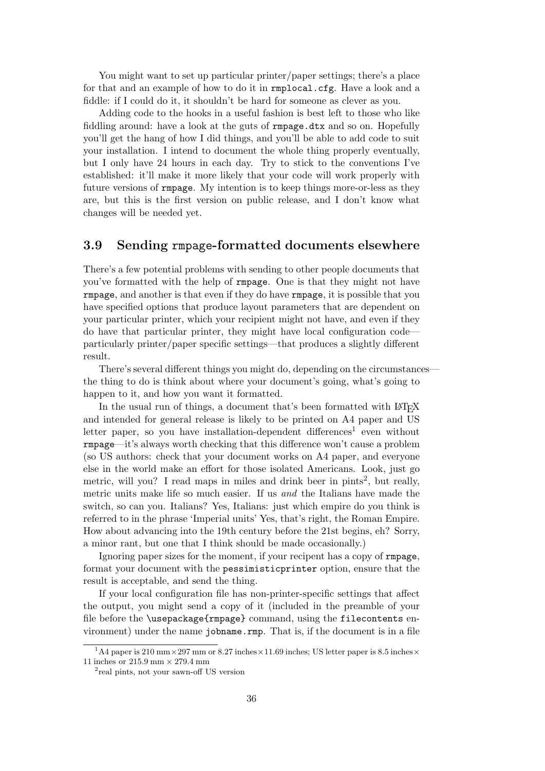You might want to set up particular printer/paper settings; there's a place for that and an example of how to do it in rmplocal.cfg. Have a look and a fiddle: if I could do it, it shouldn't be hard for someone as clever as you.

Adding code to the hooks in a useful fashion is best left to those who like fiddling around: have a look at the guts of **rmpage**.dtx and so on. Hopefully you'll get the hang of how I did things, and you'll be able to add code to suit your installation. I intend to document the whole thing properly eventually, but I only have 24 hours in each day. Try to stick to the conventions I've established: it'll make it more likely that your code will work properly with future versions of rmpage. My intention is to keep things more-or-less as they are, but this is the first version on public release, and I don't know what changes will be needed yet.

#### 3.9 Sending rmpage-formatted documents elsewhere

There's a few potential problems with sending to other people documents that you've formatted with the help of rmpage. One is that they might not have rmpage, and another is that even if they do have rmpage, it is possible that you have specified options that produce layout parameters that are dependent on your particular printer, which your recipient might not have, and even if they do have that particular printer, they might have local configuration code particularly printer/paper specific settings—that produces a slightly different result.

There's several different things you might do, depending on the circumstances the thing to do is think about where your document's going, what's going to happen to it, and how you want it formatted.

In the usual run of things, a document that's been formatted with LAT<sub>EX</sub> and intended for general release is likely to be printed on A4 paper and US letter paper, so you have installation-dependent differences<sup>1</sup> even without rmpage—it's always worth checking that this difference won't cause a problem (so US authors: check that your document works on A4 paper, and everyone else in the world make an effort for those isolated Americans. Look, just go metric, will you? I read maps in miles and drink beer in pints<sup>2</sup>, but really, metric units make life so much easier. If us and the Italians have made the switch, so can you. Italians? Yes, Italians: just which empire do you think is referred to in the phrase 'Imperial units' Yes, that's right, the Roman Empire. How about advancing into the 19th century before the 21st begins, eh? Sorry, a minor rant, but one that I think should be made occasionally.)

Ignoring paper sizes for the moment, if your recipent has a copy of rmpage, format your document with the pessimisticprinter option, ensure that the result is acceptable, and send the thing.

If your local configuration file has non-printer-specific settings that affect the output, you might send a copy of it (included in the preamble of your file before the \usepackage{rmpage} command, using the filecontents environment) under the name jobname.rmp. That is, if the document is in a file

<sup>&</sup>lt;sup>1</sup>A4 paper is 210 mm × 297 mm or 8.27 inches × 11.69 inches; US letter paper is 8.5 inches × 11 inches or 215.9 mm  $\times$  279.4 mm

<sup>2</sup> real pints, not your sawn-off US version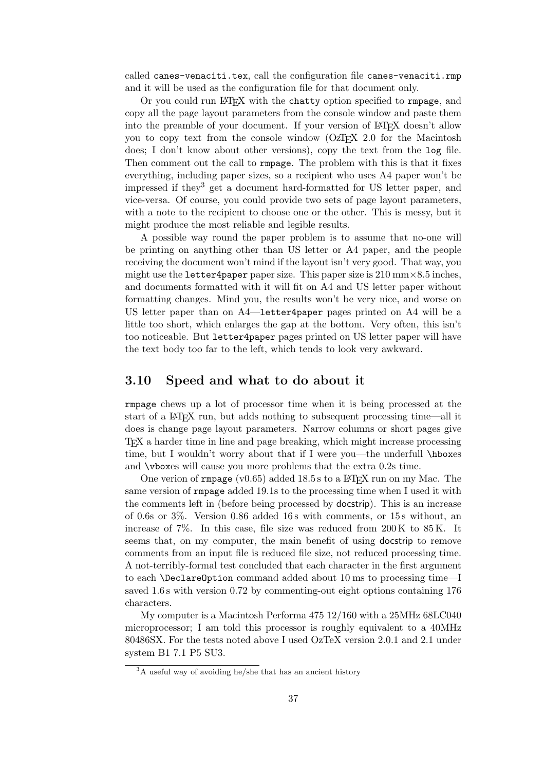called canes-venaciti.tex, call the configuration file canes-venaciti.rmp and it will be used as the configuration file for that document only.

Or you could run LAT<sub>EX</sub> with the chatty option specified to rmpage, and copy all the page layout parameters from the console window and paste them into the preamble of your document. If your version of LAT<sub>EX</sub> doesn't allow you to copy text from the console window  $OZF<sub>F</sub>X$  2.0 for the Macintosh does; I don't know about other versions), copy the text from the log file. Then comment out the call to rmpage. The problem with this is that it fixes everything, including paper sizes, so a recipient who uses A4 paper won't be impressed if they<sup>3</sup> get a document hard-formatted for US letter paper, and vice-versa. Of course, you could provide two sets of page layout parameters, with a note to the recipient to choose one or the other. This is messy, but it might produce the most reliable and legible results.

A possible way round the paper problem is to assume that no-one will be printing on anything other than US letter or A4 paper, and the people receiving the document won't mind if the layout isn't very good. That way, you might use the letter4paper paper size. This paper size is  $210 \text{ mm} \times 8.5$  inches, and documents formatted with it will fit on A4 and US letter paper without formatting changes. Mind you, the results won't be very nice, and worse on US letter paper than on A4—letter4paper pages printed on A4 will be a little too short, which enlarges the gap at the bottom. Very often, this isn't too noticeable. But letter4paper pages printed on US letter paper will have the text body too far to the left, which tends to look very awkward.

#### 3.10 Speed and what to do about it

rmpage chews up a lot of processor time when it is being processed at the start of a LATEX run, but adds nothing to subsequent processing time—all it does is change page layout parameters. Narrow columns or short pages give TEX a harder time in line and page breaking, which might increase processing time, but I wouldn't worry about that if I were you—the underfull \hboxes and \vboxes will cause you more problems that the extra 0.2s time.

One verion of rmpage (v0.65) added  $18.5 s$  to a LAT<sub>EX</sub> run on my Mac. The same version of rmpage added 19.1s to the processing time when I used it with the comments left in (before being processed by docstrip). This is an increase of 0.6s or 3%. Version 0.86 added 16 s with comments, or 15 s without, an increase of  $7\%$ . In this case, file size was reduced from  $200\,\mathrm{K}$  to  $85\,\mathrm{K}$ . It seems that, on my computer, the main benefit of using docstrip to remove comments from an input file is reduced file size, not reduced processing time. A not-terribly-formal test concluded that each character in the first argument to each \DeclareOption command added about 10 ms to processing time—I saved 1.6 s with version 0.72 by commenting-out eight options containing 176 characters.

My computer is a Macintosh Performa 475 12/160 with a 25MHz 68LC040 microprocessor; I am told this processor is roughly equivalent to a 40MHz 80486SX. For the tests noted above I used OzTeX version 2.0.1 and 2.1 under system B1 7.1 P5 SU3.

<sup>&</sup>lt;sup>3</sup>A useful way of avoiding he/she that has an ancient history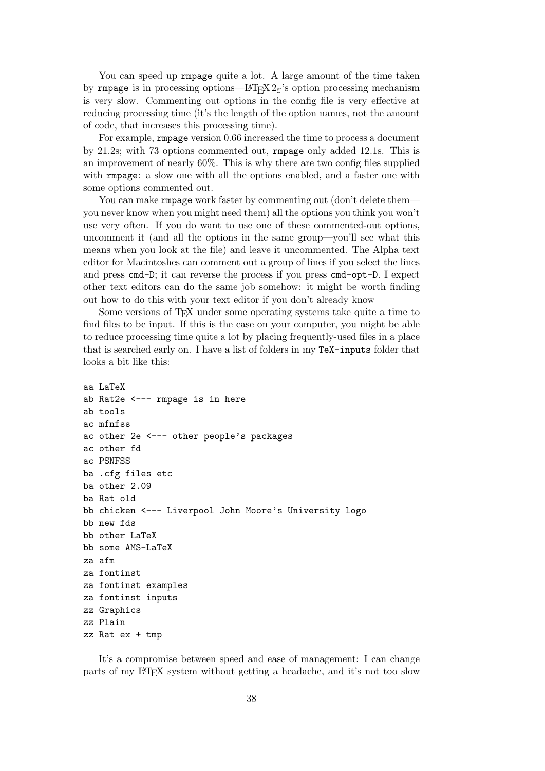You can speed up rmpage quite a lot. A large amount of the time taken by rmpage is in processing options—LAT<sub>E</sub>X  $2\varepsilon$ 's option processing mechanism is very slow. Commenting out options in the config file is very effective at reducing processing time (it's the length of the option names, not the amount of code, that increases this processing time).

For example, rmpage version 0.66 increased the time to process a document by 21.2s; with 73 options commented out, rmpage only added 12.1s. This is an improvement of nearly 60%. This is why there are two config files supplied with rmpage: a slow one with all the options enabled, and a faster one with some options commented out.

You can make rmpage work faster by commenting out (don't delete them you never know when you might need them) all the options you think you won't use very often. If you do want to use one of these commented-out options, uncomment it (and all the options in the same group—you'll see what this means when you look at the file) and leave it uncommented. The Alpha text editor for Macintoshes can comment out a group of lines if you select the lines and press cmd-D; it can reverse the process if you press cmd-opt-D. I expect other text editors can do the same job somehow: it might be worth finding out how to do this with your text editor if you don't already know

Some versions of T<sub>E</sub>X under some operating systems take quite a time to find files to be input. If this is the case on your computer, you might be able to reduce processing time quite a lot by placing frequently-used files in a place that is searched early on. I have a list of folders in my TeX-inputs folder that looks a bit like this:

```
aa LaTeX
ab Rat2e <--- rmpage is in here
ab tools
ac mfnfss
ac other 2e <--- other people's packages
ac other fd
ac PSNFSS
ba .cfg files etc
ba other 2.09
ba Rat old
bb chicken <--- Liverpool John Moore's University logo
bb new fds
bb other LaTeX
bb some AMS-LaTeX
za afm
za fontinst
za fontinst examples
za fontinst inputs
zz Graphics
zz Plain
zz Rat ex + tmp
```
It's a compromise between speed and ease of management: I can change parts of my LATEX system without getting a headache, and it's not too slow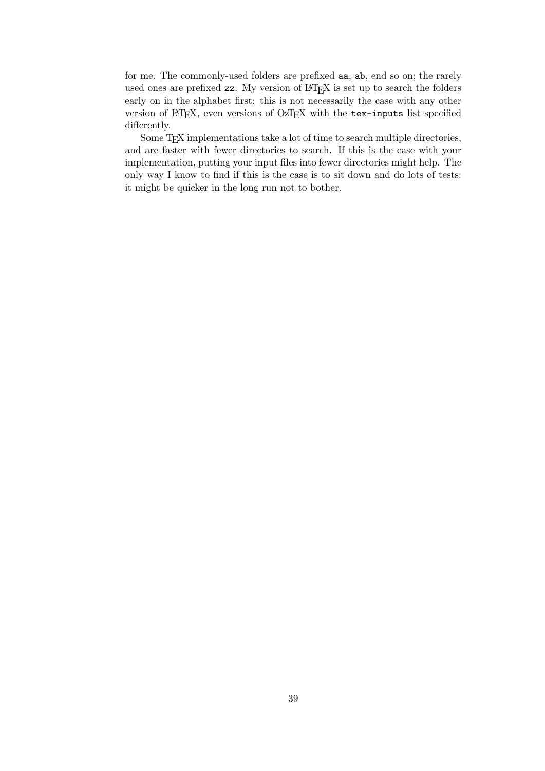for me. The commonly-used folders are prefixed aa, ab, end so on; the rarely used ones are prefixed zz. My version of LAT<sub>E</sub>X is set up to search the folders early on in the alphabet first: this is not necessarily the case with any other version of LATEX, even versions of OzTEX with the tex-inputs list specified differently.

Some T<sub>E</sub>X implementations take a lot of time to search multiple directories, and are faster with fewer directories to search. If this is the case with your implementation, putting your input files into fewer directories might help. The only way I know to find if this is the case is to sit down and do lots of tests: it might be quicker in the long run not to bother.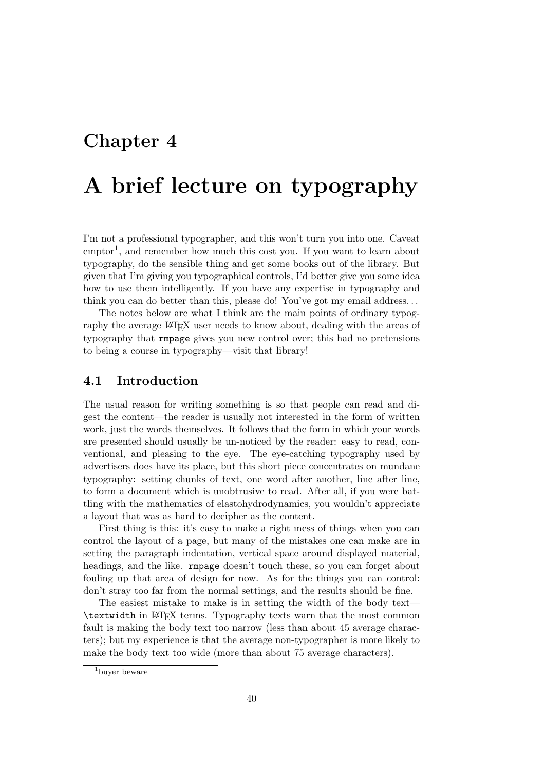## Chapter 4

# A brief lecture on typography

I'm not a professional typographer, and this won't turn you into one. Caveat emptor<sup>1</sup>, and remember how much this cost you. If you want to learn about typography, do the sensible thing and get some books out of the library. But given that I'm giving you typographical controls, I'd better give you some idea how to use them intelligently. If you have any expertise in typography and think you can do better than this, please do! You've got my email address. . .

The notes below are what I think are the main points of ordinary typography the average LATEX user needs to know about, dealing with the areas of typography that rmpage gives you new control over; this had no pretensions to being a course in typography—visit that library!

#### 4.1 Introduction

The usual reason for writing something is so that people can read and digest the content—the reader is usually not interested in the form of written work, just the words themselves. It follows that the form in which your words are presented should usually be un-noticed by the reader: easy to read, conventional, and pleasing to the eye. The eye-catching typography used by advertisers does have its place, but this short piece concentrates on mundane typography: setting chunks of text, one word after another, line after line, to form a document which is unobtrusive to read. After all, if you were battling with the mathematics of elastohydrodynamics, you wouldn't appreciate a layout that was as hard to decipher as the content.

First thing is this: it's easy to make a right mess of things when you can control the layout of a page, but many of the mistakes one can make are in setting the paragraph indentation, vertical space around displayed material, headings, and the like. rmpage doesn't touch these, so you can forget about fouling up that area of design for now. As for the things you can control: don't stray too far from the normal settings, and the results should be fine.

The easiest mistake to make is in setting the width of the body text— \textwidth in LATEX terms. Typography texts warn that the most common fault is making the body text too narrow (less than about 45 average characters); but my experience is that the average non-typographer is more likely to make the body text too wide (more than about 75 average characters).

<sup>1</sup>buyer beware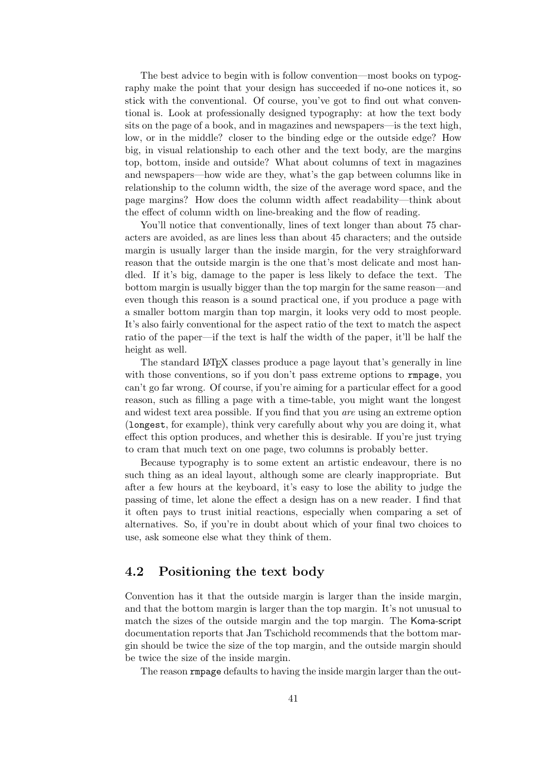The best advice to begin with is follow convention—most books on typography make the point that your design has succeeded if no-one notices it, so stick with the conventional. Of course, you've got to find out what conventional is. Look at professionally designed typography: at how the text body sits on the page of a book, and in magazines and newspapers—is the text high, low, or in the middle? closer to the binding edge or the outside edge? How big, in visual relationship to each other and the text body, are the margins top, bottom, inside and outside? What about columns of text in magazines and newspapers—how wide are they, what's the gap between columns like in relationship to the column width, the size of the average word space, and the page margins? How does the column width affect readability—think about the effect of column width on line-breaking and the flow of reading.

You'll notice that conventionally, lines of text longer than about 75 characters are avoided, as are lines less than about 45 characters; and the outside margin is usually larger than the inside margin, for the very straighforward reason that the outside margin is the one that's most delicate and most handled. If it's big, damage to the paper is less likely to deface the text. The bottom margin is usually bigger than the top margin for the same reason—and even though this reason is a sound practical one, if you produce a page with a smaller bottom margin than top margin, it looks very odd to most people. It's also fairly conventional for the aspect ratio of the text to match the aspect ratio of the paper—if the text is half the width of the paper, it'll be half the height as well.

The standard LAT<sub>EX</sub> classes produce a page layout that's generally in line with those conventions, so if you don't pass extreme options to rmpage, you can't go far wrong. Of course, if you're aiming for a particular effect for a good reason, such as filling a page with a time-table, you might want the longest and widest text area possible. If you find that you are using an extreme option (longest, for example), think very carefully about why you are doing it, what effect this option produces, and whether this is desirable. If you're just trying to cram that much text on one page, two columns is probably better.

Because typography is to some extent an artistic endeavour, there is no such thing as an ideal layout, although some are clearly inappropriate. But after a few hours at the keyboard, it's easy to lose the ability to judge the passing of time, let alone the effect a design has on a new reader. I find that it often pays to trust initial reactions, especially when comparing a set of alternatives. So, if you're in doubt about which of your final two choices to use, ask someone else what they think of them.

#### 4.2 Positioning the text body

Convention has it that the outside margin is larger than the inside margin, and that the bottom margin is larger than the top margin. It's not unusual to match the sizes of the outside margin and the top margin. The Koma-script documentation reports that Jan Tschichold recommends that the bottom margin should be twice the size of the top margin, and the outside margin should be twice the size of the inside margin.

The reason rmpage defaults to having the inside margin larger than the out-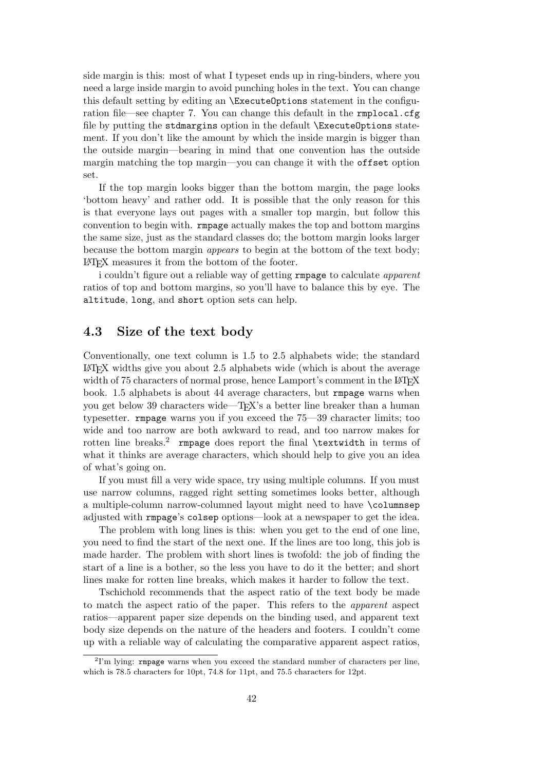side margin is this: most of what I typeset ends up in ring-binders, where you need a large inside margin to avoid punching holes in the text. You can change this default setting by editing an \ExecuteOptions statement in the configuration file—see chapter 7. You can change this default in the rmplocal.cfg file by putting the stdmargins option in the default \ExecuteOptions statement. If you don't like the amount by which the inside margin is bigger than the outside margin—bearing in mind that one convention has the outside margin matching the top margin—you can change it with the offset option set.

If the top margin looks bigger than the bottom margin, the page looks 'bottom heavy' and rather odd. It is possible that the only reason for this is that everyone lays out pages with a smaller top margin, but follow this convention to begin with. rmpage actually makes the top and bottom margins the same size, just as the standard classes do; the bottom margin looks larger because the bottom margin appears to begin at the bottom of the text body; LATEX measures it from the bottom of the footer.

i couldn't figure out a reliable way of getting rmpage to calculate apparent ratios of top and bottom margins, so you'll have to balance this by eye. The altitude, long, and short option sets can help.

#### 4.3 Size of the text body

Conventionally, one text column is 1.5 to 2.5 alphabets wide; the standard LATEX widths give you about 2.5 alphabets wide (which is about the average width of 75 characters of normal prose, hence Lamport's comment in the LAT<sub>EX</sub> book. 1.5 alphabets is about 44 average characters, but rmpage warns when you get below 39 characters wide—T<sub>EX</sub>'s a better line breaker than a human typesetter. rmpage warns you if you exceed the 75—39 character limits; too wide and too narrow are both awkward to read, and too narrow makes for rotten line breaks.<sup>2</sup> rmpage does report the final **\textwidth** in terms of what it thinks are average characters, which should help to give you an idea of what's going on.

If you must fill a very wide space, try using multiple columns. If you must use narrow columns, ragged right setting sometimes looks better, although a multiple-column narrow-columned layout might need to have \columnsep adjusted with rmpage's colsep options—look at a newspaper to get the idea.

The problem with long lines is this: when you get to the end of one line, you need to find the start of the next one. If the lines are too long, this job is made harder. The problem with short lines is twofold: the job of finding the start of a line is a bother, so the less you have to do it the better; and short lines make for rotten line breaks, which makes it harder to follow the text.

Tschichold recommends that the aspect ratio of the text body be made to match the aspect ratio of the paper. This refers to the apparent aspect ratios—apparent paper size depends on the binding used, and apparent text body size depends on the nature of the headers and footers. I couldn't come up with a reliable way of calculating the comparative apparent aspect ratios,

<sup>&</sup>lt;sup>2</sup>I'm lying: **rmpage** warns when you exceed the standard number of characters per line, which is 78.5 characters for 10pt, 74.8 for 11pt, and 75.5 characters for 12pt.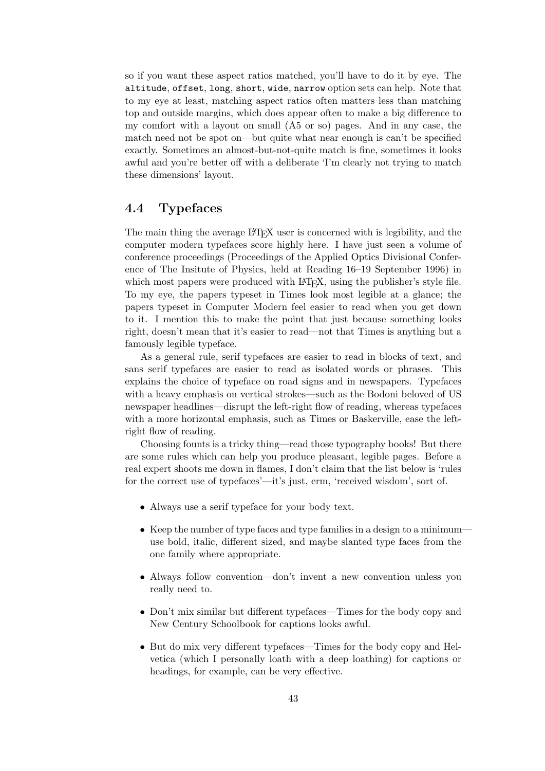so if you want these aspect ratios matched, you'll have to do it by eye. The altitude, offset, long, short, wide, narrow option sets can help. Note that to my eye at least, matching aspect ratios often matters less than matching top and outside margins, which does appear often to make a big difference to my comfort with a layout on small (A5 or so) pages. And in any case, the match need not be spot on—but quite what near enough is can't be specified exactly. Sometimes an almost-but-not-quite match is fine, sometimes it looks awful and you're better off with a deliberate 'I'm clearly not trying to match these dimensions' layout.

#### 4.4 Typefaces

The main thing the average LATEX user is concerned with is legibility, and the computer modern typefaces score highly here. I have just seen a volume of conference proceedings (Proceedings of the Applied Optics Divisional Conference of The Insitute of Physics, held at Reading 16–19 September 1996) in which most papers were produced with LAT<sub>EX</sub>, using the publisher's style file. To my eye, the papers typeset in Times look most legible at a glance; the papers typeset in Computer Modern feel easier to read when you get down to it. I mention this to make the point that just because something looks right, doesn't mean that it's easier to read—not that Times is anything but a famously legible typeface.

As a general rule, serif typefaces are easier to read in blocks of text, and sans serif typefaces are easier to read as isolated words or phrases. This explains the choice of typeface on road signs and in newspapers. Typefaces with a heavy emphasis on vertical strokes—such as the Bodoni beloved of US newspaper headlines—disrupt the left-right flow of reading, whereas typefaces with a more horizontal emphasis, such as Times or Baskerville, ease the leftright flow of reading.

Choosing founts is a tricky thing—read those typography books! But there are some rules which can help you produce pleasant, legible pages. Before a real expert shoots me down in flames, I don't claim that the list below is 'rules for the correct use of typefaces'—it's just, erm, 'received wisdom', sort of.

- Always use a serif typeface for your body text.
- Keep the number of type faces and type families in a design to a minimum use bold, italic, different sized, and maybe slanted type faces from the one family where appropriate.
- Always follow convention—don't invent a new convention unless you really need to.
- Don't mix similar but different typefaces—Times for the body copy and New Century Schoolbook for captions looks awful.
- But do mix very different typefaces—Times for the body copy and Helvetica (which I personally loath with a deep loathing) for captions or headings, for example, can be very effective.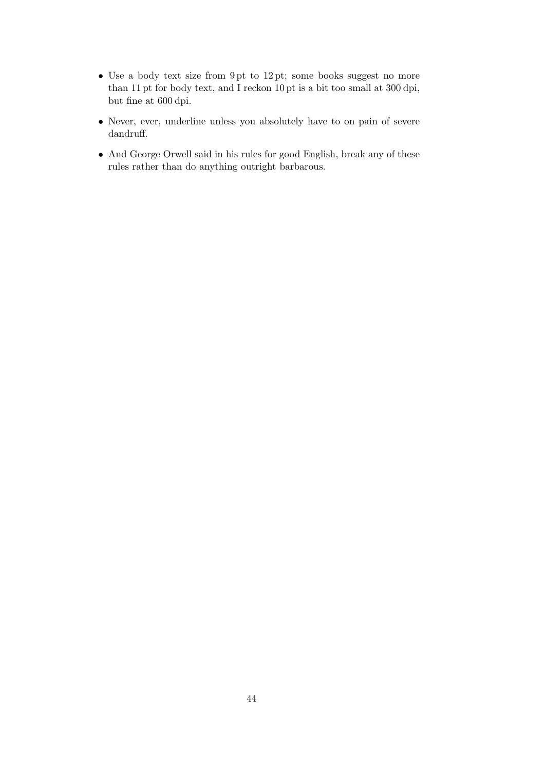- Use a body text size from 9 pt to 12 pt; some books suggest no more than 11 pt for body text, and I reckon 10 pt is a bit too small at 300 dpi, but fine at 600 dpi.
- Never, ever, underline unless you absolutely have to on pain of severe dandruff.
- And George Orwell said in his rules for good English, break any of these rules rather than do anything outright barbarous.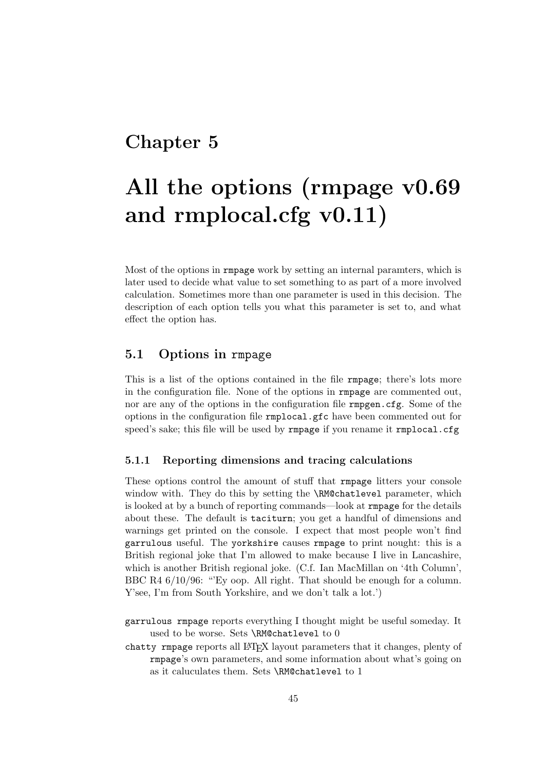### Chapter 5

# All the options (rmpage v0.69 and rmplocal.cfg v0.11)

Most of the options in rmpage work by setting an internal paramters, which is later used to decide what value to set something to as part of a more involved calculation. Sometimes more than one parameter is used in this decision. The description of each option tells you what this parameter is set to, and what effect the option has.

#### 5.1 Options in rmpage

This is a list of the options contained in the file rmpage; there's lots more in the configuration file. None of the options in rmpage are commented out, nor are any of the options in the configuration file **rmpgen**.cfg. Some of the options in the configuration file rmplocal.gfc have been commented out for speed's sake; this file will be used by rmpage if you rename it rmplocal.cfg

#### 5.1.1 Reporting dimensions and tracing calculations

These options control the amount of stuff that rmpage litters your console window with. They do this by setting the \RM@chatlevel parameter, which is looked at by a bunch of reporting commands—look at rmpage for the details about these. The default is taciturn; you get a handful of dimensions and warnings get printed on the console. I expect that most people won't find garrulous useful. The yorkshire causes rmpage to print nought: this is a British regional joke that I'm allowed to make because I live in Lancashire, which is another British regional joke. (C.f. Ian MacMillan on '4th Column', BBC R4  $6/10/96$ : "Ey oop. All right. That should be enough for a column. Y'see, I'm from South Yorkshire, and we don't talk a lot.')

garrulous rmpage reports everything I thought might be useful someday. It used to be worse. Sets \RM@chatlevel to 0

chatty rmpage reports all LAT<sub>EX</sub> layout parameters that it changes, plenty of rmpage's own parameters, and some information about what's going on as it caluculates them. Sets \RM@chatlevel to 1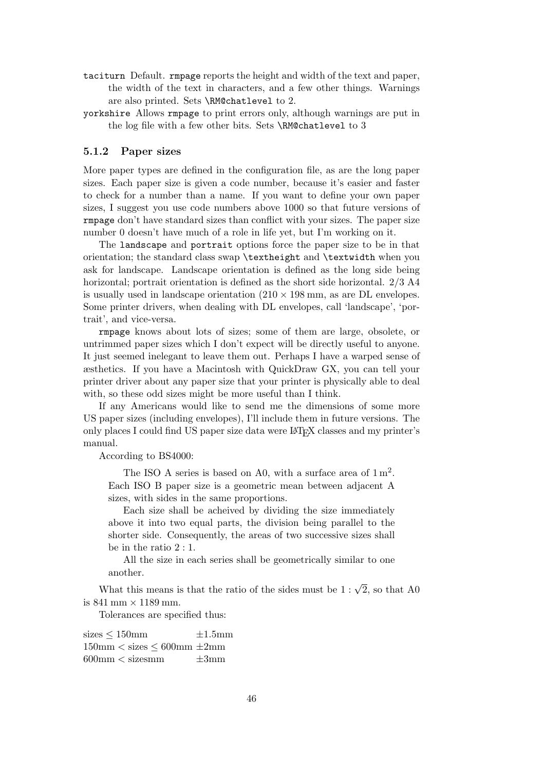- taciturn Default. rmpage reports the height and width of the text and paper, the width of the text in characters, and a few other things. Warnings are also printed. Sets \RM@chatlevel to 2.
- yorkshire Allows rmpage to print errors only, although warnings are put in the log file with a few other bits. Sets \RM@chatlevel to 3

#### 5.1.2 Paper sizes

More paper types are defined in the configuration file, as are the long paper sizes. Each paper size is given a code number, because it's easier and faster to check for a number than a name. If you want to define your own paper sizes, I suggest you use code numbers above 1000 so that future versions of rmpage don't have standard sizes than conflict with your sizes. The paper size number 0 doesn't have much of a role in life yet, but I'm working on it.

The landscape and portrait options force the paper size to be in that orientation; the standard class swap \textheight and \textwidth when you ask for landscape. Landscape orientation is defined as the long side being horizontal; portrait orientation is defined as the short side horizontal. 2/3 A4 is usually used in landscape orientation  $(210 \times 198 \text{ mm})$ , as are DL envelopes. Some printer drivers, when dealing with DL envelopes, call 'landscape', 'portrait', and vice-versa.

rmpage knows about lots of sizes; some of them are large, obsolete, or untrimmed paper sizes which I don't expect will be directly useful to anyone. It just seemed inelegant to leave them out. Perhaps I have a warped sense of æsthetics. If you have a Macintosh with QuickDraw GX, you can tell your printer driver about any paper size that your printer is physically able to deal with, so these odd sizes might be more useful than I think.

If any Americans would like to send me the dimensions of some more US paper sizes (including envelopes), I'll include them in future versions. The only places I could find US paper size data were LATEX classes and my printer's manual.

According to BS4000:

The ISO A series is based on A0, with a surface area of  $1 \text{ m}^2$ . Each ISO B paper size is a geometric mean between adjacent A sizes, with sides in the same proportions.

Each size shall be acheived by dividing the size immediately above it into two equal parts, the division being parallel to the shorter side. Consequently, the areas of two successive sizes shall be in the ratio 2 : 1.

All the size in each series shall be geometrically similar to one another.

What this means is that the ratio of the sides must be  $1 : \sqrt{2}$ , so that A0 is  $841 \text{ mm} \times 1189 \text{ mm}$ .

Tolerances are specified thus:

sizes  $\leq 150$ mm  $\pm 1.5$ mm  $150\text{mm} <$  sizes  $\leq 600\text{mm} \pm 2\text{mm}$  $600 \text{mm} < \text{size}$ smm  $\pm 3 \text{mm}$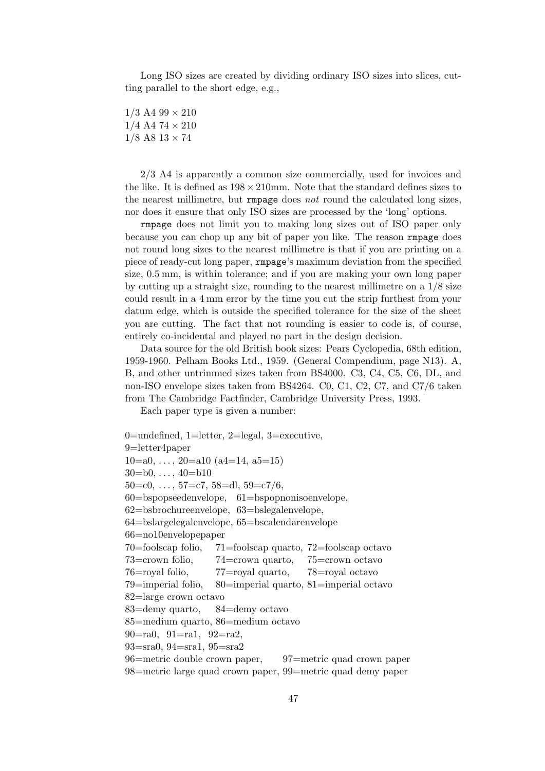Long ISO sizes are created by dividing ordinary ISO sizes into slices, cutting parallel to the short edge, e.g.,

 $1/3$  A4  $99 \times 210$  $1/4$  A4 74  $\times$  210  $1/8$  A8  $13 \times 74$ 

2/3 A4 is apparently a common size commercially, used for invoices and the like. It is defined as  $198 \times 210$  mm. Note that the standard defines sizes to the nearest millimetre, but rmpage does not round the calculated long sizes, nor does it ensure that only ISO sizes are processed by the 'long' options.

rmpage does not limit you to making long sizes out of ISO paper only because you can chop up any bit of paper you like. The reason rmpage does not round long sizes to the nearest millimetre is that if you are printing on a piece of ready-cut long paper, rmpage's maximum deviation from the specified size, 0.5 mm, is within tolerance; and if you are making your own long paper by cutting up a straight size, rounding to the nearest millimetre on a  $1/8$  size could result in a 4 mm error by the time you cut the strip furthest from your datum edge, which is outside the specified tolerance for the size of the sheet you are cutting. The fact that not rounding is easier to code is, of course, entirely co-incidental and played no part in the design decision.

Data source for the old British book sizes: Pears Cyclopedia, 68th edition, 1959-1960. Pelham Books Ltd., 1959. (General Compendium, page N13). A, B, and other untrimmed sizes taken from BS4000. C3, C4, C5, C6, DL, and non-ISO envelope sizes taken from BS4264. C0, C1, C2, C7, and C7/6 taken from The Cambridge Factfinder, Cambridge University Press, 1993.

Each paper type is given a number:

```
0=undefined, 1=letter, 2=legal, 3=executive,
9=letter4paper
10=a0, \ldots, 20=a10 (a4=14, a5=15)
30=60, ..., 40=61050=c0, ..., 57=c7, 58=dl, 59=c7/6,
60=bspopseedenvelope, 61=bspopnonisoenvelope,
62=bsbrochureenvelope, 63=bslegalenvelope,
64=bslargelegalenvelope, 65=bscalendarenvelope
66=no10envelopepaper
70=foolscap folio, 71=foolscap quarto, 72=foolscap octavo
73=crown folio, 74=crown quarto, 75=crown octavo
76=royal folio, 77=royal quarto, 78=royal octavo
79=imperial folio, 80=imperial quarto, 81=imperial octavo
82=large crown octavo
83=demy quarto, 84=demy octavo
85=medium quarto, 86=medium octavo
90=ra0, 91=ra1, 92=ra2,
93=sra0, 94=sra1, 95=sra2
96=metric double crown paper, 97=metric quad crown paper
98=metric large quad crown paper, 99=metric quad demy paper
```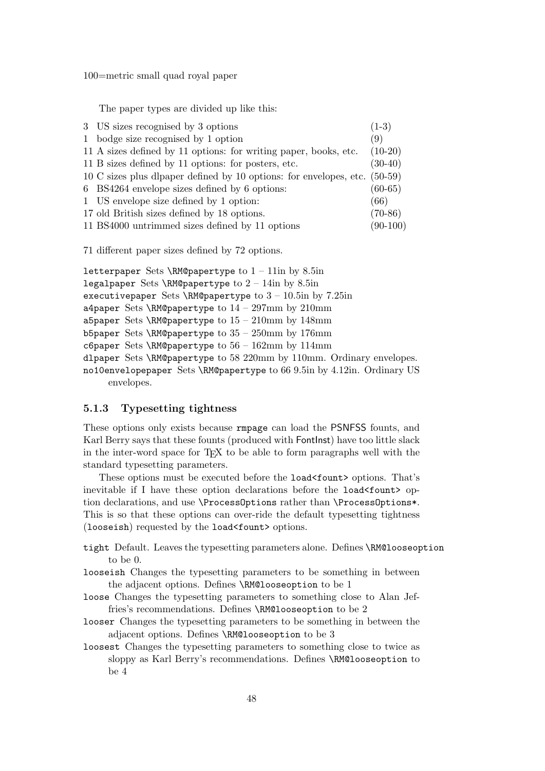100=metric small quad royal paper

The paper types are divided up like this:

| 3 US sizes recognised by 3 options                                                           | $(1-3)$    |
|----------------------------------------------------------------------------------------------|------------|
| 1 bodge size recognised by 1 option                                                          | (9)        |
| 11 A sizes defined by 11 options: for writing paper, books, etc.                             | $(10-20)$  |
| 11 B sizes defined by 11 options: for posters, etc.                                          | $(30-40)$  |
| $10\text{ C sizes plus dlapaper defined by }10\text{ options: for envelopes, etc. } (50-59)$ |            |
| 6 BS4264 envelope sizes defined by 6 options:                                                | $(60-65)$  |
| 1 US envelope size defined by 1 option:                                                      | (66)       |
| 17 old British sizes defined by 18 options.                                                  | $(70-86)$  |
| 11 BS4000 untrimmed sizes defined by 11 options                                              | $(90-100)$ |

71 different paper sizes defined by 72 options.

```
letterpaper Sets \RM@papertype to 1 - 11in by 8.5in
legalpaper Sets \RM@papertype to 2 - 14in by 8.5in
executivepaper Sets \RM@papertype to 3 - 10.5in by 7.25in
a4paper Sets \RM@papertype to 14 - 297mm by 210mm
a5paper Sets \RM@papertype to 15 - 210mm by 148mm
b5paper Sets \RM@papertype to 35 - 250mm by 176mm
c6paper Sets \RM@papertype to 56 - 162mm by 114mm
dlpaper Sets \RM@papertype to 58 220mm by 110mm. Ordinary envelopes.
no10envelopepaper Sets \RM@papertype to 66 9.5in by 4.12in. Ordinary US
     envelopes.
```
#### 5.1.3 Typesetting tightness

These options only exists because rmpage can load the PSNFSS founts, and Karl Berry says that these founts (produced with FontInst) have too little slack in the inter-word space for TEX to be able to form paragraphs well with the standard typesetting parameters.

These options must be executed before the load<fount> options. That's inevitable if I have these option declarations before the load<fount> option declarations, and use \ProcessOptions rather than \ProcessOptions\*. This is so that these options can over-ride the default typesetting tightness (looseish) requested by the load<fount> options.

- tight Default. Leaves the typesetting parameters alone. Defines \RM@looseoption to be 0.
- looseish Changes the typesetting parameters to be something in between the adjacent options. Defines \RM@looseoption to be 1
- loose Changes the typesetting parameters to something close to Alan Jeffries's recommendations. Defines \RM@looseoption to be 2
- looser Changes the typesetting parameters to be something in between the adjacent options. Defines \RM@looseoption to be 3
- loosest Changes the typesetting parameters to something close to twice as sloppy as Karl Berry's recommendations. Defines \RM@looseoption to be 4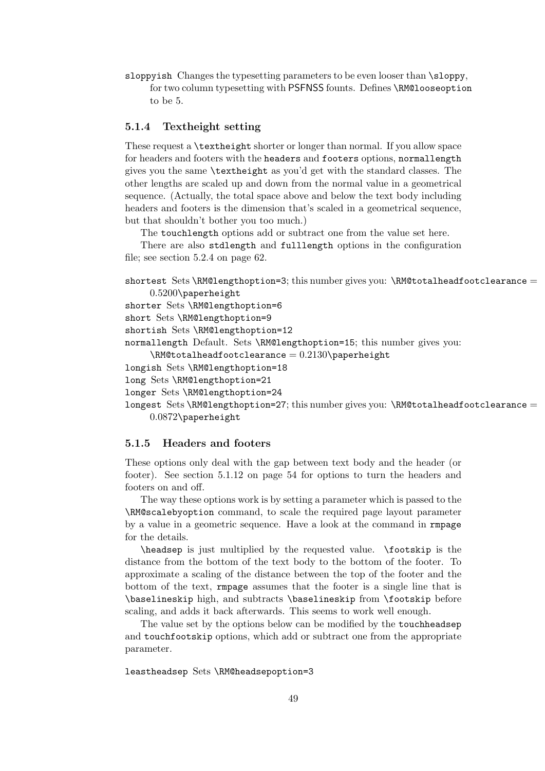sloppyish Changes the typesetting parameters to be even looser than \sloppy,

for two column typesetting with PSFNSS founts. Defines \RM@looseoption to be 5.

#### 5.1.4 Textheight setting

These request a \textheight shorter or longer than normal. If you allow space for headers and footers with the headers and footers options, normallength gives you the same \textheight as you'd get with the standard classes. The other lengths are scaled up and down from the normal value in a geometrical sequence. (Actually, the total space above and below the text body including headers and footers is the dimension that's scaled in a geometrical sequence, but that shouldn't bother you too much.)

The touchlength options add or subtract one from the value set here.

There are also stdlength and fulllength options in the configuration file; see section 5.2.4 on page 62.

```
shortest Sets \RM@lengthoption=3; this number gives you: \RM@totalheadfootclearance =0.5200\paperheight
```
shorter Sets \RM@lengthoption=6

short Sets \RM@lengthoption=9

shortish Sets \RM@lengthoption=12

normallength Default. Sets \RM@lengthoption=15; this number gives you:

```
\LambdaRM@totalheadfootclearance = 0.2130\paperheight
```

```
longish Sets \RM@lengthoption=18
```
long Sets \RM@lengthoption=21

```
longer Sets \RM@lengthoption=24
```

```
longest Sets \RM@lengthoption=27; this number gives you: \RM@totalheadfootclearance =
     0.0872\paperheight
```
#### 5.1.5 Headers and footers

These options only deal with the gap between text body and the header (or footer). See section 5.1.12 on page 54 for options to turn the headers and footers on and off.

The way these options work is by setting a parameter which is passed to the \RM@scalebyoption command, to scale the required page layout parameter by a value in a geometric sequence. Have a look at the command in rmpage for the details.

\headsep is just multiplied by the requested value. \footskip is the distance from the bottom of the text body to the bottom of the footer. To approximate a scaling of the distance between the top of the footer and the bottom of the text, rmpage assumes that the footer is a single line that is \baselineskip high, and subtracts \baselineskip from \footskip before scaling, and adds it back afterwards. This seems to work well enough.

The value set by the options below can be modified by the touchheadsep and touchfootskip options, which add or subtract one from the appropriate parameter.

leastheadsep Sets \RM@headsepoption=3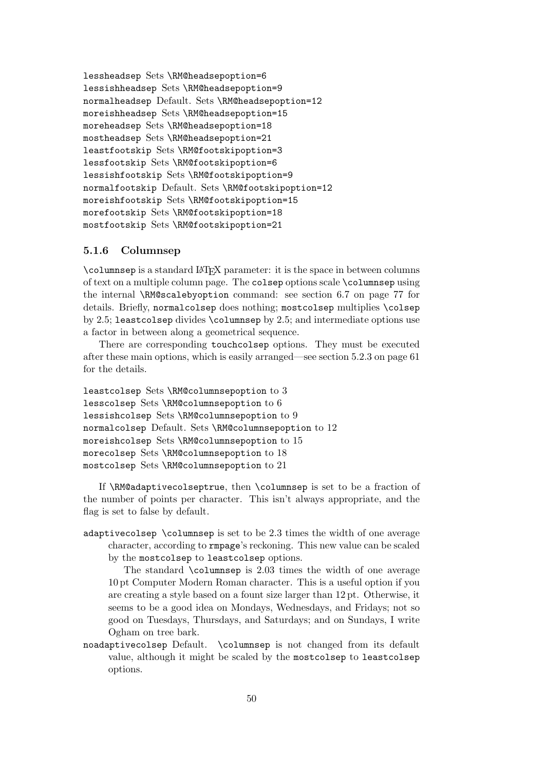lessheadsep Sets \RM@headsepoption=6 lessishheadsep Sets \RM@headsepoption=9 normalheadsep Default. Sets \RM@headsepoption=12 moreishheadsep Sets \RM@headsepoption=15 moreheadsep Sets \RM@headsepoption=18 mostheadsep Sets \RM@headsepoption=21 leastfootskip Sets \RM@footskipoption=3 lessfootskip Sets \RM@footskipoption=6 lessishfootskip Sets \RM@footskipoption=9 normalfootskip Default. Sets \RM@footskipoption=12 moreishfootskip Sets \RM@footskipoption=15 morefootskip Sets \RM@footskipoption=18 mostfootskip Sets \RM@footskipoption=21

#### 5.1.6 Columnsep

\columnsep is a standard LATEX parameter: it is the space in between columns of text on a multiple column page. The colsep options scale \columnsep using the internal \RM@scalebyoption command: see section 6.7 on page 77 for details. Briefly, normalcolsep does nothing; mostcolsep multiplies \colsep by 2.5; leastcolsep divides \columnsep by 2.5; and intermediate options use a factor in between along a geometrical sequence.

There are corresponding touchcolsep options. They must be executed after these main options, which is easily arranged—see section 5.2.3 on page 61 for the details.

leastcolsep Sets \RM@columnsepoption to 3 lesscolsep Sets \RM@columnsepoption to 6 lessishcolsep Sets \RM@columnsepoption to 9 normalcolsep Default. Sets \RM@columnsepoption to 12 moreishcolsep Sets \RM@columnsepoption to 15 morecolsep Sets \RM@columnsepoption to 18 mostcolsep Sets \RM@columnsepoption to 21

If \RM@adaptivecolseptrue, then \columnsep is set to be a fraction of the number of points per character. This isn't always appropriate, and the flag is set to false by default.

adaptivecolsep \columnsep is set to be  $2.3$  times the width of one average character, according to rmpage's reckoning. This new value can be scaled by the mostcolsep to leastcolsep options.

The standard \columnsep is 2.03 times the width of one average 10 pt Computer Modern Roman character. This is a useful option if you are creating a style based on a fount size larger than 12 pt. Otherwise, it seems to be a good idea on Mondays, Wednesdays, and Fridays; not so good on Tuesdays, Thursdays, and Saturdays; and on Sundays, I write Ogham on tree bark.

noadaptivecolsep Default. \columnsep is not changed from its default value, although it might be scaled by the mostcolsep to leastcolsep options.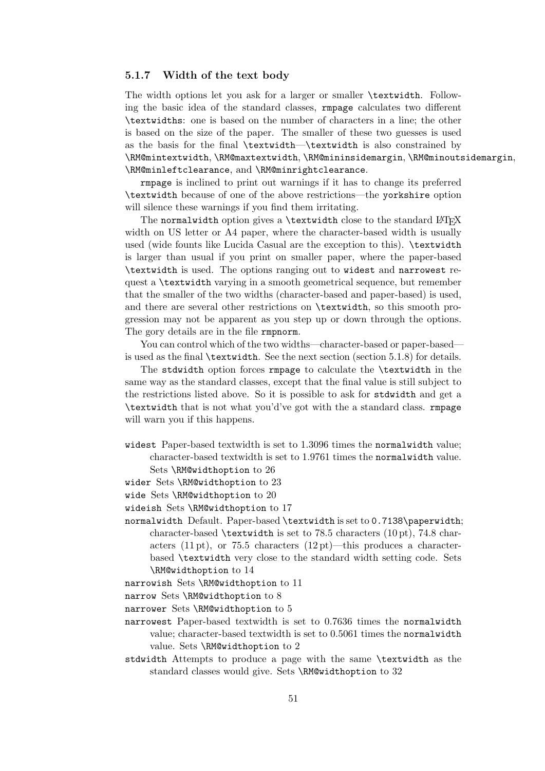#### 5.1.7 Width of the text body

The width options let you ask for a larger or smaller \textwidth. Following the basic idea of the standard classes, rmpage calculates two different \textwidths: one is based on the number of characters in a line; the other is based on the size of the paper. The smaller of these two guesses is used as the basis for the final \textwidth—\textwidth is also constrained by \RM@mintextwidth, \RM@maxtextwidth, \RM@mininsidemargin, \RM@minoutsidemargin, \RM@minleftclearance, and \RM@minrightclearance.

rmpage is inclined to print out warnings if it has to change its preferred \textwidth because of one of the above restrictions—the yorkshire option will silence these warnings if you find them irritating.

The normalwidth option gives a  $\text{textwidth}$  close to the standard  $\text{BTRX}$ width on US letter or A4 paper, where the character-based width is usually used (wide founts like Lucida Casual are the exception to this). \textwidth is larger than usual if you print on smaller paper, where the paper-based \textwidth is used. The options ranging out to widest and narrowest request a \textwidth varying in a smooth geometrical sequence, but remember that the smaller of the two widths (character-based and paper-based) is used, and there are several other restrictions on \textwidth, so this smooth progression may not be apparent as you step up or down through the options. The gory details are in the file **rmpnorm**.

You can control which of the two widths—character-based or paper-based is used as the final \textwidth. See the next section (section 5.1.8) for details.

The stdwidth option forces rmpage to calculate the **\textwidth** in the same way as the standard classes, except that the final value is still subject to the restrictions listed above. So it is possible to ask for stdwidth and get a \textwidth that is not what you'd've got with the a standard class. rmpage will warn you if this happens.

- widest Paper-based textwidth is set to 1.3096 times the normalwidth value; character-based textwidth is set to 1.9761 times the normalwidth value. Sets \RM@widthoption to 26
- wider Sets \RM@widthoption to 23
- 
- wide Sets \RM@widthoption to 20
- wideish Sets \RM@widthoption to 17
- normalwidth Default. Paper-based \textwidth is set to 0.7138\paperwidth; character-based \textwidth is set to 78.5 characters (10 pt), 74.8 characters (11 pt), or 75.5 characters  $(12 \text{ pt})$ —this produces a characterbased \textwidth very close to the standard width setting code. Sets \RM@widthoption to 14
- narrowish Sets \RM@widthoption to 11

narrow Sets \RM@widthoption to 8

narrower Sets \RM@widthoption to 5

- narrowest Paper-based textwidth is set to 0.7636 times the normalwidth value; character-based textwidth is set to 0.5061 times the normalwidth value. Sets \RM@widthoption to 2
- stdwidth Attempts to produce a page with the same \textwidth as the standard classes would give. Sets \RM@widthoption to 32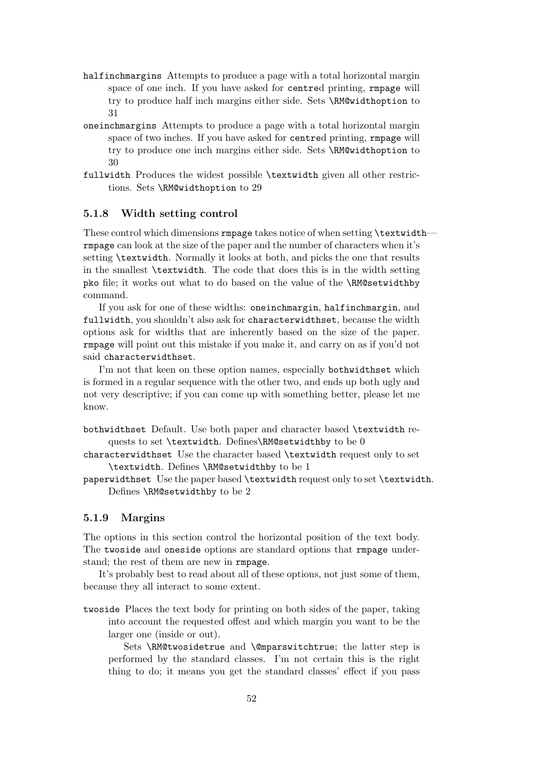- halfinchmargins Attempts to produce a page with a total horizontal margin space of one inch. If you have asked for centred printing, rmpage will try to produce half inch margins either side. Sets \RM@widthoption to 31
- oneinchmargins Attempts to produce a page with a total horizontal margin space of two inches. If you have asked for centred printing, rmpage will try to produce one inch margins either side. Sets \RM@widthoption to 30
- fullwidth Produces the widest possible \textwidth given all other restrictions. Sets \RM@widthoption to 29

#### 5.1.8 Width setting control

These control which dimensions rmpage takes notice of when setting \textwidth rmpage can look at the size of the paper and the number of characters when it's setting \textwidth. Normally it looks at both, and picks the one that results in the smallest \textwidth. The code that does this is in the width setting pko file; it works out what to do based on the value of the \RM@setwidthby command.

If you ask for one of these widths: oneinchmargin, halfinchmargin, and fullwidth, you shouldn't also ask for characterwidthset, because the width options ask for widths that are inherently based on the size of the paper. rmpage will point out this mistake if you make it, and carry on as if you'd not said characterwidthset.

I'm not that keen on these option names, especially bothwidthset which is formed in a regular sequence with the other two, and ends up both ugly and not very descriptive; if you can come up with something better, please let me know.

bothwidthset Default. Use both paper and character based \textwidth requests to set \textwidth. Defines\RM@setwidthby to be 0

characterwidthset Use the character based \textwidth request only to set \textwidth. Defines \RM@setwidthby to be 1

paperwidthset Use the paper based \textwidth request only to set \textwidth. Defines \RM@setwidthby to be 2

#### 5.1.9 Margins

The options in this section control the horizontal position of the text body. The twoside and oneside options are standard options that rmpage understand; the rest of them are new in rmpage.

It's probably best to read about all of these options, not just some of them, because they all interact to some extent.

twoside Places the text body for printing on both sides of the paper, taking into account the requested offest and which margin you want to be the larger one (inside or out).

Sets \RM@twosidetrue and \@mparswitchtrue; the latter step is performed by the standard classes. I'm not certain this is the right thing to do; it means you get the standard classes' effect if you pass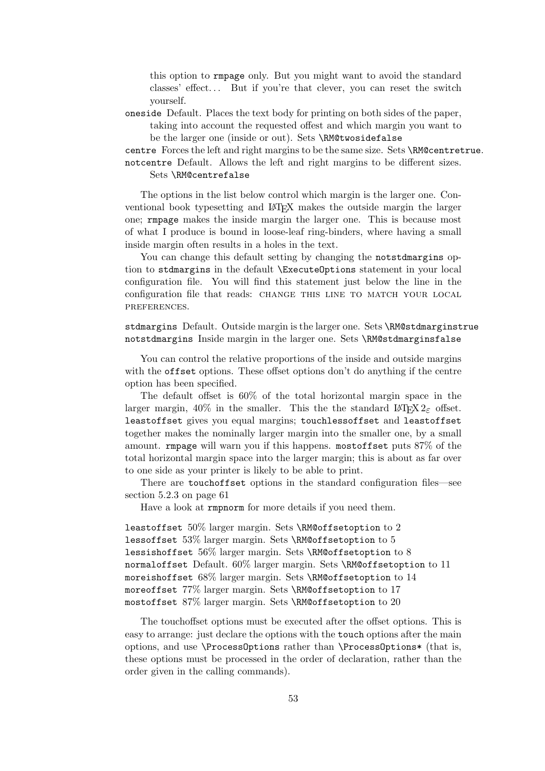this option to rmpage only. But you might want to avoid the standard classes' effect... But if you're that clever, you can reset the switch yourself.

oneside Default. Places the text body for printing on both sides of the paper, taking into account the requested offest and which margin you want to be the larger one (inside or out). Sets \RM@twosidefalse

centre Forces the left and right margins to be the same size. Sets \RM@centretrue. notcentre Default. Allows the left and right margins to be different sizes.

#### Sets \RM@centrefalse

The options in the list below control which margin is the larger one. Conventional book typesetting and LATEX makes the outside margin the larger one; rmpage makes the inside margin the larger one. This is because most of what I produce is bound in loose-leaf ring-binders, where having a small inside margin often results in a holes in the text.

You can change this default setting by changing the notstdmargins option to stdmargins in the default \ExecuteOptions statement in your local configuration file. You will find this statement just below the line in the configuration file that reads: CHANGE THIS LINE TO MATCH YOUR LOCAL preferences.

stdmargins Default. Outside margin is the larger one. Sets \RM@stdmarginstrue notstdmargins Inside margin in the larger one. Sets \RM@stdmarginsfalse

You can control the relative proportions of the inside and outside margins with the offset options. These offset options don't do anything if the centre option has been specified.

The default offset is 60% of the total horizontal margin space in the larger margin, 40% in the smaller. This the the standard LATEX  $2\varepsilon$  offset. leastoffset gives you equal margins; touchlessoffset and leastoffset together makes the nominally larger margin into the smaller one, by a small amount. rmpage will warn you if this happens. mostoffset puts 87% of the total horizontal margin space into the larger margin; this is about as far over to one side as your printer is likely to be able to print.

There are touchoffset options in the standard configuration files—see section 5.2.3 on page 61

Have a look at rmpnorm for more details if you need them.

leastoffset  $50\%$  larger margin. Sets \RM@offsetoption to 2 lessoffset  $53\%$  larger margin. Sets \RM@offsetoption to  $5$ lessishoffset  $56\%$  larger margin. Sets \RM@offsetoption to 8 normaloffset Default. 60% larger margin. Sets \RM@offsetoption to 11 moreishoffset 68% larger margin. Sets \RM@offsetoption to 14 moreoffset 77% larger margin. Sets \RM@offsetoption to 17 mostoffset 87% larger margin. Sets \RM@offsetoption to 20

The touchoffset options must be executed after the offset options. This is easy to arrange: just declare the options with the touch options after the main options, and use \ProcessOptions rather than \ProcessOptions\* (that is, these options must be processed in the order of declaration, rather than the order given in the calling commands).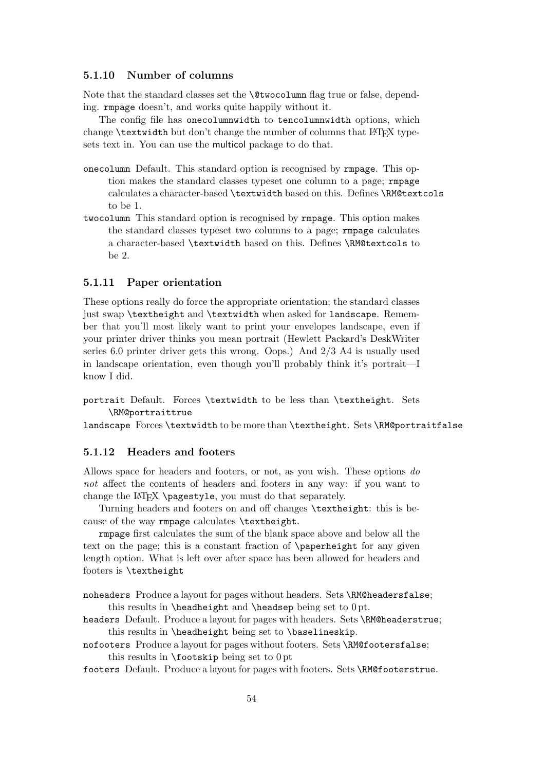#### 5.1.10 Number of columns

Note that the standard classes set the \@twocolumn flag true or false, depending. rmpage doesn't, and works quite happily without it.

The config file has onecolumnwidth to tencolumnwidth options, which change  $\text{textwidth}$  but don't change the number of columns that  $\text{LATEX}$  typesets text in. You can use the multicol package to do that.

- onecolumn Default. This standard option is recognised by rmpage. This option makes the standard classes typeset one column to a page; rmpage calculates a character-based \textwidth based on this. Defines \RM@textcols to be 1.
- twocolumn This standard option is recognised by rmpage. This option makes the standard classes typeset two columns to a page; rmpage calculates a character-based \textwidth based on this. Defines \RM@textcols to be 2.

#### 5.1.11 Paper orientation

These options really do force the appropriate orientation; the standard classes just swap \textheight and \textwidth when asked for landscape. Remember that you'll most likely want to print your envelopes landscape, even if your printer driver thinks you mean portrait (Hewlett Packard's DeskWriter series 6.0 printer driver gets this wrong. Oops.) And 2/3 A4 is usually used in landscape orientation, even though you'll probably think it's portrait—I know I did.

portrait Default. Forces \textwidth to be less than \textheight. Sets \RM@portraittrue

landscape Forces \textwidth to be more than \textheight. Sets \RM@portraitfalse

#### 5.1.12 Headers and footers

Allows space for headers and footers, or not, as you wish. These options do not affect the contents of headers and footers in any way: if you want to change the LAT<sub>EX</sub> \pagestyle, you must do that separately.

Turning headers and footers on and off changes \textheight: this is because of the way rmpage calculates \textheight.

rmpage first calculates the sum of the blank space above and below all the text on the page; this is a constant fraction of \paperheight for any given length option. What is left over after space has been allowed for headers and footers is \textheight

noheaders Produce a layout for pages without headers. Sets \RM@headersfalse; this results in \headheight and \headsep being set to 0 pt.

headers Default. Produce a layout for pages with headers. Sets \RM@headerstrue; this results in \headheight being set to \baselineskip.

nofooters Produce a layout for pages without footers. Sets \RM@footersfalse; this results in  $\text{footskip}$  being set to  $0$  pt

footers Default. Produce a layout for pages with footers. Sets \RM@footerstrue.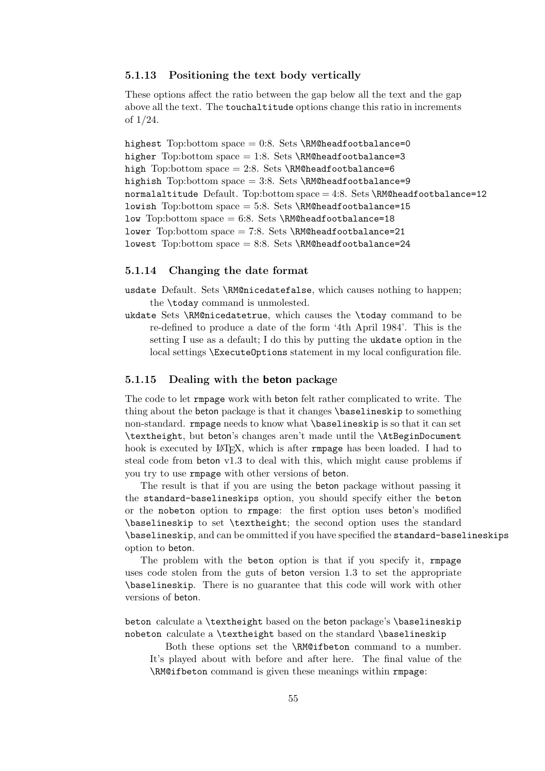#### 5.1.13 Positioning the text body vertically

These options affect the ratio between the gap below all the text and the gap above all the text. The touchaltitude options change this ratio in increments of 1/24.

highest Top:bottom space = 0:8. Sets \RM@headfootbalance=0 higher Top:bottom space = 1:8. Sets \RM@headfootbalance=3 high Top:bottom space = 2:8. Sets \RM@headfootbalance=6 highish Top:bottom space = 3:8. Sets \RM@headfootbalance=9 normalaltitude Default. Top:bottom  $space = 4:8$ . Sets \RM@headfootbalance=12 lowish Top:bottom space  $= 5:8$ . Sets \RM@headfootbalance=15 low Top:bottom space =  $6:8$ . Sets \RM@headfootbalance=18 lower Top:bottom space = 7:8. Sets \RM@headfootbalance=21 lowest Top:bottom space = 8:8. Sets \RM@headfootbalance=24

#### 5.1.14 Changing the date format

usdate Default. Sets \RM@nicedatefalse, which causes nothing to happen; the \today command is unmolested.

ukdate Sets \RM@nicedatetrue, which causes the \today command to be re-defined to produce a date of the form '4th April 1984'. This is the setting I use as a default; I do this by putting the ukdate option in the local settings \ExecuteOptions statement in my local configuration file.

#### 5.1.15 Dealing with the beton package

The code to let rmpage work with beton felt rather complicated to write. The thing about the beton package is that it changes \baselineskip to something non-standard. rmpage needs to know what \baselineskip is so that it can set \textheight, but beton's changes aren't made until the \AtBeginDocument hook is executed by LAT<sub>EX</sub>, which is after rmpage has been loaded. I had to steal code from beton v1.3 to deal with this, which might cause problems if you try to use rmpage with other versions of beton.

The result is that if you are using the beton package without passing it the standard-baselineskips option, you should specify either the beton or the nobeton option to rmpage: the first option uses beton's modified \baselineskip to set \textheight; the second option uses the standard \baselineskip, and can be ommitted if you have specified the standard-baselineskips option to beton.

The problem with the beton option is that if you specify it, rmpage uses code stolen from the guts of beton version 1.3 to set the appropriate \baselineskip. There is no guarantee that this code will work with other versions of beton.

beton calculate a \textheight based on the beton package's \baselineskip nobeton calculate a \textheight based on the standard \baselineskip

Both these options set the \RM@ifbeton command to a number. It's played about with before and after here. The final value of the \RM@ifbeton command is given these meanings within rmpage: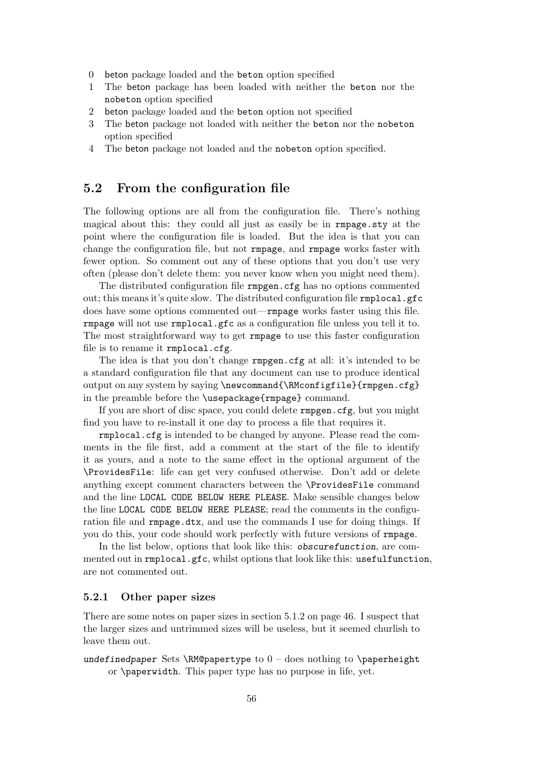- 0 beton package loaded and the beton option specified
- 1 The beton package has been loaded with neither the beton nor the nobeton option specified
- 2 beton package loaded and the beton option not specified
- 3 The beton package not loaded with neither the beton nor the nobeton option specified
- 4 The beton package not loaded and the nobeton option specified.

#### 5.2 From the configuration file

The following options are all from the configuration file. There's nothing magical about this: they could all just as easily be in rmpage.sty at the point where the configuration file is loaded. But the idea is that you can change the configuration file, but not rmpage, and rmpage works faster with fewer option. So comment out any of these options that you don't use very often (please don't delete them: you never know when you might need them).

The distributed configuration file rmpgen.cfg has no options commented out; this means it's quite slow. The distributed configuration file rmplocal.gfc does have some options commented out—rmpage works faster using this file. rmpage will not use rmplocal.gfc as a configuration file unless you tell it to. The most straightforward way to get rmpage to use this faster configuration file is to rename it rmplocal.cfg.

The idea is that you don't change rmpgen.cfg at all: it's intended to be a standard configuration file that any document can use to produce identical output on any system by saying \newcommand{\RMconfigfile}{rmpgen.cfg} in the preamble before the \usepackage{rmpage} command.

If you are short of disc space, you could delete rmpgen.cfg, but you might find you have to re-install it one day to process a file that requires it.

rmplocal.cfg is intended to be changed by anyone. Please read the comments in the file first, add a comment at the start of the file to identify it as yours, and a note to the same effect in the optional argument of the \ProvidesFile: life can get very confused otherwise. Don't add or delete anything except comment characters between the \ProvidesFile command and the line LOCAL CODE BELOW HERE PLEASE. Make sensible changes below the line LOCAL CODE BELOW HERE PLEASE; read the comments in the configuration file and rmpage.dtx, and use the commands I use for doing things. If you do this, your code should work perfectly with future versions of rmpage.

In the list below, options that look like this: obscurefunction, are commented out in rmplocal.gfc, whilst options that look like this: usefulfunction, are not commented out.

#### 5.2.1 Other paper sizes

There are some notes on paper sizes in section 5.1.2 on page 46. I suspect that the larger sizes and untrimmed sizes will be useless, but it seemed churlish to leave them out.

undefinedpaper Sets \RM@papertype to  $0 -$  does nothing to \paperheight or \paperwidth. This paper type has no purpose in life, yet.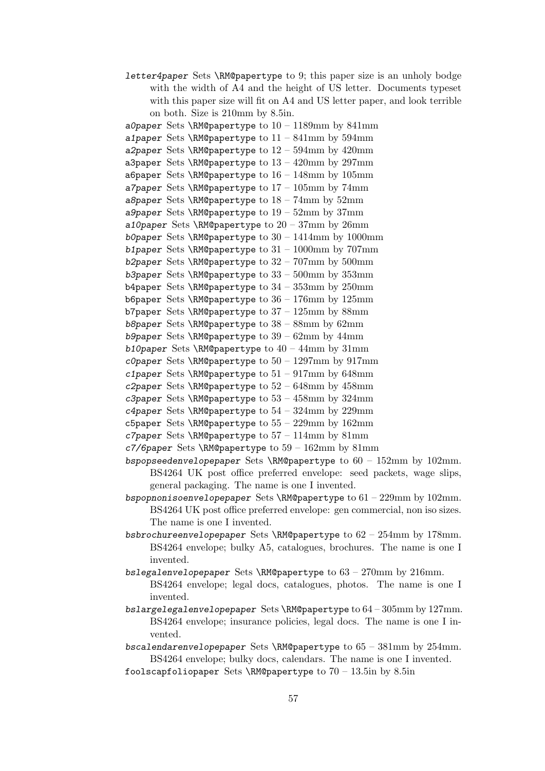letter4paper Sets \RM@papertype to 9; this paper size is an unholy bodge with the width of A4 and the height of US letter. Documents typeset with this paper size will fit on A4 and US letter paper, and look terrible on both. Size is 210mm by 8.5in.

a0paper Sets \RM@papertype to  $10 - 1189$ mm by 841mm a1paper Sets \RM@papertype to  $11 - 841$ mm by 594mm a2paper Sets \RM@papertype to  $12 - 594$ mm by  $420$ mm a3paper Sets \RM@papertype to  $13 - 420$ mm by  $297$ mm a6paper Sets \RM@papertype to  $16 - 148$ mm by  $105$ mm a7paper Sets \RM@papertype to  $17 - 105$ mm by 74mm a8paper Sets \RM@papertype to  $18 - 74$ mm by  $52$ mm a9paper Sets \RM@papertype to  $19 - 52mm$  by  $37mm$ a10paper Sets \RM@papertype to  $20 - 37$ mm by  $26$ mm b0paper Sets \RM@papertype to  $30 - 1414$ mm by 1000mm b1paper Sets \RM@papertype to  $31 - 1000$ mm by  $707$ mm b2paper Sets \RM@papertype to  $32 - 707$ mm by  $500$ mm b3paper Sets \RM@papertype to  $33 - 500$ mm by  $353$ mm b4paper Sets \RM@papertype to  $34 - 353$ mm by  $250$ mm b6paper Sets \RM@papertype to  $36 - 176$ mm by  $125$ mm b7paper Sets \RM@papertype to  $37 - 125$ mm by  $88$ mm b8paper Sets \RM@papertype to  $38 - 88$ mm by  $62$ mm b9paper Sets \RM@papertype to  $39 - 62$ mm by  $44$ mm b10paper Sets \RM@papertype to  $40 - 44$ mm by  $31$ mm c0paper Sets \RM@papertype to  $50 - 1297$ mm by  $917$ mm c1paper Sets \RM@papertype to  $51 - 917$ mm by  $648$ mm c2paper Sets \RM@papertype to  $52 - 648$ mm by  $458$ mm c3paper Sets \RM@papertype to  $53 - 458$ mm by  $324$ mm c4paper Sets \RM@papertype to  $54 - 324$ mm by  $229$ mm

c5paper Sets \RM@papertype to  $55 - 229$ mm by  $162$ mm

c7paper Sets \RM@papertype to  $57 - 114$ mm by  $81$ mm

c7/6paper Sets \RM@papertype to  $59 - 162 \text{mm}$  by  $81 \text{mm}$ 

bspopseedenvelopepaper Sets \RM@papertype to  $60 - 152 \text{mm}$  by 102mm. BS4264 UK post office preferred envelope: seed packets, wage slips, general packaging. The name is one I invented.

bspopnonisoenvelopepaper Sets \RM@papertype to  $61 - 229$ mm by  $102$ mm. BS4264 UK post office preferred envelope: gen commercial, non iso sizes. The name is one I invented.

- bsbrochureenvelopepaper Sets \RM@papertype to  $62 254$ mm by 178mm. BS4264 envelope; bulky A5, catalogues, brochures. The name is one I invented.
- bslegalenvelopepaper Sets \RM@papertype to  $63 270$ mm by  $216$ mm. BS4264 envelope; legal docs, catalogues, photos. The name is one I invented.
- bslargelegalenvelopepaper Sets  $\RM$ @papertype to  $64 305$ mm by 127mm. BS4264 envelope; insurance policies, legal docs. The name is one I invented.
- bscalendarenvelopepaper Sets \RM@papertype to  $65 381$ mm by  $254$ mm. BS4264 envelope; bulky docs, calendars. The name is one I invented.
- foolscapfoliopaper Sets \RM@papertype to  $70 13.5$ in by 8.5in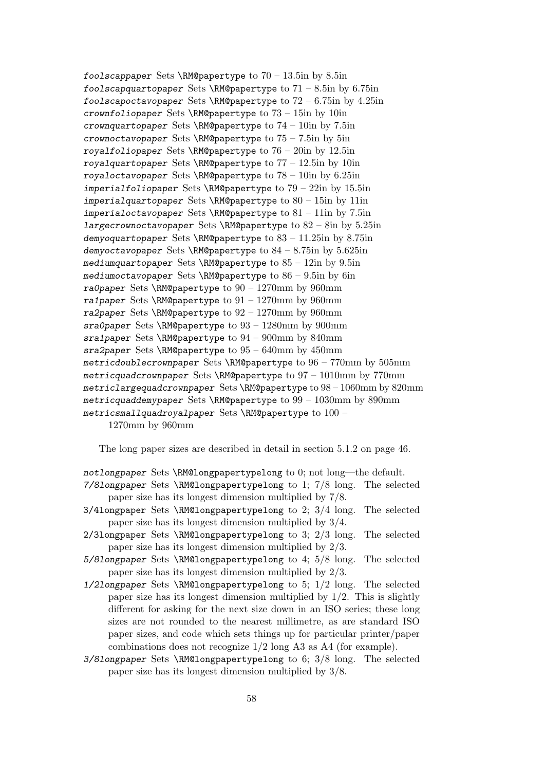foolscappaper Sets \RM@papertype to  $70 - 13.5$ in by 8.5in foolscapquartopaper Sets \RM@papertype to  $71 - 8.5$ in by 6.75in foolscapoctavopaper Sets \RM@papertype to  $72 - 6.75$ in by  $4.25$ in crownfoliopaper Sets \RM@papertype to  $73 - 15$ in by 10in crownquartopaper Sets \RM@papertype to  $74 - 10$ in by  $7.5$ in crownoctavopaper Sets \RM@papertype to  $75 - 7.5$ in by 5in royalfoliopaper Sets \RM@papertype to  $76 - 20$ in by 12.5in royalquartopaper Sets \RM@papertype to  $77 - 12.5$ in by 10in royaloctavopaper Sets \RM@papertype to  $78 - 10$ in by 6.25in imperialfoliopaper Sets  $\Re$ M@papertype to 79 – 22in by 15.5in imperialquartopaper Sets \RM@papertype to  $80 - 15$ in by 11in imperialoctavopaper Sets \RM@papertype to  $81 - 11$ in by 7.5in largecrownoctavopaper Sets \RM@papertype to  $82 - 8$ in by  $5.25$ in demyoquartopaper Sets \RM@papertype to  $83 - 11.25$ in by  $8.75$ in demyoctavopaper Sets \RM@papertype to  $84 - 8.75$ in by  $5.625$ in mediumquartopaper Sets \RM@papertype to  $85 - 12$ in by  $9.5$ in mediumoctavopaper Sets \RM@papertype to  $86 - 9.5$ in by 6in ra0paper Sets \RM@papertype to  $90 - 1270$ mm by  $960$ mm ra1paper Sets \RM@papertype to  $91 - 1270$ mm by  $960$ mm ra2paper Sets \RM@papertype to  $92 - 1270$ mm by  $960$ mm sra0paper Sets \RM@papertype to  $93 - 1280$ mm by  $900$ mm sra1paper Sets \RM@papertype to  $94 - 900$ mm by 840mm sra2paper Sets \RM@papertype to  $95 - 640$ mm by  $450$ mm metricdoublecrownpaper Sets \RM@papertype to  $96 - 770$ mm by  $505$ mm metricquadcrownpaper Sets \RM@papertype to 97 – 1010mm by 770mm metriclargequadcrownpaper Sets \RM@papertype to  $98 - 1060$ mm by  $820$ mm metricquaddemypaper Sets \RM@papertype to  $99 - 1030$ mm by 890mm metricsmallquadroyalpaper Sets \RM@papertype to  $100 -$ 

1270mm by 960mm

The long paper sizes are described in detail in section 5.1.2 on page 46.

notlongpaper Sets \RM@longpapertypelong to 0; not long—the default.

- 7/8longpaper Sets \RM@longpapertypelong to 1; 7/8 long. The selected paper size has its longest dimension multiplied by 7/8.
- 3/4longpaper Sets \RM@longpapertypelong to 2; 3/4 long. The selected paper size has its longest dimension multiplied by 3/4.
- 2/3longpaper Sets \RM@longpapertypelong to 3; 2/3 long. The selected paper size has its longest dimension multiplied by 2/3.
- 5/8longpaper Sets \RM@longpapertypelong to 4; 5/8 long. The selected paper size has its longest dimension multiplied by 2/3.
- 1/2longpaper Sets \RM@longpapertypelong to 5; 1/2 long. The selected paper size has its longest dimension multiplied by  $1/2$ . This is slightly different for asking for the next size down in an ISO series; these long sizes are not rounded to the nearest millimetre, as are standard ISO paper sizes, and code which sets things up for particular printer/paper combinations does not recognize 1/2 long A3 as A4 (for example).
- 3/8longpaper Sets \RM@longpapertypelong to 6; 3/8 long. The selected paper size has its longest dimension multiplied by 3/8.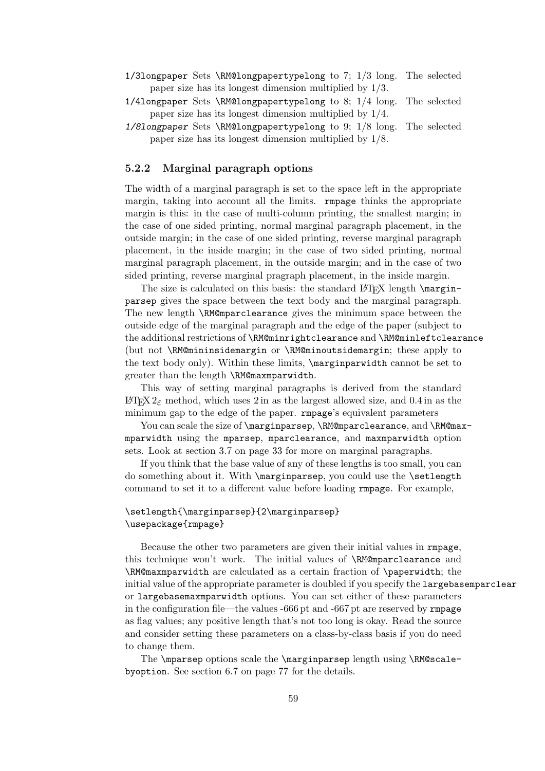- 1/3longpaper Sets \RM@longpapertypelong to 7; 1/3 long. The selected paper size has its longest dimension multiplied by 1/3.
- 1/4longpaper Sets \RM@longpapertypelong to 8; 1/4 long. The selected paper size has its longest dimension multiplied by 1/4.
- 1/8longpaper Sets \RM@longpapertypelong to 9; 1/8 long. The selected paper size has its longest dimension multiplied by 1/8.

#### 5.2.2 Marginal paragraph options

The width of a marginal paragraph is set to the space left in the appropriate margin, taking into account all the limits. rmpage thinks the appropriate margin is this: in the case of multi-column printing, the smallest margin; in the case of one sided printing, normal marginal paragraph placement, in the outside margin; in the case of one sided printing, reverse marginal paragraph placement, in the inside margin; in the case of two sided printing, normal marginal paragraph placement, in the outside margin; and in the case of two sided printing, reverse marginal pragraph placement, in the inside margin.

The size is calculated on this basis: the standard  $\langle$  Length \marginparsep gives the space between the text body and the marginal paragraph. The new length \RM@mparclearance gives the minimum space between the outside edge of the marginal paragraph and the edge of the paper (subject to the additional restrictions of \RM@minrightclearance and \RM@minleftclearance (but not \RM@mininsidemargin or \RM@minoutsidemargin; these apply to the text body only). Within these limits, \marginparwidth cannot be set to greater than the length \RM@maxmparwidth.

This way of setting marginal paragraphs is derived from the standard  $\text{LATEX } 2\varepsilon$  method, which uses 2 in as the largest allowed size, and 0.4 in as the minimum gap to the edge of the paper. rmpage's equivalent parameters

You can scale the size of \marginparsep, \RM@mparclearance, and \RM@maxmparwidth using the mparsep, mparclearance, and maxmparwidth option sets. Look at section 3.7 on page 33 for more on marginal paragraphs.

If you think that the base value of any of these lengths is too small, you can do something about it. With \marginparsep, you could use the \setlength command to set it to a different value before loading rmpage. For example,

#### \setlength{\marginparsep}{2\marginparsep} \usepackage{rmpage}

Because the other two parameters are given their initial values in rmpage, this technique won't work. The initial values of \RM@mparclearance and \RM@maxmparwidth are calculated as a certain fraction of \paperwidth; the initial value of the appropriate parameter is doubled if you specify the largebasemparclear or largebasemaxmparwidth options. You can set either of these parameters in the configuration file—the values -666 pt and -667 pt are reserved by rmpage as flag values; any positive length that's not too long is okay. Read the source and consider setting these parameters on a class-by-class basis if you do need to change them.

The \mparsep options scale the \marginparsep length using \RM@scalebyoption. See section 6.7 on page 77 for the details.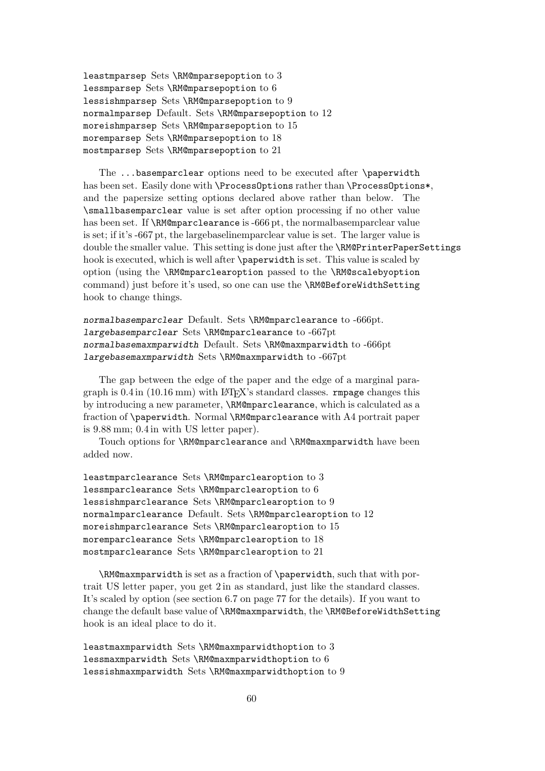leastmparsep Sets \RM@mparsepoption to 3 lessmparsep Sets \RM@mparsepoption to 6 lessishmparsep Sets \RM@mparsepoption to 9 normalmparsep Default. Sets \RM@mparsepoption to 12 moreishmparsep Sets \RM@mparsepoption to 15 moremparsep Sets \RM@mparsepoption to 18 mostmparsep Sets \RM@mparsepoption to 21

The ...basemparclear options need to be executed after \paperwidth has been set. Easily done with \ProcessOptions rather than \ProcessOptions\*, and the papersize setting options declared above rather than below. The \smallbasemparclear value is set after option processing if no other value has been set. If \RM@mparclearance is -666 pt, the normalbasemparclear value is set; if it's -667 pt, the largebaselinemparclear value is set. The larger value is double the smaller value. This setting is done just after the \RM@PrinterPaperSettings hook is executed, which is well after \paperwidth is set. This value is scaled by option (using the \RM@mparclearoption passed to the \RM@scalebyoption command) just before it's used, so one can use the \RM@BeforeWidthSetting hook to change things.

normalbasemparclear Default. Sets \RM@mparclearance to -666pt. largebasemparclear Sets \RM@mparclearance to -667pt normalbasemaxmparwidth Default. Sets \RM@maxmparwidth to -666pt largebasemaxmparwidth Sets \RM@maxmparwidth to -667pt

The gap between the edge of the paper and the edge of a marginal paragraph is  $0.4$  in  $(10.16 \text{ mm})$  with LAT<sub>EX</sub>'s standard classes. **rmpage** changes this by introducing a new parameter, \RM@mparclearance, which is calculated as a fraction of \paperwidth. Normal \RM@mparclearance with A4 portrait paper is 9.88 mm; 0.4 in with US letter paper).

Touch options for \RM@mparclearance and \RM@maxmparwidth have been added now.

leastmparclearance Sets \RM@mparclearoption to 3 lessmparclearance Sets \RM@mparclearoption to 6 lessishmparclearance Sets \RM@mparclearoption to 9 normalmparclearance Default. Sets \RM@mparclearoption to 12 moreishmparclearance Sets \RM@mparclearoption to 15 moremparclearance Sets \RM@mparclearoption to 18 mostmparclearance Sets \RM@mparclearoption to 21

\RM@maxmparwidth is set as a fraction of \paperwidth, such that with portrait US letter paper, you get 2 in as standard, just like the standard classes. It's scaled by option (see section 6.7 on page 77 for the details). If you want to change the default base value of \RM@maxmparwidth, the \RM@BeforeWidthSetting hook is an ideal place to do it.

leastmaxmparwidth Sets  $\RM@maxmparwidth$  to 3 lessmaxmparwidth Sets \RM@maxmparwidthoption to 6 lessishmaxmparwidth Sets \RM@maxmparwidthoption to 9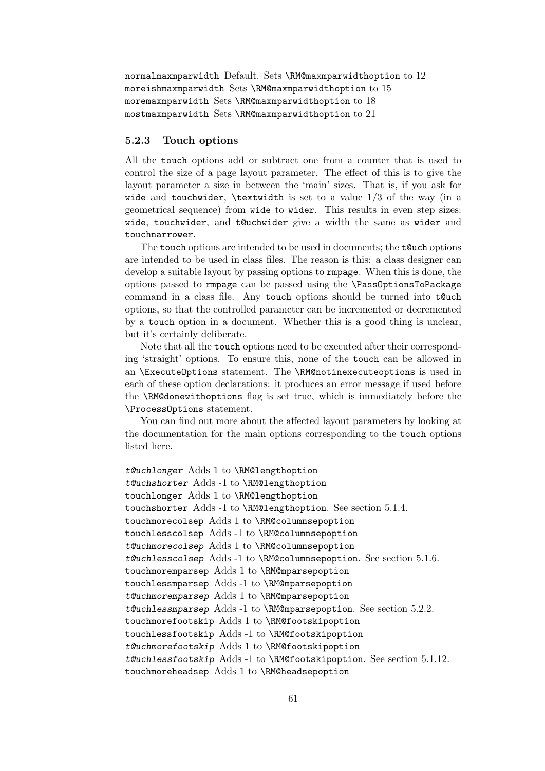```
normalmaxmparwidth Default. Sets \RM@maxmparwidthoption to 12
moreishmaxmparwidth Sets \RM@maxmparwidthoption to 15
moremaxmparwidth Sets \RM@maxmparwidthoption to 18
mostmaxmparwidth Sets \RM@maxmparwidthoption to 21
```
#### 5.2.3 Touch options

All the touch options add or subtract one from a counter that is used to control the size of a page layout parameter. The effect of this is to give the layout parameter a size in between the 'main' sizes. That is, if you ask for wide and touchwider, \textwidth is set to a value  $1/3$  of the way (in a geometrical sequence) from wide to wider. This results in even step sizes: wide, touchwider, and t@uchwider give a width the same as wider and touchnarrower.

The touch options are intended to be used in documents; the t@uch options are intended to be used in class files. The reason is this: a class designer can develop a suitable layout by passing options to rmpage. When this is done, the options passed to rmpage can be passed using the \PassOptionsToPackage command in a class file. Any touch options should be turned into t@uch options, so that the controlled parameter can be incremented or decremented by a touch option in a document. Whether this is a good thing is unclear, but it's certainly deliberate.

Note that all the touch options need to be executed after their corresponding 'straight' options. To ensure this, none of the touch can be allowed in an \ExecuteOptions statement. The \RM@notinexecuteoptions is used in each of these option declarations: it produces an error message if used before the \RM@donewithoptions flag is set true, which is immediately before the \ProcessOptions statement.

You can find out more about the affected layout parameters by looking at the documentation for the main options corresponding to the touch options listed here.

```
t@uchlonger Adds 1 to \RM@lengthoption
t@uchshorter Adds -1 to \RM@lengthoption
touchlonger Adds 1 to \RM@lengthoption
touchshorter Adds -1 to \RM@lengthoption. See section 5.1.4.
touchmorecolsep Adds 1 to \RM@columnsepoption
touchlesscolsep Adds -1 to \RM@columnsepoption
t@uchmorecolsep Adds 1 to \RM@columnsepoption
t@uchlesscolsep Adds -1 to \RM@columnsepoption. See section 5.1.6.
touchmoremparsep Adds 1 to \RM@mparsepoption
touchlessmparsep Adds -1 to \RM@mparsepoption
t@uchmoremparsep Adds 1 to \RM@mparsepoption
t@uchlessmparsep Adds -1 to \RM@mparsepoption. See section 5.2.2.
touchmorefootskip Adds 1 to \RM@footskipoption
touchlessfootskip Adds -1 to \RM@footskipoption
t@uchmorefootskip Adds 1 to \RM@footskipoption
t@uchlessfootskip Adds -1 to \RM@footskipoption. See section 5.1.12.
touchmoreheadsep Adds 1 to \RM@headsepoption
```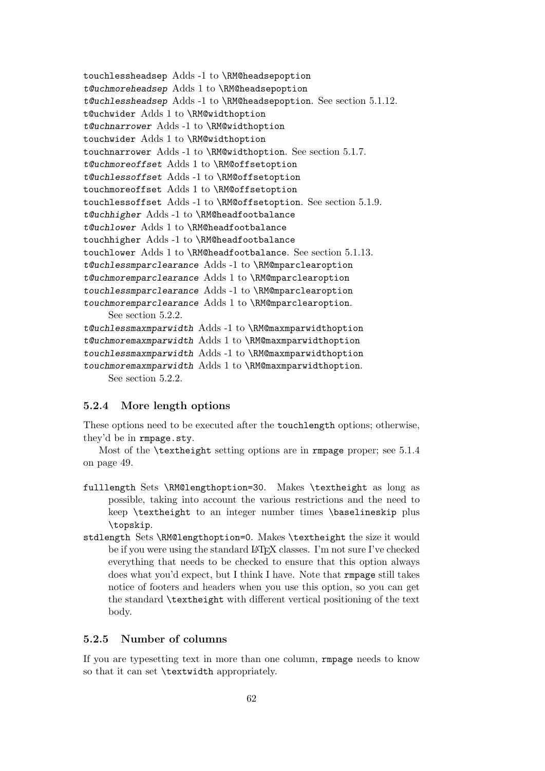```
touchlessheadsep Adds -1 to \RM@headsepoption
t@uchmoreheadsep Adds 1 to \RM@headsepoption
t@uchlessheadsep Adds -1 to \RM@headsepoption. See section 5.1.12.
t@uchwider Adds 1 to \RM@widthoption
t@uchnarrower Adds -1 to \RM@widthoption
touchwider Adds 1 to \RM@widthoption
touchnarrower Adds -1 to \RM@widthoption. See section 5.1.7.
t@uchmoreoffset Adds 1 to \RM@offsetoption
t@uchlessoffset Adds -1 to \RM@offsetoption
touchmoreoffset Adds 1 to \RM@offsetoption
touchlessoffset Adds -1 to \RM@offsetoption. See section 5.1.9.
t@uchhigher Adds -1 to \RM@headfootbalance
t@uchlower Adds 1 to \RM@headfootbalance
touchhigher Adds -1 to \RM@headfootbalance
touchlower Adds 1 to \RM@headfootbalance. See section 5.1.13.
t@uchlessmparclearance Adds -1 to \RM@mparclearoption
t@uchmoremparclearance Adds 1 to \RM@mparclearoption
touchlessmparclearance Adds -1 to \RM@mparclearoption
touchmoremparclearance Adds 1 to \RM@mparclearoption.
     See section 5.2.2.
t@uchlessmaxmparwidth Adds -1 to \RM@maxmparwidthoption
t@uchmoremaxmparwidth Adds 1 to \RM@maxmparwidthoption
touchlessmaxmparwidth Adds -1 to \RM@maxmparwidthoption
touchmoremaxmparwidth Adds 1 to \RM@maxmparwidthoption.
     See section 5.2.2.
```
#### 5.2.4 More length options

These options need to be executed after the touchlength options; otherwise, they'd be in rmpage.sty.

Most of the \textheight setting options are in rmpage proper; see 5.1.4 on page 49.

- fulllength Sets \RM@lengthoption=30. Makes \textheight as long as possible, taking into account the various restrictions and the need to keep \textheight to an integer number times \baselineskip plus \topskip.
- stdlength Sets \RM@lengthoption=0. Makes \textheight the size it would be if you were using the standard LAT<sub>EX</sub> classes. I'm not sure I've checked everything that needs to be checked to ensure that this option always does what you'd expect, but I think I have. Note that rmpage still takes notice of footers and headers when you use this option, so you can get the standard \textheight with different vertical positioning of the text body.

#### 5.2.5 Number of columns

If you are typesetting text in more than one column, rmpage needs to know so that it can set \textwidth appropriately.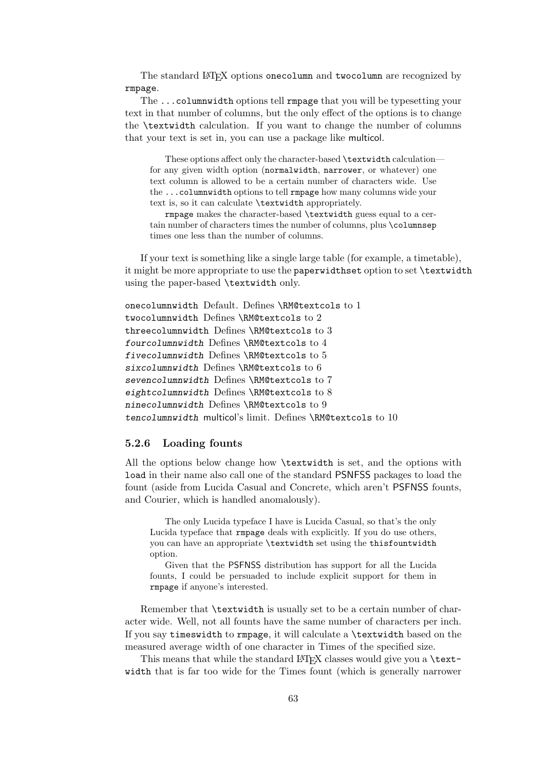The standard LATEX options onecolumn and twocolumn are recognized by rmpage.

The ...columnwidth options tell rmpage that you will be typesetting your text in that number of columns, but the only effect of the options is to change the \textwidth calculation. If you want to change the number of columns that your text is set in, you can use a package like multicol.

These options affect only the character-based \textwidth calculation for any given width option (normalwidth, narrower, or whatever) one text column is allowed to be a certain number of characters wide. Use the ...columnwidth options to tell rmpage how many columns wide your text is, so it can calculate \textwidth appropriately.

rmpage makes the character-based \textwidth guess equal to a certain number of characters times the number of columns, plus \columnsep times one less than the number of columns.

If your text is something like a single large table (for example, a timetable), it might be more appropriate to use the paperwidthset option to set \textwidth using the paper-based \textwidth only.

```
onecolumnwidth Default. Defines \RM@textcols to 1
twocolumnwidth Defines \RM@textcols to 2
threecolumnwidth Defines \RM@textcols to 3
fourcolumnwidth Defines \RM@textcols to 4
fivecolumnwidth Defines \RM@textcols to 5
sixcolumnwidth Defines \RM@textcols to 6
sevencolumnwidth Defines \RM@textcols to 7
eightcolumnwidth Defines \RM@textcols to 8
ninecolumnwidth Defines \RM@textcols to 9
tencolumnwidth multicol's limit. Defines \RM@textcols to 10
```
#### 5.2.6 Loading founts

All the options below change how \textwidth is set, and the options with load in their name also call one of the standard PSNFSS packages to load the fount (aside from Lucida Casual and Concrete, which aren't PSFNSS founts, and Courier, which is handled anomalously).

The only Lucida typeface I have is Lucida Casual, so that's the only Lucida typeface that rmpage deals with explicitly. If you do use others, you can have an appropriate \textwidth set using the thisfountwidth option.

Given that the PSFNSS distribution has support for all the Lucida founts, I could be persuaded to include explicit support for them in rmpage if anyone's interested.

Remember that \textwidth is usually set to be a certain number of character wide. Well, not all founts have the same number of characters per inch. If you say timeswidth to rmpage, it will calculate a \textwidth based on the measured average width of one character in Times of the specified size.

This means that while the standard  $\Delta E$ FX classes would give you a \textwidth that is far too wide for the Times fount (which is generally narrower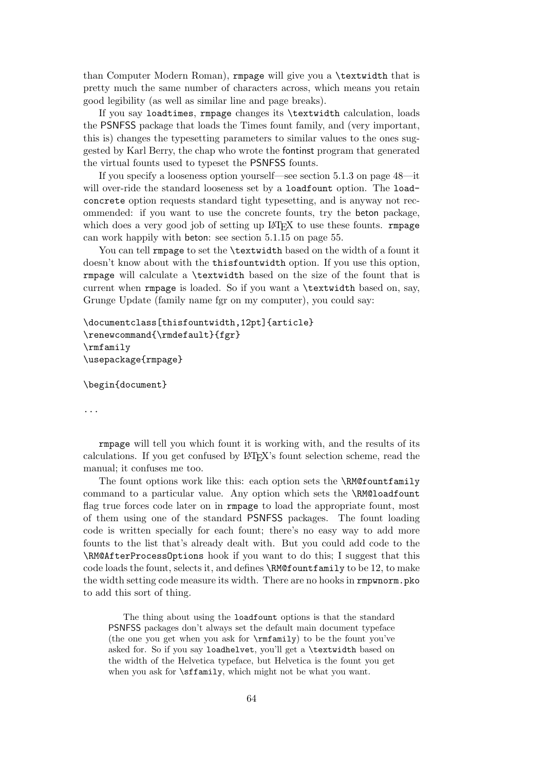than Computer Modern Roman), rmpage will give you a \textwidth that is pretty much the same number of characters across, which means you retain good legibility (as well as similar line and page breaks).

If you say loadtimes, rmpage changes its \textwidth calculation, loads the PSNFSS package that loads the Times fount family, and (very important, this is) changes the typesetting parameters to similar values to the ones suggested by Karl Berry, the chap who wrote the fontinst program that generated the virtual founts used to typeset the PSNFSS founts.

If you specify a looseness option yourself—see section 5.1.3 on page 48—it will over-ride the standard looseness set by a loadfount option. The loadconcrete option requests standard tight typesetting, and is anyway not recommended: if you want to use the concrete founts, try the beton package, which does a very good job of setting up  $\mathbb{F}(\mathbb{F}(\mathbb{R}^n))$  to use these founts. **rmpage** can work happily with beton: see section 5.1.15 on page 55.

You can tell rmpage to set the **\textwidth** based on the width of a fount it doesn't know about with the thisfountwidth option. If you use this option, rmpage will calculate a \textwidth based on the size of the fount that is current when rmpage is loaded. So if you want a \textwidth based on, say, Grunge Update (family name fgr on my computer), you could say:

```
\documentclass[thisfountwidth,12pt]{article}
\renewcommand{\rmdefault}{fgr}
\rmfamily
\usepackage{rmpage}
```
\begin{document}

...

rmpage will tell you which fount it is working with, and the results of its calculations. If you get confused by LATEX's fount selection scheme, read the manual; it confuses me too.

The fount options work like this: each option sets the \RM@fountfamily command to a particular value. Any option which sets the \RM@loadfount flag true forces code later on in rmpage to load the appropriate fount, most of them using one of the standard PSNFSS packages. The fount loading code is written specially for each fount; there's no easy way to add more founts to the list that's already dealt with. But you could add code to the \RM@AfterProcessOptions hook if you want to do this; I suggest that this code loads the fount, selects it, and defines \RM@fountfamily to be 12, to make the width setting code measure its width. There are no hooks in rmpwnorm.pko to add this sort of thing.

The thing about using the loadfount options is that the standard PSNFSS packages don't always set the default main document typeface (the one you get when you ask for \rmfamily) to be the fount you've asked for. So if you say loadhelvet, you'll get a \textwidth based on the width of the Helvetica typeface, but Helvetica is the fount you get when you ask for \sffamily, which might not be what you want.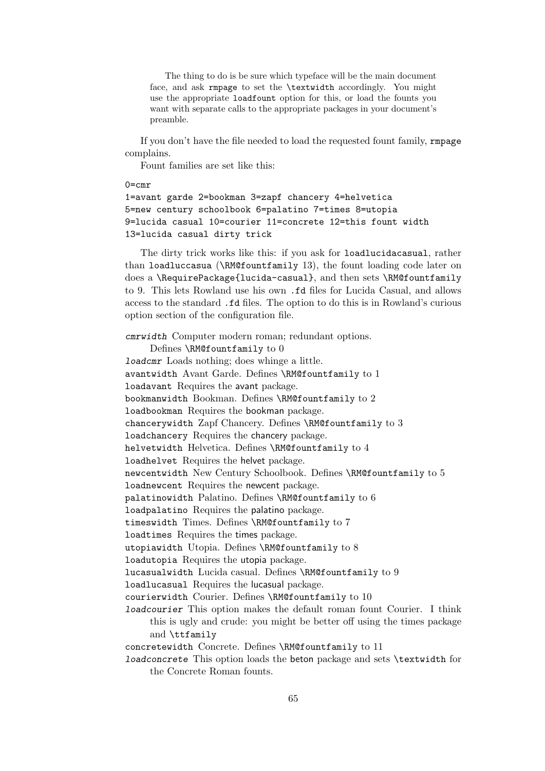The thing to do is be sure which typeface will be the main document face, and ask rmpage to set the \textwidth accordingly. You might use the appropriate loadfount option for this, or load the founts you want with separate calls to the appropriate packages in your document's preamble.

If you don't have the file needed to load the requested fount family, rmpage complains.

Fount families are set like this:

#### $0 = \text{cm}r$

```
1=avant garde 2=bookman 3=zapf chancery 4=helvetica
5=new century schoolbook 6=palatino 7=times 8=utopia
9=lucida casual 10=courier 11=concrete 12=this fount width
13=lucida casual dirty trick
```
The dirty trick works like this: if you ask for loadlucidacasual, rather than loadluccasua (\RM@fountfamily 13), the fount loading code later on does a \RequirePackage{lucida-casual}, and then sets \RM@fountfamily to 9. This lets Rowland use his own .fd files for Lucida Casual, and allows access to the standard .fd files. The option to do this is in Rowland's curious option section of the configuration file.

cmrwidth Computer modern roman; redundant options. Defines \RM@fountfamily to 0 loadcmr Loads nothing; does whinge a little. avantwidth Avant Garde. Defines \RM@fountfamily to 1 loadavant Requires the avant package. bookmanwidth Bookman. Defines \RM@fountfamily to 2 loadbookman Requires the bookman package. chancerywidth Zapf Chancery. Defines \RM@fountfamily to 3 loadchancery Requires the chancery package. helvetwidth Helvetica. Defines \RM@fountfamily to 4 loadhelvet Requires the helvet package. newcentwidth New Century Schoolbook. Defines \RM@fountfamily to 5 loadnewcent Requires the newcent package. palatinowidth Palatino. Defines \RM@fountfamily to 6 loadpalatino Requires the palatino package. timeswidth Times. Defines \RM@fountfamily to 7 loadtimes Requires the times package. utopiawidth Utopia. Defines \RM@fountfamily to 8 loadutopia Requires the utopia package. lucasualwidth Lucida casual. Defines \RM@fountfamily to 9 loadlucasual Requires the lucasual package. courierwidth Courier. Defines \RM@fountfamily to 10 loadcourier This option makes the default roman fount Courier. I think this is ugly and crude: you might be better off using the times package and \ttfamily concretewidth Concrete. Defines \RM@fountfamily to 11 loadconcrete This option loads the beton package and sets \textwidth for the Concrete Roman founts.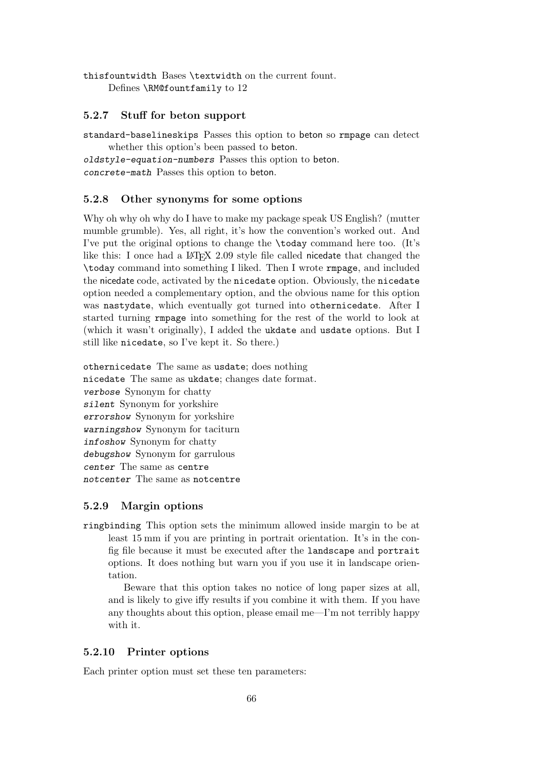thisfountwidth Bases \textwidth on the current fount. Defines \RM@fountfamily to 12

#### 5.2.7 Stuff for beton support

standard-baselineskips Passes this option to beton so rmpage can detect whether this option's been passed to beton.

oldstyle-equation-numbers Passes this option to beton. concrete-math Passes this option to beton.

#### 5.2.8 Other synonyms for some options

Why oh why oh why do I have to make my package speak US English? (mutter mumble grumble). Yes, all right, it's how the convention's worked out. And I've put the original options to change the \today command here too. (It's like this: I once had a LAT<sub>EX</sub> 2.09 style file called nicedate that changed the \today command into something I liked. Then I wrote rmpage, and included the nicedate code, activated by the nicedate option. Obviously, the nicedate option needed a complementary option, and the obvious name for this option was nastydate, which eventually got turned into othernicedate. After I started turning rmpage into something for the rest of the world to look at (which it wasn't originally), I added the ukdate and usdate options. But I still like nicedate, so I've kept it. So there.)

othernicedate The same as usdate; does nothing nicedate The same as ukdate; changes date format. verbose Synonym for chatty silent Synonym for yorkshire errorshow Synonym for yorkshire warningshow Synonym for taciturn infoshow Synonym for chatty debugshow Synonym for garrulous center The same as centre notcenter The same as notcentre

#### 5.2.9 Margin options

ringbinding This option sets the minimum allowed inside margin to be at least 15 mm if you are printing in portrait orientation. It's in the config file because it must be executed after the landscape and portrait options. It does nothing but warn you if you use it in landscape orientation.

Beware that this option takes no notice of long paper sizes at all, and is likely to give iffy results if you combine it with them. If you have any thoughts about this option, please email me—I'm not terribly happy with it.

#### 5.2.10 Printer options

Each printer option must set these ten parameters: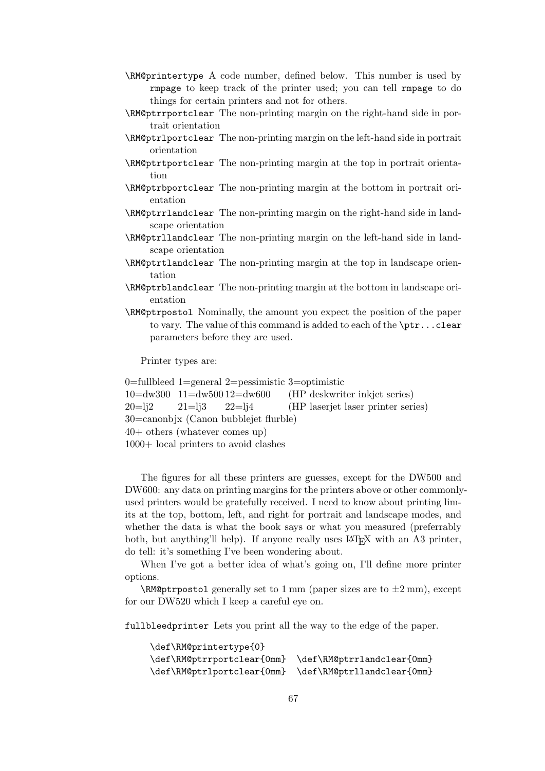- \RM@printertype A code number, defined below. This number is used by rmpage to keep track of the printer used; you can tell rmpage to do things for certain printers and not for others.
- \RM@ptrrportclear The non-printing margin on the right-hand side in portrait orientation
- \RM@ptrlportclear The non-printing margin on the left-hand side in portrait orientation
- \RM@ptrtportclear The non-printing margin at the top in portrait orientation
- \RM@ptrbportclear The non-printing margin at the bottom in portrait orientation
- \RM@ptrrlandclear The non-printing margin on the right-hand side in landscape orientation
- \RM@ptrllandclear The non-printing margin on the left-hand side in landscape orientation
- \RM@ptrtlandclear The non-printing margin at the top in landscape orientation
- \RM@ptrblandclear The non-printing margin at the bottom in landscape orientation
- \RM@ptrpostol Nominally, the amount you expect the position of the paper to vary. The value of this command is added to each of the \ptr...clear parameters before they are used.

Printer types are:

```
0=fullbleed 1=general 2=pessimistic 3=optimistic
10=dw300 11=dw500 12=dw600 (HP deskwriter inkjet series)
20=li2 21=li3 22=li4 (HP laseriet laser printer series)
30=canonbjx (Canon bubblejet flurble)
40+ others (whatever comes up)
```
1000+ local printers to avoid clashes

The figures for all these printers are guesses, except for the DW500 and DW600: any data on printing margins for the printers above or other commonlyused printers would be gratefully received. I need to know about printing limits at the top, bottom, left, and right for portrait and landscape modes, and whether the data is what the book says or what you measured (preferrably both, but anything'll help). If anyone really uses LAT<sub>EX</sub> with an A3 printer, do tell: it's something I've been wondering about.

When I've got a better idea of what's going on, I'll define more printer options.

 $\RM@ptr$  postol generally set to 1 mm (paper sizes are to  $\pm 2$  mm), except for our DW520 which I keep a careful eye on.

fullbleedprinter Lets you print all the way to the edge of the paper.

```
\def\RM@printertype{0}
\def\RM@ptrrportclear{0mm} \def\RM@ptrrlandclear{0mm}
\def\RM@ptrlportclear{0mm} \def\RM@ptrllandclear{0mm}
```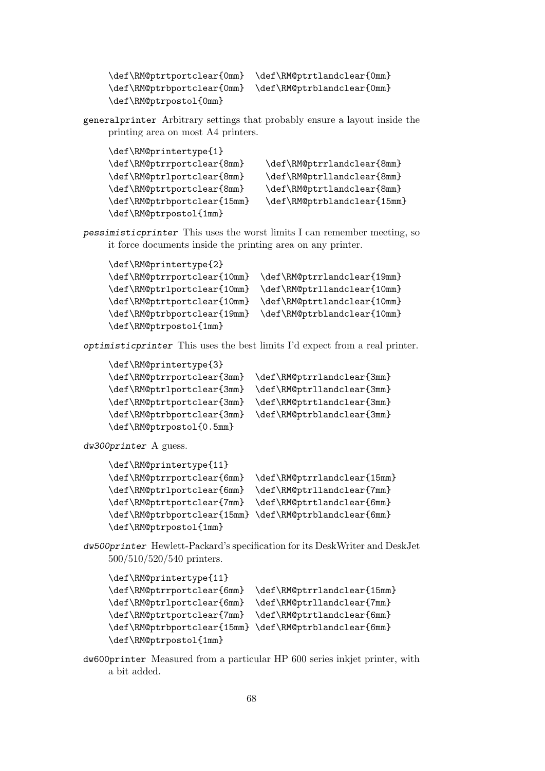```
\def\RM@ptrtportclear{0mm} \def\RM@ptrtlandclear{0mm}
\def\RM@ptrbportclear{0mm} \def\RM@ptrblandclear{0mm}
\def\RM@ptrpostol{0mm}
```
generalprinter Arbitrary settings that probably ensure a layout inside the printing area on most A4 printers.

```
\def\RM@printertype{1}
\def\RM@ptrrportclear{8mm} \def\RM@ptrrlandclear{8mm}
\def\RM@ptrlportclear{8mm} \def\RM@ptrllandclear{8mm}
\def\RM@ptrtportclear{8mm} \def\RM@ptrtlandclear{8mm}
\def\RM@ptrbportclear{15mm} \def\RM@ptrblandclear{15mm}
\def\RM@ptrpostol{1mm}
```
pessimisticprinter This uses the worst limits I can remember meeting, so it force documents inside the printing area on any printer.

```
\def\RM@printertype{2}
\def\RM@ptrrportclear{10mm} \def\RM@ptrrlandclear{19mm}
\def\RM@ptrlportclear{10mm} \def\RM@ptrllandclear{10mm}
\def\RM@ptrtportclear{10mm} \def\RM@ptrtlandclear{10mm}
\def\RM@ptrbportclear{19mm} \def\RM@ptrblandclear{10mm}
\def\RM@ptrpostol{1mm}
```
optimisticprinter This uses the best limits I'd expect from a real printer.

| \def\RM@printertype{3}     |                            |
|----------------------------|----------------------------|
| \def\RM@ptrrportclear{3mm} | \def\RM@ptrrlandclear{3mm} |
| \def\RM@ptrlportclear{3mm} | \def\RM@ptrllandclear{3mm} |
| \def\RM@ptrtportclear{3mm} | \def\RM@ptrtlandclear{3mm} |
| \def\RM@ptrbportclear{3mm} | \def\RM@ptrblandclear{3mm} |
| \def\RM@ptrpostol{0.5mm}   |                            |

dw300printer A guess.

```
\def\RM@printertype{11}
\def\RM@ptrrportclear{6mm} \def\RM@ptrrlandclear{15mm}
\def\RM@ptrlportclear{6mm} \def\RM@ptrllandclear{7mm}
\def\RM@ptrtportclear{7mm} \def\RM@ptrtlandclear{6mm}
\def\RM@ptrbportclear{15mm} \def\RM@ptrblandclear{6mm}
\def\RM@ptrpostol{1mm}
```
dw500printer Hewlett-Packard's specification for its DeskWriter and DeskJet 500/510/520/540 printers.

```
\def\RM@printertype{11}
\def\RM@ptrrportclear{6mm} \def\RM@ptrrlandclear{15mm}
\def\RM@ptrlportclear{6mm} \def\RM@ptrllandclear{7mm}
\def\RM@ptrtportclear{7mm} \def\RM@ptrtlandclear{6mm}
\def\RM@ptrbportclear{15mm} \def\RM@ptrblandclear{6mm}
\def\RM@ptrpostol{1mm}
```
dw600printer Measured from a particular HP 600 series inkjet printer, with a bit added.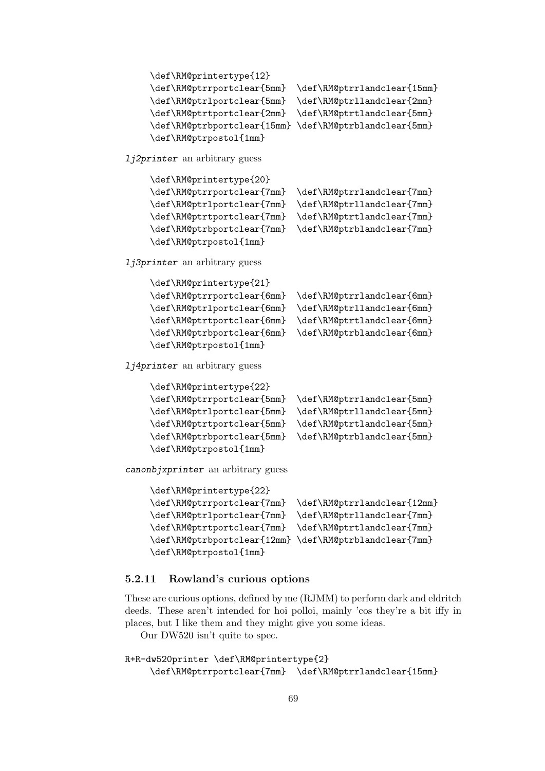```
\def\RM@printertype{12}
    \def\RM@ptrrportclear{5mm} \def\RM@ptrrlandclear{15mm}
    \def\RM@ptrlportclear{5mm} \def\RM@ptrllandclear{2mm}
    \def\RM@ptrtportclear{2mm} \def\RM@ptrtlandclear{5mm}
    \def\RM@ptrbportclear{15mm} \def\RM@ptrblandclear{5mm}
    \def\RM@ptrpostol{1mm}
lj2printer an arbitrary guess
    \def\RM@printertype{20}
    \def\RM@ptrrportclear{7mm} \def\RM@ptrrlandclear{7mm}
    \def\RM@ptrlportclear{7mm} \def\RM@ptrllandclear{7mm}
    \def\RM@ptrtportclear{7mm} \def\RM@ptrtlandclear{7mm}
    \def\RM@ptrbportclear{7mm} \def\RM@ptrblandclear{7mm}
    \def\RM@ptrpostol{1mm}
lj3printer an arbitrary guess
    \def\RM@printertype{21}
    \def\RM@ptrrportclear{6mm} \def\RM@ptrrlandclear{6mm}
    \def\RM@ptrlportclear{6mm} \def\RM@ptrllandclear{6mm}
    \def\RM@ptrtportclear{6mm} \def\RM@ptrtlandclear{6mm}
    \def\RM@ptrbportclear{6mm} \def\RM@ptrblandclear{6mm}
    \def\RM@ptrpostol{1mm}
lj4printer an arbitrary guess
    \def\RM@printertype{22}
    \def\RM@ptrrportclear{5mm} \def\RM@ptrrlandclear{5mm}
    \def\RM@ptrlportclear{5mm} \def\RM@ptrllandclear{5mm}
    \def\RM@ptrtportclear{5mm} \def\RM@ptrtlandclear{5mm}
    \def\RM@ptrbportclear{5mm} \def\RM@ptrblandclear{5mm}
    \def\RM@ptrpostol{1mm}
canonbjxprinter an arbitrary guess
    \def\RM@printertype{22}
    \def\RM@ptrrportclear{7mm} \def\RM@ptrrlandclear{12mm}
    \def\RM@ptrlportclear{7mm} \def\RM@ptrllandclear{7mm}
    \def\RM@ptrtportclear{7mm} \def\RM@ptrtlandclear{7mm}
    \def\RM@ptrbportclear{12mm} \def\RM@ptrblandclear{7mm}
    \def\RM@ptrpostol{1mm}
```
#### 5.2.11 Rowland's curious options

These are curious options, defined by me (RJMM) to perform dark and eldritch deeds. These aren't intended for hoi polloi, mainly 'cos they're a bit iffy in places, but I like them and they might give you some ideas.

Our DW520 isn't quite to spec.

```
R+R-dw520printer \def\RM@printertype{2}
    \def\RM@ptrrportclear{7mm} \def\RM@ptrrlandclear{15mm}
```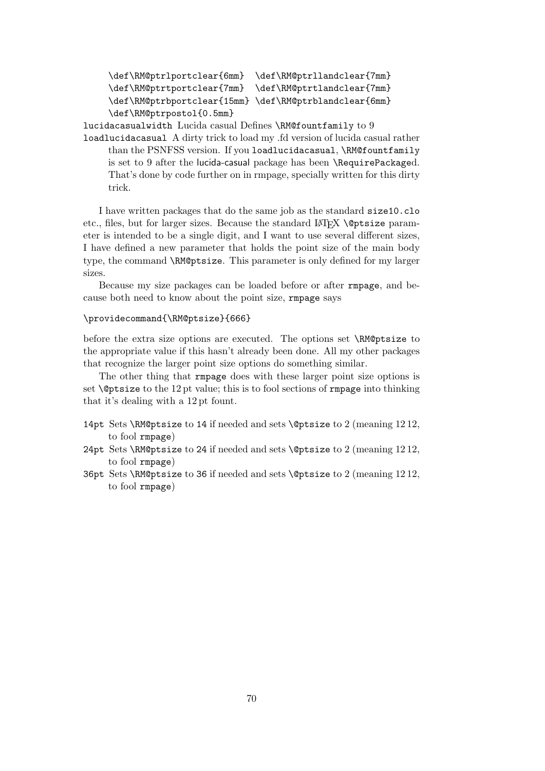```
\def\RM@ptrlportclear{6mm} \def\RM@ptrllandclear{7mm}
\def\RM@ptrtportclear{7mm} \def\RM@ptrtlandclear{7mm}
\def\RM@ptrbportclear{15mm} \def\RM@ptrblandclear{6mm}
\def\RM@ptrpostol{0.5mm}
```
lucidacasualwidth Lucida casual Defines \RM@fountfamily to 9

loadlucidacasual A dirty trick to load my .fd version of lucida casual rather than the PSNFSS version. If you loadlucidacasual, \RM@fountfamily is set to 9 after the lucida-casual package has been \RequirePackaged. That's done by code further on in rmpage, specially written for this dirty trick.

I have written packages that do the same job as the standard size10.clo etc., files, but for larger sizes. Because the standard LAT<sub>EX</sub> \@ptsize parameter is intended to be a single digit, and I want to use several different sizes, I have defined a new parameter that holds the point size of the main body type, the command \RM@ptsize. This parameter is only defined for my larger sizes.

Because my size packages can be loaded before or after rmpage, and because both need to know about the point size, rmpage says

#### \providecommand{\RM@ptsize}{666}

before the extra size options are executed. The options set \RM@ptsize to the appropriate value if this hasn't already been done. All my other packages that recognize the larger point size options do something similar.

The other thing that rmpage does with these larger point size options is set \@ptsize to the 12 pt value; this is to fool sections of rmpage into thinking that it's dealing with a 12 pt fount.

- 14pt Sets \RM@ptsize to 14 if needed and sets \@ptsize to 2 (meaning 12 12, to fool rmpage)
- 24pt Sets \RM@ptsize to 24 if needed and sets \@ptsize to 2 (meaning 12 12, to fool rmpage)
- 36pt Sets \RM@ptsize to 36 if needed and sets \@ptsize to 2 (meaning 12 12, to fool rmpage)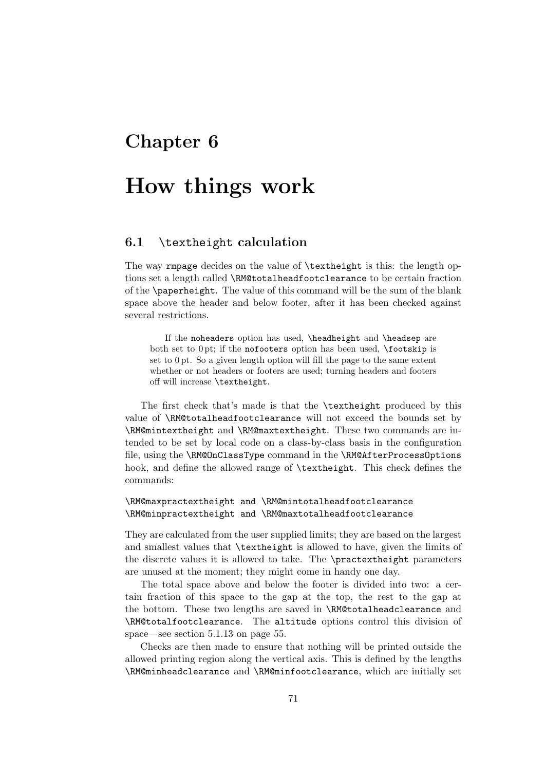## Chapter 6

# How things work

#### 6.1 \textheight calculation

The way rmpage decides on the value of \textheight is this: the length options set a length called \RM@totalheadfootclearance to be certain fraction of the \paperheight. The value of this command will be the sum of the blank space above the header and below footer, after it has been checked against several restrictions.

If the noheaders option has used, \headheight and \headsep are both set to  $0$  pt; if the nofooters option has been used,  $\footnotesize{\text{footskip} is}$ set to 0 pt. So a given length option will fill the page to the same extent whether or not headers or footers are used; turning headers and footers off will increase \textheight.

The first check that's made is that the \textheight produced by this value of \RM@totalheadfootclearance will not exceed the bounds set by \RM@mintextheight and \RM@maxtextheight. These two commands are intended to be set by local code on a class-by-class basis in the configuration file, using the \RM@OnClassType command in the \RM@AfterProcessOptions hook, and define the allowed range of \textheight. This check defines the commands:

#### \RM@maxpractextheight and \RM@mintotalheadfootclearance \RM@minpractextheight and \RM@maxtotalheadfootclearance

They are calculated from the user supplied limits; they are based on the largest and smallest values that \textheight is allowed to have, given the limits of the discrete values it is allowed to take. The \practextheight parameters are unused at the moment; they might come in handy one day.

The total space above and below the footer is divided into two: a certain fraction of this space to the gap at the top, the rest to the gap at the bottom. These two lengths are saved in \RM@totalheadclearance and \RM@totalfootclearance. The altitude options control this division of space—see section 5.1.13 on page 55.

Checks are then made to ensure that nothing will be printed outside the allowed printing region along the vertical axis. This is defined by the lengths \RM@minheadclearance and \RM@minfootclearance, which are initially set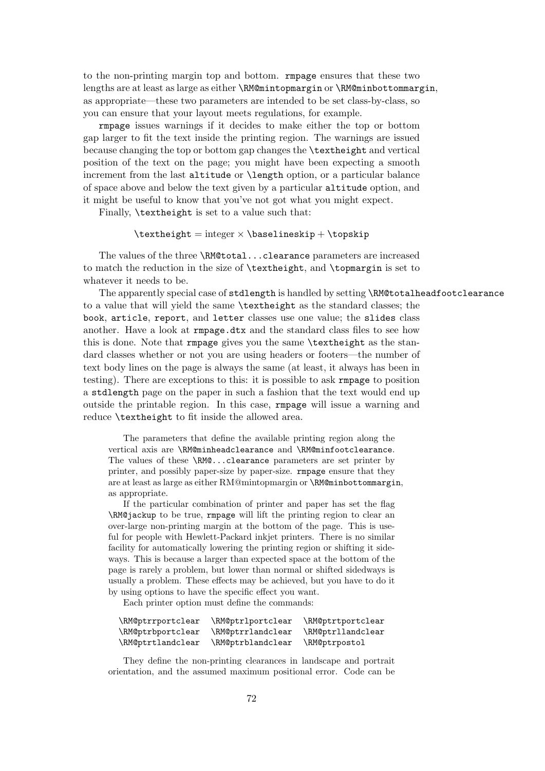to the non-printing margin top and bottom. rmpage ensures that these two lengths are at least as large as either \RM@mintopmargin or \RM@minbottommargin, as appropriate—these two parameters are intended to be set class-by-class, so you can ensure that your layout meets regulations, for example.

rmpage issues warnings if it decides to make either the top or bottom gap larger to fit the text inside the printing region. The warnings are issued because changing the top or bottom gap changes the \textheight and vertical position of the text on the page; you might have been expecting a smooth increment from the last altitude or \length option, or a particular balance of space above and below the text given by a particular altitude option, and it might be useful to know that you've not got what you might expect.

Finally, \textheight is set to a value such that:

 $\text{height} = integer \times \baselineskip + \top$ 

The values of the three \RM@total...clearance parameters are increased to match the reduction in the size of \textheight, and \topmargin is set to whatever it needs to be.

The apparently special case of stdlength is handled by setting \RM@totalheadfootclearance to a value that will yield the same \textheight as the standard classes; the book, article, report, and letter classes use one value; the slides class another. Have a look at rmpage.dtx and the standard class files to see how this is done. Note that rmpage gives you the same \textheight as the standard classes whether or not you are using headers or footers—the number of text body lines on the page is always the same (at least, it always has been in testing). There are exceptions to this: it is possible to ask rmpage to position a stdlength page on the paper in such a fashion that the text would end up outside the printable region. In this case, rmpage will issue a warning and reduce \textheight to fit inside the allowed area.

The parameters that define the available printing region along the vertical axis are \RM@minheadclearance and \RM@minfootclearance. The values of these **\RMQ...clearance** parameters are set printer by printer, and possibly paper-size by paper-size. rmpage ensure that they are at least as large as either RM@mintopmargin or \RM@minbottommargin, as appropriate.

If the particular combination of printer and paper has set the flag \RM@jackup to be true, rmpage will lift the printing region to clear an over-large non-printing margin at the bottom of the page. This is useful for people with Hewlett-Packard inkiet printers. There is no similar facility for automatically lowering the printing region or shifting it sideways. This is because a larger than expected space at the bottom of the page is rarely a problem, but lower than normal or shifted sidedways is usually a problem. These effects may be achieved, but you have to do it by using options to have the specific effect you want.

Each printer option must define the commands:

| \RM@ptrrportclear | \RM@ptrlportclear | \RM@ptrtportclear |
|-------------------|-------------------|-------------------|
| \RM@ptrbportclear | \RM@ptrrlandclear | \RM@ptrllandclear |
| \RM@ptrtlandclear | \RM@ptrblandclear | \RM@ptrpostol     |

They define the non-printing clearances in landscape and portrait orientation, and the assumed maximum positional error. Code can be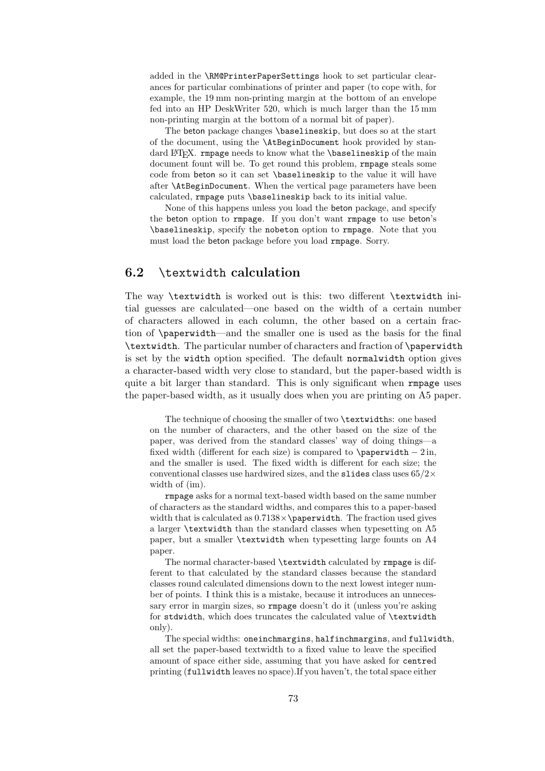added in the \RM@PrinterPaperSettings hook to set particular clearances for particular combinations of printer and paper (to cope with, for example, the 19 mm non-printing margin at the bottom of an envelope fed into an HP DeskWriter 520, which is much larger than the 15 mm non-printing margin at the bottom of a normal bit of paper).

The beton package changes \baselineskip, but does so at the start of the document, using the \AtBeginDocument hook provided by standard LAT<sub>E</sub>X. rmpage needs to know what the **\baselineskip** of the main document fount will be. To get round this problem, rmpage steals some code from beton so it can set \baselineskip to the value it will have after \AtBeginDocument. When the vertical page parameters have been calculated, rmpage puts \baselineskip back to its initial value.

None of this happens unless you load the beton package, and specify the beton option to rmpage. If you don't want rmpage to use beton's \baselineskip, specify the nobeton option to rmpage. Note that you must load the beton package before you load rmpage. Sorry.

## 6.2 \textwidth calculation

The way \textwidth is worked out is this: two different \textwidth initial guesses are calculated—one based on the width of a certain number of characters allowed in each column, the other based on a certain fraction of \paperwidth—and the smaller one is used as the basis for the final \textwidth. The particular number of characters and fraction of \paperwidth is set by the width option specified. The default normalwidth option gives a character-based width very close to standard, but the paper-based width is quite a bit larger than standard. This is only significant when rmpage uses the paper-based width, as it usually does when you are printing on A5 paper.

The technique of choosing the smaller of two \textwidths: one based on the number of characters, and the other based on the size of the paper, was derived from the standard classes' way of doing things—a fixed width (different for each size) is compared to \paperwidth  $- 2$  in, and the smaller is used. The fixed width is different for each size; the conventional classes use hardwired sizes, and the slides class uses  $65/2\times$ width of (im).

rmpage asks for a normal text-based width based on the same number of characters as the standard widths, and compares this to a paper-based width that is calculated as  $0.7138 \times \pmb{\text{paperwidth}}$ . The fraction used gives a larger \textwidth than the standard classes when typesetting on A5 paper, but a smaller \textwidth when typesetting large founts on A4 paper.

The normal character-based \textwidth calculated by rmpage is different to that calculated by the standard classes because the standard classes round calculated dimensions down to the next lowest integer number of points. I think this is a mistake, because it introduces an unnecessary error in margin sizes, so rmpage doesn't do it (unless you're asking for stdwidth, which does truncates the calculated value of \textwidth only).

The special widths: oneinchmargins, halfinchmargins, and fullwidth, all set the paper-based textwidth to a fixed value to leave the specified amount of space either side, assuming that you have asked for centred printing (fullwidth leaves no space).If you haven't, the total space either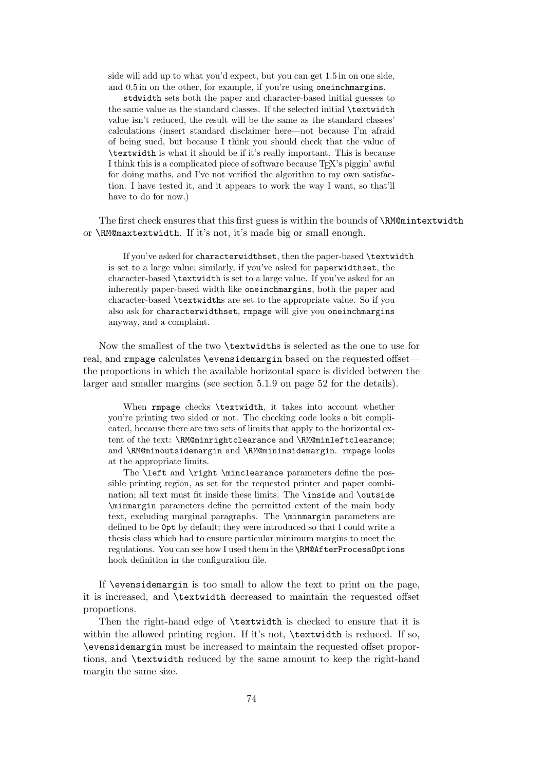side will add up to what you'd expect, but you can get 1.5 in on one side, and 0.5 in on the other, for example, if you're using oneinchmargins.

stdwidth sets both the paper and character-based initial guesses to the same value as the standard classes. If the selected initial \textwidth value isn't reduced, the result will be the same as the standard classes' calculations (insert standard disclaimer here—not because I'm afraid of being sued, but because I think you should check that the value of \textwidth is what it should be if it's really important. This is because I think this is a complicated piece of software because T<sub>E</sub>X's piggin' awful for doing maths, and I've not verified the algorithm to my own satisfaction. I have tested it, and it appears to work the way I want, so that'll have to do for now.)

The first check ensures that this first guess is within the bounds of \RM@mintextwidth or \RM@maxtextwidth. If it's not, it's made big or small enough.

If you've asked for characterwidthset, then the paper-based \textwidth is set to a large value; similarly, if you've asked for paperwidthset, the character-based \textwidth is set to a large value. If you've asked for an inherently paper-based width like oneinchmargins, both the paper and character-based \textwidths are set to the appropriate value. So if you also ask for characterwidthset, rmpage will give you oneinchmargins anyway, and a complaint.

Now the smallest of the two \textwidths is selected as the one to use for real, and rmpage calculates \evensidemargin based on the requested offsetthe proportions in which the available horizontal space is divided between the larger and smaller margins (see section 5.1.9 on page 52 for the details).

When rmpage checks \textwidth, it takes into account whether you're printing two sided or not. The checking code looks a bit complicated, because there are two sets of limits that apply to the horizontal extent of the text: \RM@minrightclearance and \RM@minleftclearance; and \RM@minoutsidemargin and \RM@mininsidemargin. rmpage looks at the appropriate limits.

The **\left** and **\right \minclearance** parameters define the possible printing region, as set for the requested printer and paper combination; all text must fit inside these limits. The \inside and \outside \minmargin parameters define the permitted extent of the main body text, excluding marginal paragraphs. The \minmargin parameters are defined to be 0pt by default; they were introduced so that I could write a thesis class which had to ensure particular minimum margins to meet the regulations. You can see how I used them in the \RM@AfterProcessOptions hook definition in the configuration file.

If \evensidemargin is too small to allow the text to print on the page, it is increased, and \textwidth decreased to maintain the requested offset proportions.

Then the right-hand edge of \textwidth is checked to ensure that it is within the allowed printing region. If it's not, \textwidth is reduced. If so, \evensidemargin must be increased to maintain the requested offset proportions, and \textwidth reduced by the same amount to keep the right-hand margin the same size.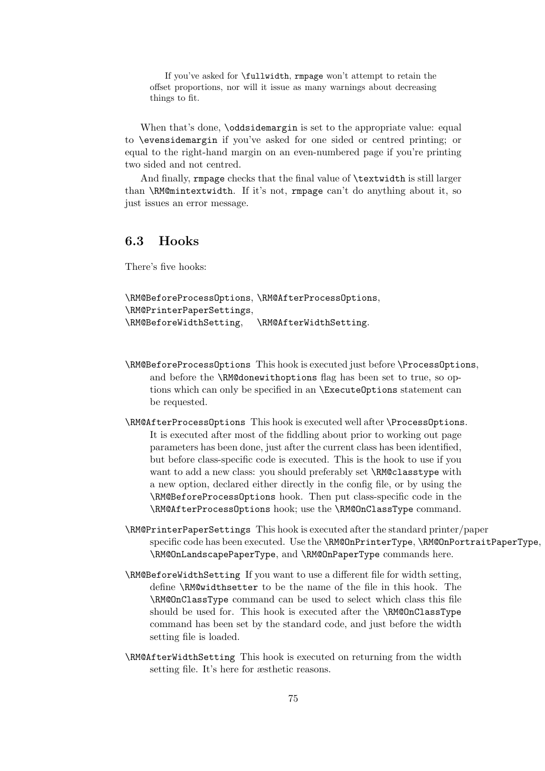If you've asked for \fullwidth, rmpage won't attempt to retain the offset proportions, nor will it issue as many warnings about decreasing things to fit.

When that's done, **\oddsidemargin** is set to the appropriate value: equal to \evensidemargin if you've asked for one sided or centred printing; or equal to the right-hand margin on an even-numbered page if you're printing two sided and not centred.

And finally, rmpage checks that the final value of \textwidth is still larger than \RM@mintextwidth. If it's not, rmpage can't do anything about it, so just issues an error message.

## 6.3 Hooks

There's five hooks:

```
\RM@BeforeProcessOptions, \RM@AfterProcessOptions,
\RM@PrinterPaperSettings,
\RM@BeforeWidthSetting, \RM@AfterWidthSetting.
```
- \RM@BeforeProcessOptions This hook is executed just before \ProcessOptions, and before the \RM@donewithoptions flag has been set to true, so options which can only be specified in an \ExecuteOptions statement can be requested.
- \RM@AfterProcessOptions This hook is executed well after \ProcessOptions. It is executed after most of the fiddling about prior to working out page parameters has been done, just after the current class has been identified, but before class-specific code is executed. This is the hook to use if you want to add a new class: you should preferably set \RM@classtype with a new option, declared either directly in the config file, or by using the \RM@BeforeProcessOptions hook. Then put class-specific code in the \RM@AfterProcessOptions hook; use the \RM@OnClassType command.
- \RM@PrinterPaperSettings This hook is executed after the standard printer/paper specific code has been executed. Use the \RM@OnPrinterType, \RM@OnPortraitPaperType, \RM@OnLandscapePaperType, and \RM@OnPaperType commands here.
- \RM@BeforeWidthSetting If you want to use a different file for width setting, define \RM@widthsetter to be the name of the file in this hook. The \RM@OnClassType command can be used to select which class this file should be used for. This hook is executed after the \RM@OnClassType command has been set by the standard code, and just before the width setting file is loaded.
- \RM@AfterWidthSetting This hook is executed on returning from the width setting file. It's here for æsthetic reasons.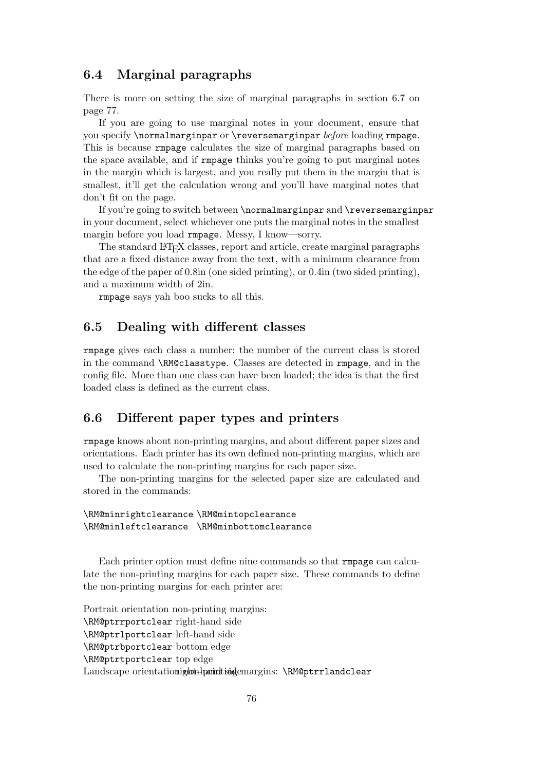## 6.4 Marginal paragraphs

There is more on setting the size of marginal paragraphs in section 6.7 on page 77.

If you are going to use marginal notes in your document, ensure that you specify \normalmarginpar or \reversemarginpar before loading rmpage. This is because rmpage calculates the size of marginal paragraphs based on the space available, and if rmpage thinks you're going to put marginal notes in the margin which is largest, and you really put them in the margin that is smallest, it'll get the calculation wrong and you'll have marginal notes that don't fit on the page.

If you're going to switch between \normalmarginpar and \reversemarginpar in your document, select whichever one puts the marginal notes in the smallest margin before you load rmpage. Messy, I know—sorry.

The standard LATEX classes, report and article, create marginal paragraphs that are a fixed distance away from the text, with a minimum clearance from the edge of the paper of 0.8in (one sided printing), or 0.4in (two sided printing), and a maximum width of 2in.

rmpage says yah boo sucks to all this.

## 6.5 Dealing with different classes

rmpage gives each class a number; the number of the current class is stored in the command \RM@classtype. Classes are detected in rmpage, and in the config file. More than one class can have been loaded; the idea is that the first loaded class is defined as the current class.

## 6.6 Different paper types and printers

rmpage knows about non-printing margins, and about different paper sizes and orientations. Each printer has its own defined non-printing margins, which are used to calculate the non-printing margins for each paper size.

The non-printing margins for the selected paper size are calculated and stored in the commands:

#### \RM@minrightclearance \RM@mintopclearance \RM@minleftclearance \RM@minbottomclearance

Each printer option must define nine commands so that rmpage can calculate the non-printing margins for each paper size. These commands to define the non-printing margins for each printer are:

Portrait orientation non-printing margins: \RM@ptrrportclear right-hand side \RM@ptrlportclear left-hand side \RM@ptrbportclear bottom edge \RM@ptrtportclear top edge Landscape orientationight-haminting demargins: \RM@ptrrlandclear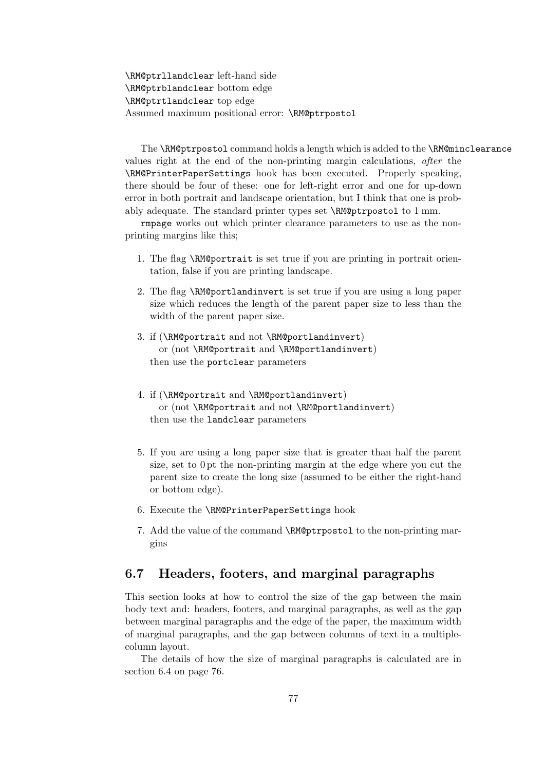\RM@ptrllandclear left-hand side \RM@ptrblandclear bottom edge \RM@ptrtlandclear top edge Assumed maximum positional error: \RM@ptrpostol

The \RM@ptrpostol command holds a length which is added to the \RM@minclearance values right at the end of the non-printing margin calculations, after the \RM@PrinterPaperSettings hook has been executed. Properly speaking, there should be four of these: one for left-right error and one for up-down error in both portrait and landscape orientation, but I think that one is probably adequate. The standard printer types set \RM@ptrpostol to 1 mm.

rmpage works out which printer clearance parameters to use as the nonprinting margins like this;

- 1. The flag \RM@portrait is set true if you are printing in portrait orientation, false if you are printing landscape.
- 2. The flag \RM@portlandinvert is set true if you are using a long paper size which reduces the length of the parent paper size to less than the width of the parent paper size.
- 3. if (\RM@portrait and not \RM@portlandinvert) or (not \RM@portrait and \RM@portlandinvert) then use the portclear parameters
- 4. if (\RM@portrait and \RM@portlandinvert) or (not \RM@portrait and not \RM@portlandinvert) then use the landclear parameters
- 5. If you are using a long paper size that is greater than half the parent size, set to 0 pt the non-printing margin at the edge where you cut the parent size to create the long size (assumed to be either the right-hand or bottom edge).
- 6. Execute the \RM@PrinterPaperSettings hook
- 7. Add the value of the command \RM@ptrpostol to the non-printing margins

## 6.7 Headers, footers, and marginal paragraphs

This section looks at how to control the size of the gap between the main body text and: headers, footers, and marginal paragraphs, as well as the gap between marginal paragraphs and the edge of the paper, the maximum width of marginal paragraphs, and the gap between columns of text in a multiplecolumn layout.

The details of how the size of marginal paragraphs is calculated are in section 6.4 on page 76.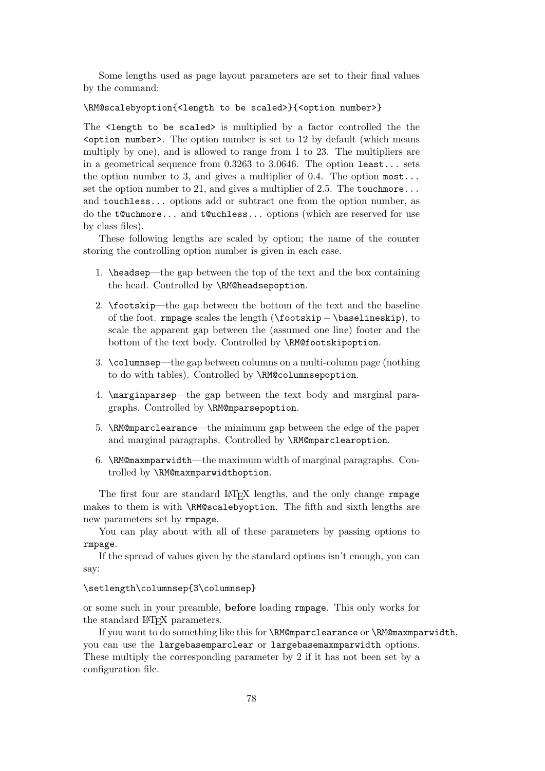Some lengths used as page layout parameters are set to their final values by the command:

#### \RM@scalebyoption{<length to be scaled>}{<option number>}

The <length to be scaled> is multiplied by a factor controlled the the  $\zeta$  option number>. The option number is set to 12 by default (which means multiply by one), and is allowed to range from 1 to 23. The multipliers are in a geometrical sequence from 0.3263 to 3.0646. The option least... sets the option number to 3, and gives a multiplier of 0.4. The option  $most...$ set the option number to 21, and gives a multiplier of 2.5. The touch more... and touchless... options add or subtract one from the option number, as do the t@uchmore... and t@uchless... options (which are reserved for use by class files).

These following lengths are scaled by option; the name of the counter storing the controlling option number is given in each case.

- 1. \headsep—the gap between the top of the text and the box containing the head. Controlled by \RM@headsepoption.
- 2. \footskip—the gap between the bottom of the text and the baseline of the foot. rmpage scales the length (\footskip − \baselineskip), to scale the apparent gap between the (assumed one line) footer and the bottom of the text body. Controlled by \RM@footskipoption.
- 3. \columnsep—the gap between columns on a multi-column page (nothing to do with tables). Controlled by \RM@columnsepoption.
- 4. \marginparsep—the gap between the text body and marginal paragraphs. Controlled by \RM@mparsepoption.
- 5. \RM@mparclearance—the minimum gap between the edge of the paper and marginal paragraphs. Controlled by \RM@mparclearoption.
- 6. \RM@maxmparwidth—the maximum width of marginal paragraphs. Controlled by \RM@maxmparwidthoption.

The first four are standard LAT<sub>EX</sub> lengths, and the only change rmpage makes to them is with \RM@scalebyoption. The fifth and sixth lengths are new parameters set by rmpage.

You can play about with all of these parameters by passing options to rmpage.

If the spread of values given by the standard options isn't enough, you can say:

\setlength\columnsep{3\columnsep}

or some such in your preamble, before loading rmpage. This only works for the standard LAT<sub>EX</sub> parameters.

If you want to do something like this for \RM@mparclearance or \RM@maxmparwidth, you can use the largebasemparclear or largebasemaxmparwidth options. These multiply the corresponding parameter by 2 if it has not been set by a configuration file.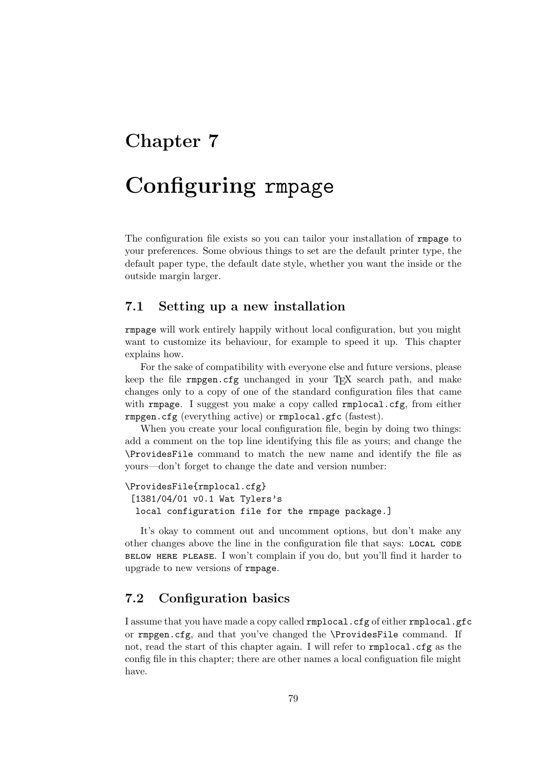# Chapter 7

# Configuring rmpage

The configuration file exists so you can tailor your installation of rmpage to your preferences. Some obvious things to set are the default printer type, the default paper type, the default date style, whether you want the inside or the outside margin larger.

## 7.1 Setting up a new installation

rmpage will work entirely happily without local configuration, but you might want to customize its behaviour, for example to speed it up. This chapter explains how.

For the sake of compatibility with everyone else and future versions, please keep the file  $rmpgen.cfg$  unchanged in your T<sub>E</sub>X search path, and make changes only to a copy of one of the standard configuration files that came with rmpage. I suggest you make a copy called rmplocal.cfg, from either rmpgen.cfg (everything active) or rmplocal.gfc (fastest).

When you create your local configuration file, begin by doing two things: add a comment on the top line identifying this file as yours; and change the \ProvidesFile command to match the new name and identify the file as yours—don't forget to change the date and version number:

```
\ProvidesFile{rmplocal.cfg}
 [1381/04/01 v0.1 Wat Tylers's
  local configuration file for the rmpage package.]
```
It's okay to comment out and uncomment options, but don't make any other changes above the line in the configuration file that says: local code below here please. I won't complain if you do, but you'll find it harder to upgrade to new versions of rmpage.

## 7.2 Configuration basics

I assume that you have made a copy called rmplocal.cfg of either rmplocal.gfc or rmpgen.cfg, and that you've changed the \ProvidesFile command. If not, read the start of this chapter again. I will refer to rmplocal.cfg as the config file in this chapter; there are other names a local configuation file might have.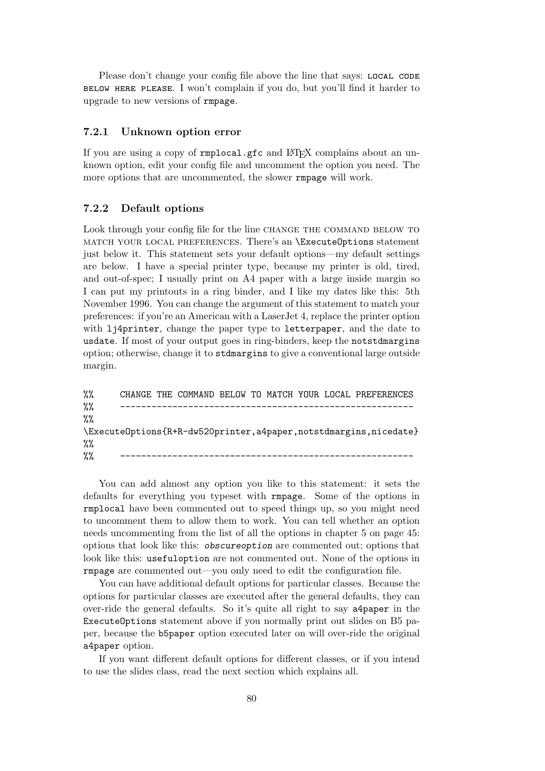Please don't change your config file above the line that says: LOCAL CODE below here please. I won't complain if you do, but you'll find it harder to upgrade to new versions of rmpage.

#### 7.2.1 Unknown option error

If you are using a copy of rmplocal.gfc and LAT<sub>EX</sub> complains about an unknown option, edit your config file and uncomment the option you need. The more options that are uncommented, the slower rmpage will work.

#### 7.2.2 Default options

Look through your config file for the line CHANGE THE COMMAND BELOW TO match your local preferences. There's an \ExecuteOptions statement just below it. This statement sets your default options—my default settings are below. I have a special printer type, because my printer is old, tired, and out-of-spec; I usually print on A4 paper with a large inside margin so I can put my printouts in a ring binder, and I like my dates like this: 5th November 1996. You can change the argument of this statement to match your preferences: if you're an American with a LaserJet 4, replace the printer option with li4printer, change the paper type to letterpaper, and the date to usdate. If most of your output goes in ring-binders, keep the notstdmargins option; otherwise, change it to stdmargins to give a conventional large outside margin.

| $\%$ |  |  |  |  | CHANGE THE COMMAND BELOW TO MATCH YOUR LOCAL PREFERENCES            |  |
|------|--|--|--|--|---------------------------------------------------------------------|--|
| $\%$ |  |  |  |  |                                                                     |  |
| $\%$ |  |  |  |  |                                                                     |  |
|      |  |  |  |  | \ExecuteOptions{R+R-dw520printer, a4paper, notstdmargins, nicedate} |  |
| $\%$ |  |  |  |  |                                                                     |  |
| $\%$ |  |  |  |  |                                                                     |  |

You can add almost any option you like to this statement: it sets the defaults for everything you typeset with rmpage. Some of the options in rmplocal have been commented out to speed things up, so you might need to uncomment them to allow them to work. You can tell whether an option needs uncommenting from the list of all the options in chapter 5 on page 45: options that look like this: obscureoption are commented out; options that look like this: usefuloption are not commented out. None of the options in rmpage are commented out—you only need to edit the configuration file.

You can have additional default options for particular classes. Because the options for particular classes are executed after the general defaults, they can over-ride the general defaults. So it's quite all right to say a4paper in the ExecuteOptions statement above if you normally print out slides on B5 paper, because the b5paper option executed later on will over-ride the original a4paper option.

If you want different default options for different classes, or if you intend to use the slides class, read the next section which explains all.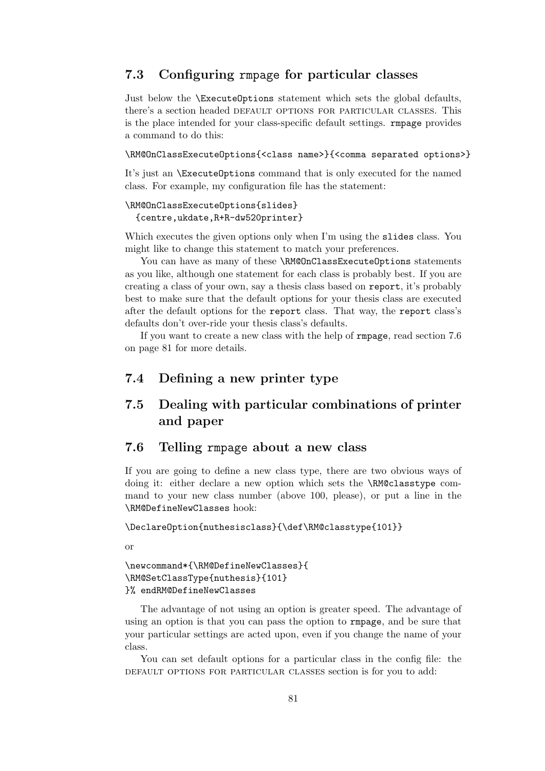## 7.3 Configuring rmpage for particular classes

Just below the \ExecuteOptions statement which sets the global defaults, there's a section headed default options for particular classes. This is the place intended for your class-specific default settings. rmpage provides a command to do this:

#### \RM@OnClassExecuteOptions{<class name>}{<comma separated options>}

It's just an \ExecuteOptions command that is only executed for the named class. For example, my configuration file has the statement:

#### \RM@OnClassExecuteOptions{slides} {centre,ukdate,R+R-dw520printer}

Which executes the given options only when I'm using the slides class. You might like to change this statement to match your preferences.

You can have as many of these \RM@OnClassExecuteOptions statements as you like, although one statement for each class is probably best. If you are creating a class of your own, say a thesis class based on report, it's probably best to make sure that the default options for your thesis class are executed after the default options for the report class. That way, the report class's defaults don't over-ride your thesis class's defaults.

If you want to create a new class with the help of rmpage, read section 7.6 on page 81 for more details.

## 7.4 Defining a new printer type

## 7.5 Dealing with particular combinations of printer and paper

## 7.6 Telling rmpage about a new class

If you are going to define a new class type, there are two obvious ways of doing it: either declare a new option which sets the \RM@classtype command to your new class number (above 100, please), or put a line in the \RM@DefineNewClasses hook:

\DeclareOption{nuthesisclass}{\def\RM@classtype{101}}

or

```
\newcommand*{\RM@DefineNewClasses}{
\RM@SetClassType{nuthesis}{101}
}% endRM@DefineNewClasses
```
The advantage of not using an option is greater speed. The advantage of using an option is that you can pass the option to rmpage, and be sure that your particular settings are acted upon, even if you change the name of your class.

You can set default options for a particular class in the config file: the default options for particular classes section is for you to add: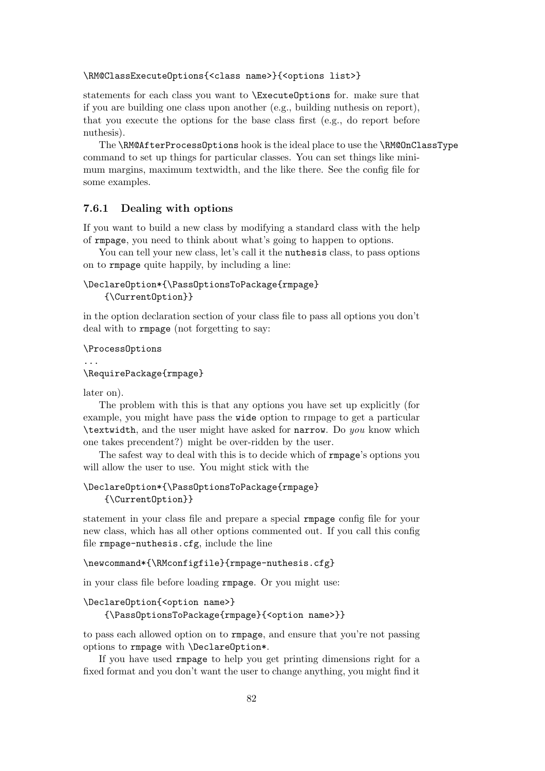#### \RM@ClassExecuteOptions{<class name>}{<options list>}

statements for each class you want to \ExecuteOptions for. make sure that if you are building one class upon another (e.g., building nuthesis on report), that you execute the options for the base class first (e.g., do report before nuthesis).

The \RM@AfterProcessOptions hook is the ideal place to use the \RM@OnClassType command to set up things for particular classes. You can set things like minimum margins, maximum textwidth, and the like there. See the config file for some examples.

#### 7.6.1 Dealing with options

If you want to build a new class by modifying a standard class with the help of rmpage, you need to think about what's going to happen to options.

You can tell your new class, let's call it the nuthesis class, to pass options on to rmpage quite happily, by including a line:

```
\DeclareOption*{\PassOptionsToPackage{rmpage}
   {\CurrentOption}}
```
in the option declaration section of your class file to pass all options you don't deal with to rmpage (not forgetting to say:

```
\ProcessOptions
```

```
...
\RequirePackage{rmpage}
```
later on).

The problem with this is that any options you have set up explicitly (for example, you might have pass the wide option to rmpage to get a particular \textwidth, and the user might have asked for narrow. Do you know which one takes precendent?) might be over-ridden by the user.

The safest way to deal with this is to decide which of rmpage's options you will allow the user to use. You might stick with the

```
\DeclareOption*{\PassOptionsToPackage{rmpage}
   {\CurrentOption}}
```
statement in your class file and prepare a special rmpage config file for your new class, which has all other options commented out. If you call this config file rmpage-nuthesis.cfg, include the line

```
\newcommand*{\RMconfigfile}{rmpage-nuthesis.cfg}
```
in your class file before loading rmpage. Or you might use:

```
\DeclareOption{<option name>}
```

```
{\PassOptionsToPackage{rmpage}{<option name>}}
```
to pass each allowed option on to rmpage, and ensure that you're not passing options to rmpage with \DeclareOption\*.

If you have used rmpage to help you get printing dimensions right for a fixed format and you don't want the user to change anything, you might find it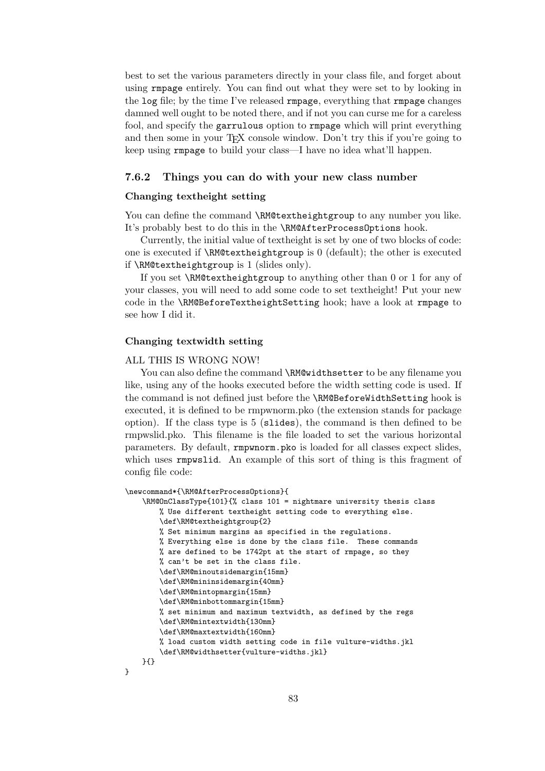best to set the various parameters directly in your class file, and forget about using rmpage entirely. You can find out what they were set to by looking in the log file; by the time I've released rmpage, everything that rmpage changes damned well ought to be noted there, and if not you can curse me for a careless fool, and specify the garrulous option to rmpage which will print everything and then some in your T<sub>F</sub>X console window. Don't try this if you're going to keep using rmpage to build your class—I have no idea what'll happen.

#### 7.6.2 Things you can do with your new class number

#### Changing textheight setting

You can define the command \RM@textheightgroup to any number you like. It's probably best to do this in the \RM@AfterProcessOptions hook.

Currently, the initial value of textheight is set by one of two blocks of code: one is executed if  $\mathcal{N}\mathbb{C}$  is the other is executed if  $\mathcal{N}\mathbb{C}$  are  $\mathcal{N}\mathbb{C}$  is executed if \RM@textheightgroup is 1 (slides only).

If you set \RM@textheightgroup to anything other than 0 or 1 for any of your classes, you will need to add some code to set textheight! Put your new code in the \RM@BeforeTextheightSetting hook; have a look at rmpage to see how I did it.

#### Changing textwidth setting

#### ALL THIS IS WRONG NOW!

You can also define the command **\RM@widthsetter** to be any filename you like, using any of the hooks executed before the width setting code is used. If the command is not defined just before the \RM@BeforeWidthSetting hook is executed, it is defined to be rmpwnorm.pko (the extension stands for package option). If the class type is 5 (slides), the command is then defined to be rmpwslid.pko. This filename is the file loaded to set the various horizontal parameters. By default, rmpwnorm.pko is loaded for all classes expect slides, which uses **rmpwslid.** An example of this sort of thing is this fragment of config file code:

```
\newcommand*{\RM@AfterProcessOptions}{
    \RM@OnClassType{101}{% class 101 = nightmare university thesis class
        % Use different textheight setting code to everything else.
        \def\RM@textheightgroup{2}
        % Set minimum margins as specified in the regulations.
        % Everything else is done by the class file. These commands
        % are defined to be 1742pt at the start of rmpage, so they
        % can't be set in the class file.
        \def\RM@minoutsidemargin{15mm}
        \def\RM@mininsidemargin{40mm}
        \def\RM@mintopmargin{15mm}
        \def\RM@minbottommargin{15mm}
        % set minimum and maximum textwidth, as defined by the regs
        \def\RM@mintextwidth{130mm}
        \def\RM@maxtextwidth{160mm}
        % load custom width setting code in file vulture-widths.jkl
        \def\RM@widthsetter{vulture-widths.jkl}
    }{}
}
```
83